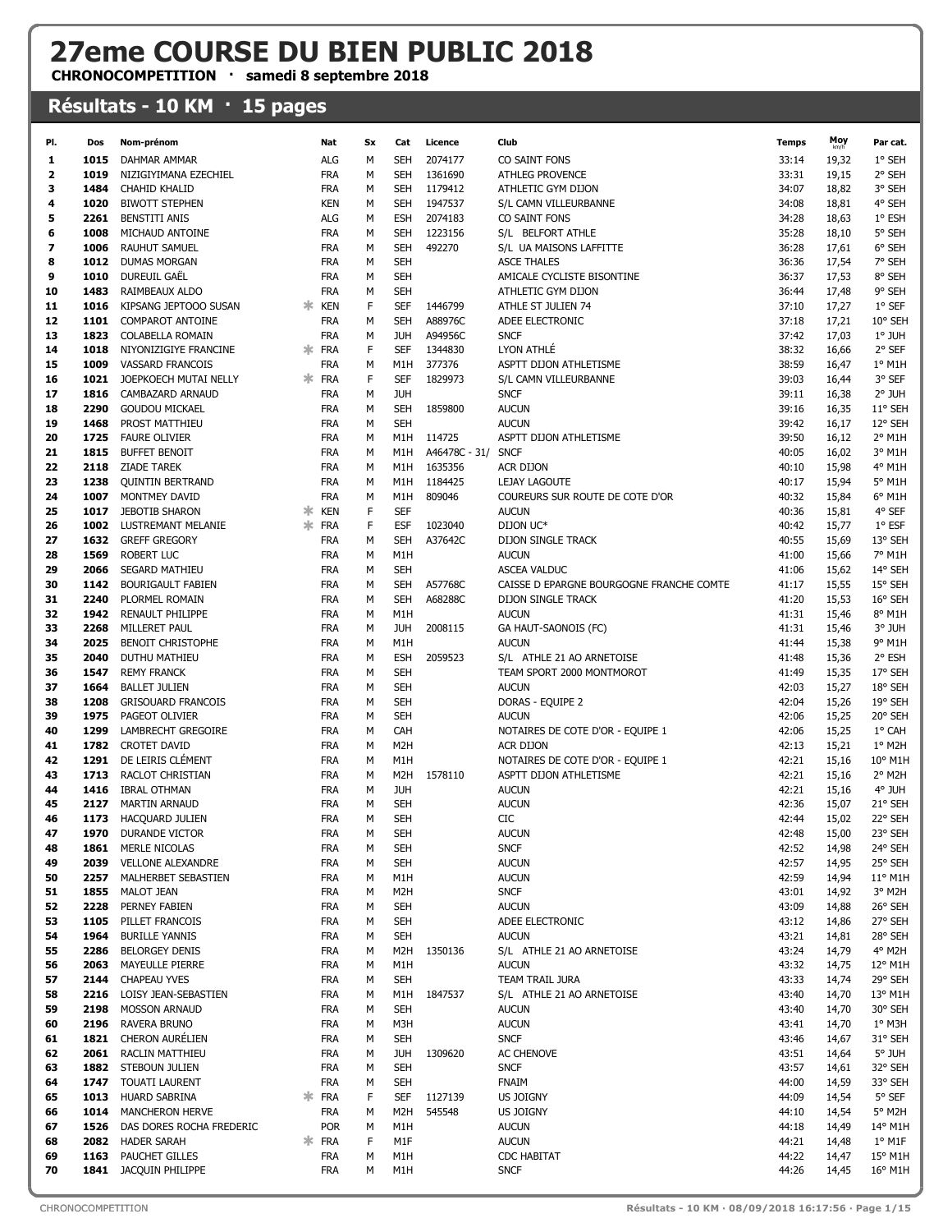## 27eme COURSE DU BIEN PUBLIC 2018

CHRONOCOMPETITION · samedi 8 septembre 2018

## Résultats - 10 KM · 15 pages

| PI.      | Dos          | Nom-prénom                                         |    | Nat                      | Sx     | Cat                      | Licence            | Club                                             | <b>Temps</b>   | Moy            | Par cat.           |
|----------|--------------|----------------------------------------------------|----|--------------------------|--------|--------------------------|--------------------|--------------------------------------------------|----------------|----------------|--------------------|
| 1        | 1015         | <b>DAHMAR AMMAR</b>                                |    | <b>ALG</b>               | М      | <b>SEH</b>               | 2074177            | CO SAINT FONS                                    | 33:14          | 19,32          | 1° SEH             |
| 2        | 1019         | NIZIGIYIMANA EZECHIEL                              |    | <b>FRA</b>               | М      | <b>SEH</b>               | 1361690            | ATHLEG PROVENCE                                  | 33:31          | 19,15          | 2° SEH             |
| 3        | 1484         | <b>CHAHID KHALID</b>                               |    | <b>FRA</b>               | М      | <b>SEH</b>               | 1179412            | ATHLETIC GYM DIJON                               | 34:07          | 18,82          | 3° SEH             |
| 4        | 1020         | <b>BIWOTT STEPHEN</b>                              |    | <b>KEN</b>               | М      | <b>SEH</b>               | 1947537            | S/L CAMN VILLEURBANNE                            | 34:08          | 18,81          | 4° SEH             |
| 5        | 2261         | <b>BENSTITI ANIS</b>                               |    | ALG                      | М      | <b>ESH</b>               | 2074183            | CO SAINT FONS                                    | 34:28          | 18,63          | 1° ESH             |
| 6        | 1008         | MICHAUD ANTOINE                                    |    | <b>FRA</b>               | М      | <b>SEH</b>               | 1223156            | S/L BELFORT ATHLE                                | 35:28          | 18,10          | 5° SEH             |
| 7        | 1006         | <b>RAUHUT SAMUEL</b>                               |    | <b>FRA</b>               | М      | <b>SEH</b>               | 492270             | S/L UA MAISONS LAFFITTE                          | 36:28          | 17,61          | 6° SEH             |
| 8        | 1012         | DUMAS MORGAN                                       |    | <b>FRA</b>               | М      | <b>SEH</b>               |                    | <b>ASCE THALES</b>                               | 36:36          | 17,54          | 7° SEH             |
| 9        | 1010         | <b>DUREUIL GAEL</b>                                |    | <b>FRA</b>               | М      | <b>SEH</b>               |                    | AMICALE CYCLISTE BISONTINE                       | 36:37          | 17,53          | 8° SEH             |
| 10       | 1483         | RAIMBEAUX ALDO                                     |    | <b>FRA</b>               | М      | <b>SEH</b>               |                    | ATHLETIC GYM DIJON                               | 36:44          | 17,48          | 9° SEH             |
| 11       | 1016         | KIPSANG JEPTOOO SUSAN                              |    | <b>KEN</b>               | F      | <b>SEF</b>               | 1446799            | ATHLE ST JULIEN 74                               | 37:10          | 17,27          | $1°$ SEF           |
| 12       | 1101         | <b>COMPAROT ANTOINE</b>                            |    | <b>FRA</b>               | М      | <b>SEH</b>               | A88976C            | ADEE ELECTRONIC                                  | 37:18          | 17,21          | 10° SEH            |
| 13       | 1823         | COLABELLA ROMAIN                                   |    | <b>FRA</b>               | М      | <b>JUH</b>               | A94956C            | <b>SNCF</b>                                      | 37:42          | 17,03          | 1° JUH             |
| 14       | 1018         | NIYONIZIGIYE FRANCINE                              |    | * FRA                    | F      | <b>SEF</b>               | 1344830            | LYON ATHLE                                       | 38:32          | 16,66          | 2° SEF             |
| 15       | 1009         | <b>VASSARD FRANCOIS</b>                            |    | <b>FRA</b>               | М      | M1H                      | 377376             | ASPTT DIJON ATHLETISME                           | 38:59          | 16,47          | $1^\circ$ M1H      |
| 16       | 1021         | JOEPKOECH MUTAI NELLY                              |    | * FRA                    | F      | <b>SEF</b>               | 1829973            | S/L CAMN VILLEURBANNE                            | 39:03          | 16,44          | 3° SEF             |
| 17       | 1816         | CAMBAZARD ARNAUD                                   |    | <b>FRA</b>               | М      | <b>JUH</b>               |                    | <b>SNCF</b>                                      | 39:11          | 16,38          | 2° JUH             |
| 18       | 2290         | <b>GOUDOU MICKAEL</b>                              |    | <b>FRA</b>               | М      | <b>SEH</b>               | 1859800            | <b>AUCUN</b>                                     | 39:16          | 16,35          | 11° SEH            |
| 19       | 1468         | PROST MATTHIEU                                     |    | <b>FRA</b>               | M      | <b>SEH</b>               |                    | <b>AUCUN</b>                                     | 39:42          | 16,17          | 12° SEH            |
| 20       | 1725         | <b>FAURE OLIVIER</b>                               |    | <b>FRA</b>               | М      | M1H                      | 114725             | ASPTT DIJON ATHLETISME                           | 39:50          | 16,12          | $2^{\circ}$ M1H    |
| 21       | 1815         | <b>BUFFET BENOIT</b>                               |    | <b>FRA</b>               | М      | M1H                      | A46478C - 31/ SNCF |                                                  | 40:05          | 16,02          | 3° M1H             |
| 22       | 2118<br>1238 | <b>ZIADE TAREK</b>                                 |    | <b>FRA</b>               | М      | M <sub>1</sub> H<br>M1H  | 1635356<br>1184425 | ACR DIJON                                        | 40:10          | 15,98          | 4° M1H             |
| 23<br>24 | 1007         | <b>QUINTIN BERTRAND</b><br>MONTMEY DAVID           |    | <b>FRA</b><br><b>FRA</b> | М<br>М | M1H                      | 809046             | LEJAY LAGOUTE<br>COUREURS SUR ROUTE DE COTE D'OR | 40:17<br>40:32 | 15,94<br>15,84 | 5° M1H<br>6° M1H   |
| 25       | 1017         | <b>JEBOTIB SHARON</b>                              | ж. | <b>KEN</b>               | F      | <b>SEF</b>               |                    | <b>AUCUN</b>                                     | 40:36          | 15,81          | 4° SEF             |
| 26       | 1002         | LUSTREMANT MELANIE                                 | ж. | <b>FRA</b>               | F      | <b>ESF</b>               | 1023040            | DIJON UC*                                        | 40:42          | 15,77          | $1^\circ$ ESF      |
| 27       | 1632         | <b>GREFF GREGORY</b>                               |    | <b>FRA</b>               | М      | <b>SEH</b>               | A37642C            | <b>DIJON SINGLE TRACK</b>                        | 40:55          | 15,69          | 13° SEH            |
| 28       | 1569         | <b>ROBERT LUC</b>                                  |    | <b>FRA</b>               | М      | M1H                      |                    | <b>AUCUN</b>                                     | 41:00          | 15,66          | 7° M1H             |
| 29       | 2066         | <b>SEGARD MATHIEU</b>                              |    | <b>FRA</b>               | М      | <b>SEH</b>               |                    | <b>ASCEA VALDUC</b>                              | 41:06          | 15,62          | 14° SEH            |
| 30       | 1142         | <b>BOURIGAULT FABIEN</b>                           |    | <b>FRA</b>               | М      | <b>SEH</b>               | A57768C            | CAISSE D EPARGNE BOURGOGNE FRANCHE COMTE         | 41:17          | 15,55          | 15° SEH            |
| 31       | 2240         | PLORMEL ROMAIN                                     |    | <b>FRA</b>               | М      | <b>SEH</b>               | A68288C            | DIJON SINGLE TRACK                               | 41:20          | 15,53          | 16° SEH            |
| 32       | 1942         | RENAULT PHILIPPE                                   |    | <b>FRA</b>               | М      | M1H                      |                    | <b>AUCUN</b>                                     | 41:31          | 15,46          | 8° M1H             |
| 33       | 2268         | MILLERET PAUL                                      |    | <b>FRA</b>               | M      | <b>JUH</b>               | 2008115            | GA HAUT-SAONOIS (FC)                             | 41:31          | 15,46          | 3° JUH             |
| 34       | 2025         | <b>BENOIT CHRISTOPHE</b>                           |    | <b>FRA</b>               | М      | M1H                      |                    | <b>AUCUN</b>                                     | 41:44          | 15,38          | 9° M1H             |
| 35       | 2040         | DUTHU MATHIEU                                      |    | <b>FRA</b>               | М      | <b>ESH</b>               | 2059523            | S/L ATHLE 21 AO ARNETOISE                        | 41:48          | 15,36          | 2° ESH             |
| 36       | 1547         | <b>REMY FRANCK</b>                                 |    | <b>FRA</b>               | М      | <b>SEH</b>               |                    | TEAM SPORT 2000 MONTMOROT                        | 41:49          | 15,35          | 17° SEH            |
| 37       | 1664         | <b>BALLET JULIEN</b>                               |    | <b>FRA</b>               | М      | <b>SEH</b>               |                    | <b>AUCUN</b>                                     | 42:03          | 15,27          | 18° SEH            |
| 38       | 1208         | <b>GRISOUARD FRANCOIS</b>                          |    | <b>FRA</b>               | М      | <b>SEH</b>               |                    | DORAS - EQUIPE 2                                 | 42:04          | 15,26          | 19° SEH            |
| 39       | 1975         | PAGEOT OLIVIER                                     |    | <b>FRA</b>               | М      | <b>SEH</b>               |                    | <b>AUCUN</b>                                     | 42:06          | 15,25          | 20° SEH            |
| 40       | 1299         | LAMBRECHT GREGOIRE                                 |    | <b>FRA</b>               | М      | CAH                      |                    | NOTAIRES DE COTE D'OR - EQUIPE 1                 | 42:06          | 15,25          | 1° CAH             |
| 41       | 1782         | <b>CROTET DAVID</b>                                |    | <b>FRA</b>               | М      | M2H                      |                    | ACR DIJON                                        | 42:13          | 15,21          | 1° M2H             |
| 42       | 1291         | DE LEIRIS CLÉMENT                                  |    | <b>FRA</b>               | М      | M1H                      |                    | NOTAIRES DE COTE D'OR - EQUIPE 1                 | 42:21          | 15,16          | 10° M1H            |
| 43       | 1713         | RACLOT CHRISTIAN                                   |    | <b>FRA</b>               | М      | M <sub>2</sub> H         | 1578110            | ASPTT DIJON ATHLETISME                           | 42:21          | 15,16          | 2° M2H             |
| 44       | 1416         | IBRAL OTHMAN                                       |    | <b>FRA</b><br><b>FRA</b> | М<br>М | <b>JUH</b><br><b>SEH</b> |                    | <b>AUCUN</b>                                     | 42:21<br>42:36 | 15,16          | 4° JUH             |
| 45<br>46 | 2127         | MARTIN ARNAUD<br>1173 HACQUARD JULIEN              |    | <b>FRA</b>               | М      | <b>SEH</b>               |                    | <b>AUCUN</b><br>CIC                              | 42:44          | 15,07<br>15,02 | 21° SEH<br>22° SEH |
| 47       |              | 1970 DURANDE VICTOR                                |    | <b>FRA</b>               | М      | <b>SEH</b>               |                    | <b>AUCUN</b>                                     | 42:48          | 15,00          | 23° SEH            |
| 48       | 1861         | MERLE NICOLAS                                      |    | <b>FRA</b>               | М      | <b>SEH</b>               |                    | <b>SNCF</b>                                      | 42:52          | 14,98          | 24° SEH            |
| 49       | 2039         | <b>VELLONE ALEXANDRE</b>                           |    | <b>FRA</b>               | М      | <b>SEH</b>               |                    | <b>AUCUN</b>                                     | 42:57          | 14,95          | 25° SEH            |
| 50       | 2257         | MALHERBET SEBASTIEN                                |    | <b>FRA</b>               | М      | M1H                      |                    | <b>AUCUN</b>                                     | 42:59          | 14,94          | 11° M1H            |
| 51       | 1855         | MALOT JEAN                                         |    | FRA                      | М      | M <sub>2</sub> H         |                    | <b>SNCF</b>                                      | 43:01          | 14,92          | 3° M2H             |
| 52       | 2228         | PERNEY FABIEN                                      |    | <b>FRA</b>               | М      | <b>SEH</b>               |                    | <b>AUCUN</b>                                     | 43:09          | 14,88          | 26° SEH            |
| 53       | 1105         | PILLET FRANCOIS                                    |    | FRA                      | М      | <b>SEH</b>               |                    | ADEE ELECTRONIC                                  | 43:12          | 14,86          | 27° SEH            |
| 54       | 1964         | <b>BURILLE YANNIS</b>                              |    | <b>FRA</b>               | М      | <b>SEH</b>               |                    | <b>AUCUN</b>                                     | 43:21          | 14,81          | 28° SEH            |
| 55       | 2286         | <b>BELORGEY DENIS</b>                              |    | <b>FRA</b>               | М      | M2H                      | 1350136            | S/L ATHLE 21 AO ARNETOISE                        | 43:24          | 14,79          | 4° M2H             |
| 56       | 2063         | <b>MAYEULLE PIERRE</b>                             |    | <b>FRA</b>               | М      | M1H                      |                    | <b>AUCUN</b>                                     | 43:32          | 14,75          | 12° M1H            |
| 57       | 2144         | <b>CHAPEAU YVES</b>                                |    | FRA                      | М      | <b>SEH</b>               |                    | TEAM TRAIL JURA                                  | 43:33          | 14,74          | 29° SEH            |
| 58       | 2216         | LOISY JEAN-SEBASTIEN                               |    | FRA                      | М      | M1H                      | 1847537            | S/L ATHLE 21 AO ARNETOISE                        | 43:40          | 14,70          | 13° M1H            |
| 59       | 2198         | <b>MOSSON ARNAUD</b>                               |    | FRA                      | М      | <b>SEH</b>               |                    | <b>AUCUN</b>                                     | 43:40          | 14,70          | 30° SEH            |
| 60       | 2196         | <b>RAVERA BRUNO</b>                                |    | FRA                      | М      | M3H                      |                    | <b>AUCUN</b>                                     | 43:41          | 14,70          | $1°$ M3H           |
| 61       | 1821         | CHERON AURÉLIEN                                    |    | FRA                      | М      | <b>SEH</b>               |                    | <b>SNCF</b>                                      | 43:46          | 14,67          | 31° SEH            |
| 62       | 2061         | RACLIN MATTHIEU                                    |    | FRA                      | М      | <b>JUH</b>               | 1309620            | AC CHENOVE                                       | 43:51          | 14,64          | 5° JUH             |
| 63       | 1882         | STEBOUN JULIEN                                     |    | <b>FRA</b>               | М      | <b>SEH</b>               |                    | <b>SNCF</b>                                      | 43:57          | 14,61          | 32° SEH            |
| 64       | 1747         | <b>TOUATI LAURENT</b>                              |    | FRA                      | М      | <b>SEH</b>               |                    | <b>FNAIM</b>                                     | 44:00          | 14,59          | 33° SEH            |
| 65       | 1013         | HUARD SABRINA                                      |    | * FRA                    | F      | SEF                      | 1127139<br>545548  | US JOIGNY                                        | 44:09          | 14,54          | 5° SEF             |
| 66<br>67 | 1014<br>1526 | <b>MANCHERON HERVE</b><br>DAS DORES ROCHA FREDERIC |    | <b>FRA</b><br><b>POR</b> | М<br>М | M <sub>2</sub> H<br>M1H  |                    | US JOIGNY<br><b>AUCUN</b>                        | 44:10<br>44:18 | 14,54<br>14,49 | 5° M2H<br>14° M1H  |
| 68       | 2082         | <b>HADER SARAH</b>                                 |    | * FRA                    | F      | M1F                      |                    | <b>AUCUN</b>                                     | 44:21          | 14,48          | $1^{\circ}$ M1F    |
| 69       | 1163         | PAUCHET GILLES                                     |    | FRA                      | М      | M1H                      |                    | <b>CDC HABITAT</b>                               | 44:22          | 14,47          | 15° M1H            |
| 70       | 1841         | JACQUIN PHILIPPE                                   |    | FRA                      | М      | M1H                      |                    | <b>SNCF</b>                                      | 44:26          | 14,45          | 16° M1H            |
|          |              |                                                    |    |                          |        |                          |                    |                                                  |                |                |                    |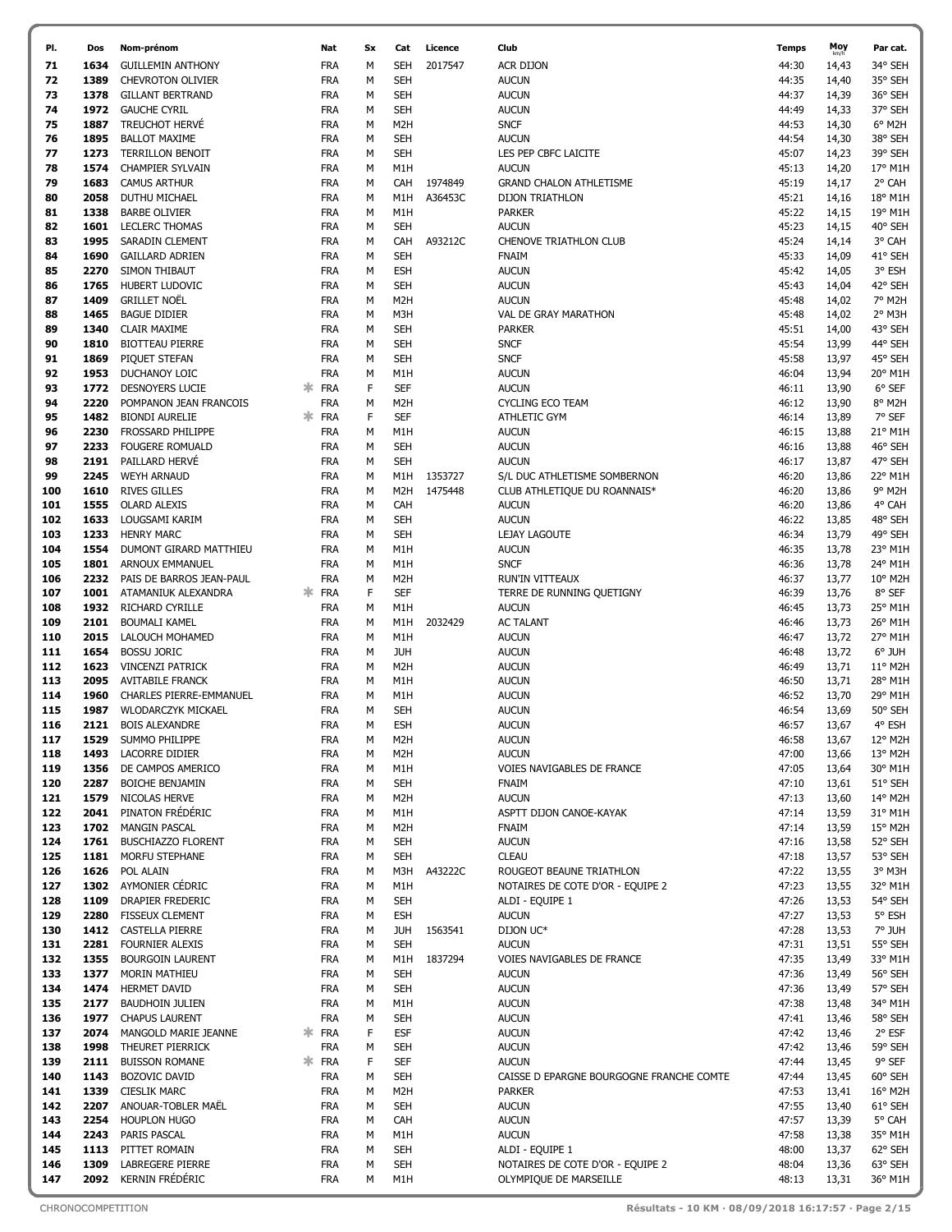| PI.        | Dos          | Nom-prénom                                  |    | Nat                      | Sx     | Cat                                  | Licence | Club                                     | <b>Temps</b>   | Moy            | Par cat.                     |
|------------|--------------|---------------------------------------------|----|--------------------------|--------|--------------------------------------|---------|------------------------------------------|----------------|----------------|------------------------------|
| 71         | 1634         | <b>GUILLEMIN ANTHONY</b>                    |    | <b>FRA</b>               | M      | <b>SEH</b>                           | 2017547 | <b>ACR DIJON</b>                         | 44:30          | 14,43          | 34° SEH                      |
| 72         | 1389         | <b>CHEVROTON OLIVIER</b>                    |    | <b>FRA</b>               | M      | <b>SEH</b>                           |         | <b>AUCUN</b>                             | 44:35          | 14,40          | 35° SEH                      |
| 73         | 1378         | <b>GILLANT BERTRAND</b>                     |    | FRA                      | M      | <b>SEH</b>                           |         | <b>AUCUN</b>                             | 44:37          | 14,39          | 36° SEH                      |
| 74         | 1972         | <b>GAUCHE CYRIL</b>                         |    | <b>FRA</b>               | M      | <b>SEH</b>                           |         | <b>AUCUN</b>                             | 44:49          | 14,33          | 37° SEH                      |
| 75         | 1887         | <b>TREUCHOT HERVÉ</b>                       |    | <b>FRA</b>               | M      | M <sub>2</sub> H                     |         | <b>SNCF</b>                              | 44:53          | 14,30          | $6^{\circ}$ M <sub>2</sub> H |
| 76         | 1895         | <b>BALLOT MAXIME</b>                        |    | <b>FRA</b>               | M      | <b>SEH</b>                           |         | <b>AUCUN</b>                             | 44:54          | 14,30          | 38° SEH                      |
| 77         | 1273         | <b>TERRILLON BENOIT</b>                     |    | <b>FRA</b>               | M      | <b>SEH</b>                           |         | LES PEP CBFC LAICITE                     | 45:07          | 14,23          | 39° SEH                      |
| 78         | 1574         | <b>CHAMPIER SYLVAIN</b>                     |    | <b>FRA</b>               | M      | M1H                                  |         | <b>AUCUN</b>                             | 45:13          | 14,20          | 17° M1H                      |
| 79         | 1683         | <b>CAMUS ARTHUR</b>                         |    | <b>FRA</b>               | M      | CAH                                  | 1974849 | <b>GRAND CHALON ATHLETISME</b>           | 45:19          | 14,17          | 2° CAH                       |
| 80         | 2058         | DUTHU MICHAEL                               |    | <b>FRA</b>               | М      | M1H                                  | A36453C | <b>DIJON TRIATHLON</b>                   | 45:21          | 14,16          | 18° M1H                      |
| 81         | 1338         | <b>BARBE OLIVIER</b>                        |    | <b>FRA</b>               | M      | M1H                                  |         | <b>PARKER</b>                            | 45:22          | 14,15          | 19° M1H                      |
| 82         | 1601         | <b>LECLERC THOMAS</b>                       |    | <b>FRA</b>               | M      | <b>SEH</b>                           |         | <b>AUCUN</b>                             | 45:23          | 14,15          | 40° SEH                      |
| 83         | 1995         | SARADIN CLEMENT                             |    | <b>FRA</b>               | M      | CAH                                  | A93212C | CHENOVE TRIATHLON CLUB                   | 45:24          | 14,14          | 3° CAH                       |
| 84         | 1690         | <b>GAILLARD ADRIEN</b>                      |    | <b>FRA</b>               | M      | <b>SEH</b>                           |         | <b>FNAIM</b>                             | 45:33          | 14,09          | 41° SEH                      |
| 85         | 2270         | SIMON THIBAUT                               |    | <b>FRA</b>               | M      | <b>ESH</b>                           |         | <b>AUCUN</b>                             | 45:42          | 14,05          | 3° ESH                       |
| 86         | 1765         | HUBERT LUDOVIC                              |    | <b>FRA</b>               | M      | <b>SEH</b>                           |         | <b>AUCUN</b>                             | 45:43          | 14,04          | 42° SEH                      |
| 87         | 1409         | <b>GRILLET NOËL</b>                         |    | <b>FRA</b>               | М      | M <sub>2</sub> H                     |         | <b>AUCUN</b>                             | 45:48          | 14,02          | 7° M2H                       |
| 88         | 1465         | <b>BAGUE DIDIER</b>                         |    | <b>FRA</b>               | M      | M3H                                  |         | VAL DE GRAY MARATHON                     | 45:48          | 14,02          | 2° M3H                       |
| 89         | 1340         | <b>CLAIR MAXIME</b>                         |    | <b>FRA</b>               | M      | <b>SEH</b>                           |         | <b>PARKER</b>                            | 45:51          | 14,00          | 43° SEH                      |
| 90         | 1810         | <b>BIOTTEAU PIERRE</b>                      |    | <b>FRA</b>               | M      | <b>SEH</b>                           |         | <b>SNCF</b>                              | 45:54          | 13,99          | 44° SEH                      |
| 91         | 1869         | PIQUET STEFAN                               |    | <b>FRA</b>               | M      | <b>SEH</b>                           |         | <b>SNCF</b>                              | 45:58          | 13,97          | 45° SEH                      |
| 92         | 1953         | DUCHANOY LOIC                               |    | <b>FRA</b>               | M      | M <sub>1</sub> H                     |         | <b>AUCUN</b>                             | 46:04          | 13,94          | 20° M1H                      |
| 93         | 1772         | <b>DESNOYERS LUCIE</b>                      | ж. | <b>FRA</b>               | F      | <b>SEF</b>                           |         | <b>AUCUN</b>                             | 46:11          | 13,90          | 6° SEF                       |
| 94         | 2220         | POMPANON JEAN FRANCOIS                      |    | <b>FRA</b>               | M      | M <sub>2</sub> H                     |         | <b>CYCLING ECO TEAM</b>                  | 46:12          | 13,90          | 8° M2H                       |
| 95         | 1482         | <b>BIONDI AURELIE</b>                       | ∗. | <b>FRA</b>               | F      | <b>SEF</b>                           |         | <b>ATHLETIC GYM</b>                      | 46:14          | 13,89          | 7° SEF                       |
| 96         | 2230         | FROSSARD PHILIPPE                           |    | <b>FRA</b>               | M      | M <sub>1</sub> H                     |         | <b>AUCUN</b>                             | 46:15          | 13,88          | 21° M1H                      |
| 97         | 2233         | <b>FOUGERE ROMUALD</b>                      |    | <b>FRA</b>               | M      | <b>SEH</b>                           |         | <b>AUCUN</b>                             | 46:16          | 13,88          | 46° SEH                      |
| 98         | 2191         | PAILLARD HERVÉ                              |    | <b>FRA</b>               | M      | <b>SEH</b>                           |         | <b>AUCUN</b>                             | 46:17          | 13,87          | 47° SEH                      |
| 99         | 2245         | WEYH ARNAUD                                 |    | <b>FRA</b>               | М      | M1H                                  | 1353727 | S/L DUC ATHLETISME SOMBERNON             | 46:20          | 13,86          | 22° M1H                      |
| 100        | 1610         | <b>RIVES GILLES</b>                         |    | <b>FRA</b>               | M      | M <sub>2</sub> H                     | 1475448 | CLUB ATHLETIQUE DU ROANNAIS*             | 46:20          | 13,86          | 9° M2H                       |
| 101        | 1555         | <b>OLARD ALEXIS</b>                         |    | <b>FRA</b>               | M      | CAH                                  |         | <b>AUCUN</b>                             | 46:20          | 13,86          | 4° CAH                       |
| 102        | 1633         | LOUGSAMI KARIM                              |    | <b>FRA</b>               | M      | <b>SEH</b>                           |         | <b>AUCUN</b>                             | 46:22          | 13,85          | 48° SEH                      |
| 103        | 1233         | <b>HENRY MARC</b>                           |    | <b>FRA</b>               | M      | <b>SEH</b>                           |         | LEJAY LAGOUTE                            | 46:34          | 13,79          | 49° SEH                      |
| 104        | 1554         | DUMONT GIRARD MATTHIEU                      |    | <b>FRA</b>               | M      | M <sub>1</sub> H                     |         | <b>AUCUN</b>                             | 46:35          | 13,78          | 23° M1H                      |
| 105        | 1801         | ARNOUX EMMANUEL                             |    | <b>FRA</b>               | M      | M1H                                  |         | <b>SNCF</b>                              | 46:36          | 13,78          | 24° M1H                      |
| 106        | 2232         | PAIS DE BARROS JEAN-PAUL                    |    | <b>FRA</b>               | М      | M2H                                  |         | RUN'IN VITTEAUX                          | 46:37          | 13,77          | 10° M2H                      |
| 107        | 1001         | ATAMANIUK ALEXANDRA                         | ж. | FRA                      | F      | <b>SEF</b>                           |         | TERRE DE RUNNING QUETIGNY                | 46:39          | 13,76          | 8° SEF                       |
| 108        | 1932         | <b>RICHARD CYRILLE</b>                      |    | <b>FRA</b>               | M      | M1H                                  |         | <b>AUCUN</b>                             | 46:45          | 13,73          | 25° M1H                      |
| 109        | 2101         | <b>BOUMALI KAMEL</b>                        |    | <b>FRA</b>               | M      | M1H                                  | 2032429 | <b>AC TALANT</b>                         | 46:46          | 13,73          | 26° M1H                      |
| 110        | 2015         | LALOUCH MOHAMED                             |    | <b>FRA</b>               | M      | M1H                                  |         | <b>AUCUN</b>                             | 46:47          | 13,72          | 27° M1H                      |
| 111        | 1654         | <b>BOSSU JORIC</b>                          |    | <b>FRA</b>               | M      | <b>JUH</b>                           |         | <b>AUCUN</b>                             | 46:48          | 13,72          | 6° JUH                       |
| 112        | 1623         | <b>VINCENZI PATRICK</b>                     |    | <b>FRA</b>               | M      | M <sub>2</sub> H                     |         | <b>AUCUN</b>                             | 46:49          | 13,71          | 11° M2H                      |
| 113        | 2095         | <b>AVITABILE FRANCK</b>                     |    | <b>FRA</b>               | М      | M <sub>1</sub> H                     |         | <b>AUCUN</b>                             | 46:50          | 13,71          | 28° M1H                      |
| 114        | 1960         | <b>CHARLES PIERRE-EMMANUEL</b>              |    | <b>FRA</b>               | M      | M1H                                  |         | <b>AUCUN</b>                             | 46:52          | 13,70          | 29° M1H                      |
| 115        | 1987<br>2121 | WLODARCZYK MICKAEL<br><b>BOIS ALEXANDRE</b> |    | <b>FRA</b><br><b>FRA</b> | M<br>M | <b>SEH</b><br><b>ESH</b>             |         | <b>AUCUN</b><br><b>AUCUN</b>             | 46:54<br>46:57 | 13,69          | 50° SEH<br>4° ESH            |
| 116        |              |                                             |    |                          |        |                                      |         |                                          |                | 13,67          |                              |
| 117<br>118 | 1529<br>1493 | SUMMO PHILIPPE<br><b>LACORRE DIDIER</b>     |    | <b>FRA</b><br><b>FRA</b> | М<br>M | M <sub>2</sub> H<br>M <sub>2</sub> H |         | <b>AUCUN</b><br><b>AUCUN</b>             | 46:58<br>47:00 | 13,67<br>13,66 | 12° M2H<br>13° M2H           |
| 119        | 1356         | DE CAMPOS AMERICO                           |    | <b>FRA</b>               | М      | M <sub>1</sub> H                     |         | <b>VOIES NAVIGABLES DE FRANCE</b>        | 47:05          | 13,64          | 30° M1H                      |
| 120        | 2287         | <b>BOICHE BENJAMIN</b>                      |    | <b>FRA</b>               | M      | <b>SEH</b>                           |         | FNAIM                                    | 47:10          | 13,61          | 51° SEH                      |
| 121        | 1579         | <b>NICOLAS HERVE</b>                        |    | <b>FRA</b>               | М      | M <sub>2</sub> H                     |         | <b>AUCUN</b>                             | 47:13          | 13,60          | 14° M2H                      |
| 122        | 2041         | PINATON FRÉDÉRIC                            |    | <b>FRA</b>               | М      | M <sub>1</sub> H                     |         | ASPTT DIJON CANOE-KAYAK                  | 47:14          | 13,59          | 31° M1H                      |
| 123        | 1702         | <b>MANGIN PASCAL</b>                        |    | <b>FRA</b>               | М      | M <sub>2</sub> H                     |         | <b>FNAIM</b>                             | 47:14          | 13,59          | 15° M2H                      |
| 124        | 1761         | <b>BUSCHIAZZO FLORENT</b>                   |    | <b>FRA</b>               | М      | <b>SEH</b>                           |         | <b>AUCUN</b>                             | 47:16          | 13,58          | 52° SEH                      |
| 125        | 1181         | MORFU STEPHANE                              |    | <b>FRA</b>               | M      | <b>SEH</b>                           |         | <b>CLEAU</b>                             | 47:18          | 13,57          | 53° SEH                      |
| 126        | 1626         | POL ALAIN                                   |    | <b>FRA</b>               | М      | M3H                                  | A43222C | ROUGEOT BEAUNE TRIATHLON                 | 47:22          | 13,55          | 3° M3H                       |
| 127        | 1302         | AYMONIER CÉDRIC                             |    | <b>FRA</b>               | М      | M <sub>1</sub> H                     |         | NOTAIRES DE COTE D'OR - EQUIPE 2         | 47:23          | 13,55          | 32° M1H                      |
| 128        | 1109         | DRAPIER FREDERIC                            |    | <b>FRA</b>               | М      | <b>SEH</b>                           |         | ALDI - EQUIPE 1                          | 47:26          | 13,53          | 54° SEH                      |
| 129        | 2280         | <b>FISSEUX CLEMENT</b>                      |    | <b>FRA</b>               | М      | <b>ESH</b>                           |         | <b>AUCUN</b>                             | 47:27          | 13,53          | 5° ESH                       |
| 130        |              | 1412 CASTELLA PIERRE                        |    | <b>FRA</b>               | М      | <b>JUH</b>                           | 1563541 | DIJON UC*                                | 47:28          | 13,53          | 7° JUH                       |
| 131        | 2281         | <b>FOURNIER ALEXIS</b>                      |    | <b>FRA</b>               | М      | <b>SEH</b>                           |         | <b>AUCUN</b>                             | 47:31          | 13,51          | 55° SEH                      |
| 132        | 1355         | <b>BOURGOIN LAURENT</b>                     |    | <b>FRA</b>               | М      | M1H                                  | 1837294 | VOIES NAVIGABLES DE FRANCE               | 47:35          | 13,49          | 33° M1H                      |
| 133        | 1377         | <b>MORIN MATHIEU</b>                        |    | <b>FRA</b>               | М      | <b>SEH</b>                           |         | <b>AUCUN</b>                             | 47:36          | 13,49          | 56° SEH                      |
| 134        | 1474         | <b>HERMET DAVID</b>                         |    | <b>FRA</b>               | M      | <b>SEH</b>                           |         | <b>AUCUN</b>                             | 47:36          | 13,49          | 57° SEH                      |
| 135        | 2177         | <b>BAUDHOIN JULIEN</b>                      |    | <b>FRA</b>               | M      | M <sub>1</sub> H                     |         | <b>AUCUN</b>                             | 47:38          | 13,48          | 34° M1H                      |
| 136        | 1977         | <b>CHAPUS LAURENT</b>                       |    | <b>FRA</b>               | М      | <b>SEH</b>                           |         | <b>AUCUN</b>                             | 47:41          | 13,46          | 58° SEH                      |
| 137        | 2074         | MANGOLD MARIE JEANNE                        | ж. | <b>FRA</b>               | F      | <b>ESF</b>                           |         | <b>AUCUN</b>                             | 47:42          | 13,46          | 2° ESF                       |
| 138        | 1998         | THEURET PIERRICK                            |    | <b>FRA</b>               | М      | <b>SEH</b>                           |         | <b>AUCUN</b>                             | 47:42          | 13,46          | 59° SEH                      |
| 139        |              | 2111 BUISSON ROMANE                         | *  | <b>FRA</b>               | F      | <b>SEF</b>                           |         | <b>AUCUN</b>                             | 47:44          | 13,45          | 9° SEF                       |
| 140        | 1143         | <b>BOZOVIC DAVID</b>                        |    | <b>FRA</b>               | M      | <b>SEH</b>                           |         | CAISSE D EPARGNE BOURGOGNE FRANCHE COMTE | 47:44          | 13,45          | 60° SEH                      |
| 141        | 1339         | <b>CIESLIK MARC</b>                         |    | <b>FRA</b>               | M      | M <sub>2</sub> H                     |         | <b>PARKER</b>                            | 47:53          | 13,41          | 16° M2H                      |
| 142        | 2207         | ANOUAR-TOBLER MAEL                          |    | <b>FRA</b>               | М      | <b>SEH</b>                           |         | <b>AUCUN</b>                             | 47:55          | 13,40          | 61° SEH                      |
| 143        | 2254         | <b>HOUPLON HUGO</b>                         |    | <b>FRA</b>               | M      | CAH                                  |         | <b>AUCUN</b>                             | 47:57          | 13,39          | 5° CAH                       |
| 144        | 2243         | PARIS PASCAL                                |    | <b>FRA</b>               | М      | M <sub>1</sub> H                     |         | <b>AUCUN</b>                             | 47:58          | 13,38          | 35° M1H                      |
| 145        | 1113         | PITTET ROMAIN                               |    | <b>FRA</b>               | M      | <b>SEH</b>                           |         | ALDI - EQUIPE 1                          | 48:00          | 13,37          | 62° SEH                      |
| 146        | 1309         | <b>LABREGERE PIERRE</b>                     |    | <b>FRA</b>               | М      | <b>SEH</b>                           |         | NOTAIRES DE COTE D'OR - EQUIPE 2         | 48:04          | 13,36          | 63° SEH                      |
| 147        |              | 2092 KERNIN FRÉDÉRIC                        |    | <b>FRA</b>               | М      | M <sub>1</sub> H                     |         | OLYMPIQUE DE MARSEILLE                   | 48:13          | 13,31          | 36° M1H                      |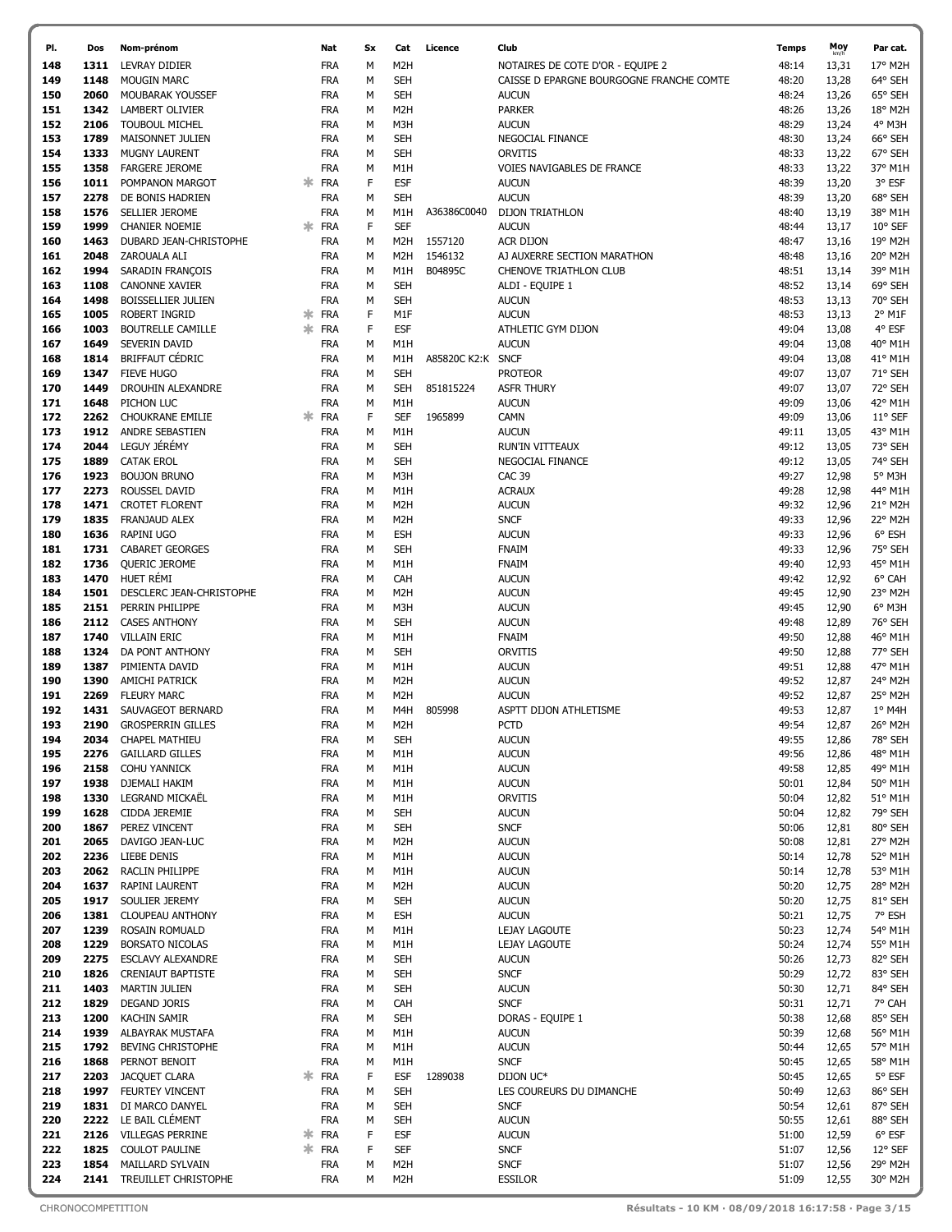| PI.        | Dos          | Nom-prénom                                       |    | Nat                      | Sx     | Cat                      | Licence           | Club                                     | <b>Temps</b>   | Moy            | Par cat.           |
|------------|--------------|--------------------------------------------------|----|--------------------------|--------|--------------------------|-------------------|------------------------------------------|----------------|----------------|--------------------|
| 148        | 1311         | LEVRAY DIDIER                                    |    | <b>FRA</b>               | M      | M <sub>2</sub> H         |                   | NOTAIRES DE COTE D'OR - EQUIPE 2         | 48:14          | 13,31          | 17° M2H            |
| 149        | 1148         | <b>MOUGIN MARC</b>                               |    | <b>FRA</b>               | M      | <b>SEH</b>               |                   | CAISSE D EPARGNE BOURGOGNE FRANCHE COMTE | 48:20          | 13,28          | 64° SEH            |
| 150        | 2060         | MOUBARAK YOUSSEF                                 |    | <b>FRA</b>               | M      | <b>SEH</b>               |                   | <b>AUCUN</b>                             | 48:24          | 13,26          | 65° SEH            |
| 151        | 1342         | <b>LAMBERT OLIVIER</b>                           |    | <b>FRA</b>               | M      | M <sub>2</sub> H         |                   | <b>PARKER</b>                            | 48:26          | 13,26          | 18° M2H            |
| 152        | 2106         | <b>TOUBOUL MICHEL</b>                            |    | <b>FRA</b>               | M      | M3H                      |                   | <b>AUCUN</b>                             | 48:29          | 13,24          | 4° M3H             |
| 153        | 1789         | MAISONNET JULIEN                                 |    | <b>FRA</b>               | M      | <b>SEH</b>               |                   | NEGOCIAL FINANCE                         | 48:30          | 13,24          | 66° SEH            |
| 154        | 1333         | <b>MUGNY LAURENT</b>                             |    | <b>FRA</b>               | M      | <b>SEH</b>               |                   | ORVITIS                                  | 48:33          | 13,22          | 67° SEH            |
| 155        | 1358         | <b>FARGERE JEROME</b>                            |    | <b>FRA</b>               | M      | M1H                      |                   | VOIES NAVIGABLES DE FRANCE               | 48:33          | 13,22          | 37° M1H            |
| 156        | 1011         | POMPANON MARGOT                                  | ж. | <b>FRA</b>               | F      | <b>ESF</b>               |                   | <b>AUCUN</b>                             | 48:39          | 13,20          | 3° ESF             |
| 157        | 2278         | DE BONIS HADRIEN                                 |    | <b>FRA</b>               | М      | <b>SEH</b>               |                   | <b>AUCUN</b>                             | 48:39          | 13,20          | 68° SEH            |
| 158        | 1576         | SELLIER JEROME                                   |    | <b>FRA</b>               | M      | M1H                      | A36386C0040       | <b>DIJON TRIATHLON</b>                   | 48:40          | 13,19          | 38° M1H            |
| 159        | 1999         | <b>CHANIER NOEMIE</b>                            |    | <b>FRA</b>               | F      | <b>SEF</b>               |                   | <b>AUCUN</b>                             | 48:44          | 13,17          | 10° SEF            |
| 160        | 1463         | DUBARD JEAN-CHRISTOPHE                           |    | <b>FRA</b>               | M      | M2H                      | 1557120           | <b>ACR DIJON</b>                         | 48:47          | 13,16          | 19° M2H            |
| 161        | 2048         | ZAROUALA ALI                                     |    | <b>FRA</b>               | M      | M <sub>2</sub> H         | 1546132           | AJ AUXERRE SECTION MARATHON              | 48:48          | 13,16          | 20° M2H            |
| 162        | 1994         | SARADIN FRANÇOIS                                 |    | <b>FRA</b>               | M      | M1H                      | B04895C           | CHENOVE TRIATHLON CLUB                   | 48:51          | 13,14          | 39° M1H            |
| 163        | 1108         | <b>CANONNE XAVIER</b>                            |    | <b>FRA</b>               | M      | <b>SEH</b>               |                   | ALDI - EQUIPE 1                          | 48:52          | 13,14          | 69° SEH            |
| 164        | 1498         | BOISSELLIER JULIEN                               |    | <b>FRA</b>               | M      | <b>SEH</b>               |                   | <b>AUCUN</b>                             | 48:53          | 13,13          | 70° SEH            |
| 165        | 1005         | ROBERT INGRID                                    | ж. | <b>FRA</b>               | F      | M1F                      |                   | <b>AUCUN</b>                             | 48:53          | 13,13          | 2° M1F             |
| 166        | 1003         | <b>BOUTRELLE CAMILLE</b>                         | ж. | <b>FRA</b>               | F      | <b>ESF</b>               |                   | ATHLETIC GYM DIJON                       | 49:04          | 13,08          | 4° ESF             |
| 167        | 1649         | SEVERIN DAVID                                    |    | <b>FRA</b>               | М      | M1H                      |                   | <b>AUCUN</b>                             | 49:04          | 13,08          | 40° M1H            |
| 168        | 1814         | <b>BRIFFAUT CÉDRIC</b>                           |    | <b>FRA</b>               | M      | M1H                      | A85820C K2:K SNCF |                                          | 49:04          | 13,08          | 41° M1H            |
| 169        | 1347         | <b>FIEVE HUGO</b>                                |    | <b>FRA</b>               | M      | <b>SEH</b>               |                   | <b>PROTEOR</b>                           | 49:07          | 13,07          | 71° SEH            |
| 170        | 1449         | DROUHIN ALEXANDRE                                |    | <b>FRA</b>               | M      | <b>SEH</b>               | 851815224         | <b>ASFR THURY</b>                        | 49:07          | 13,07          | 72° SEH            |
| 171        | 1648         | PICHON LUC                                       |    | <b>FRA</b>               | M      | M1H                      |                   | <b>AUCUN</b>                             | 49:09          | 13,06          | 42° M1H            |
| 172        | 2262         | CHOUKRANE EMILIE                                 | ж. | <b>FRA</b>               | F      | <b>SEF</b>               | 1965899           | <b>CAMN</b>                              | 49:09          | 13,06          | 11° SEF            |
| 173        | 1912         | ANDRE SEBASTIEN                                  |    | <b>FRA</b>               | M      | M1H                      |                   | <b>AUCUN</b>                             | 49:11          | 13,05          | 43° M1H            |
| 174        | 2044         | LEGUY JÉRÉMY                                     |    | <b>FRA</b>               | M      | <b>SEH</b>               |                   | RUN'IN VITTEAUX                          | 49:12          | 13,05          | 73° SEH            |
| 175        | 1889         | <b>CATAK EROL</b>                                |    | <b>FRA</b>               | M      | <b>SEH</b>               |                   | NEGOCIAL FINANCE                         | 49:12          | 13,05          | 74° SEH            |
| 176        | 1923         | <b>BOUJON BRUNO</b>                              |    | <b>FRA</b>               | M      | M3H                      |                   | <b>CAC 39</b>                            | 49:27          | 12,98          | 5° M3H             |
| 177        | 2273         | ROUSSEL DAVID                                    |    | <b>FRA</b>               | M      | M1H                      |                   | <b>ACRAUX</b>                            | 49:28          | 12,98          | 44° M1H            |
| 178        | 1471         | <b>CROTET FLORENT</b>                            |    | <b>FRA</b>               | M      | M2H                      |                   | <b>AUCUN</b>                             | 49:32          | 12,96          | 21° M2H            |
| 179        | 1835         | FRANJAUD ALEX                                    |    | <b>FRA</b>               | M      | M <sub>2</sub> H         |                   | <b>SNCF</b>                              | 49:33          | 12,96          | 22° M2H            |
| 180        | 1636         | RAPINI UGO                                       |    | <b>FRA</b>               | M      | <b>ESH</b>               |                   | <b>AUCUN</b>                             | 49:33          | 12,96          | 6° ESH<br>75° SEH  |
| 181        | 1731<br>1736 | <b>CABARET GEORGES</b>                           |    | <b>FRA</b>               | M<br>M | <b>SEH</b>               |                   | <b>FNAIM</b>                             | 49:33<br>49:40 | 12,96          | 45° M1H            |
| 182<br>183 | 1470         | QUERIC JEROME<br>HUET RÉMI                       |    | <b>FRA</b><br><b>FRA</b> | M      | M1H<br>CAH               |                   | <b>FNAIM</b><br><b>AUCUN</b>             | 49:42          | 12,93<br>12,92 | 6° CAH             |
| 184        | 1501         | DESCLERC JEAN-CHRISTOPHE                         |    | <b>FRA</b>               | M      | M <sub>2</sub> H         |                   | <b>AUCUN</b>                             | 49:45          | 12,90          | 23° M2H            |
| 185        | 2151         | PERRIN PHILIPPE                                  |    | <b>FRA</b>               | М      | M3H                      |                   | <b>AUCUN</b>                             | 49:45          | 12,90          | $6^{\circ}$ M3H    |
| 186        |              | 2112 CASES ANTHONY                               |    | <b>FRA</b>               | M      | <b>SEH</b>               |                   | <b>AUCUN</b>                             | 49:48          | 12,89          | 76° SEH            |
| 187        | 1740         | <b>VILLAIN ERIC</b>                              |    | <b>FRA</b>               | M      | M1H                      |                   | <b>FNAIM</b>                             | 49:50          | 12,88          | 46° M1H            |
| 188        | 1324         | DA PONT ANTHONY                                  |    | <b>FRA</b>               | M      | <b>SEH</b>               |                   | ORVITIS                                  | 49:50          | 12,88          | 77° SEH            |
| 189        | 1387         | PIMIENTA DAVID                                   |    | <b>FRA</b>               | M      | M1H                      |                   | <b>AUCUN</b>                             | 49:51          | 12,88          | 47° M1H            |
| 190        | 1390         | <b>AMICHI PATRICK</b>                            |    | <b>FRA</b>               | M      | M2H                      |                   | <b>AUCUN</b>                             | 49:52          | 12,87          | 24° M2H            |
| 191        | 2269         | <b>FLEURY MARC</b>                               |    | <b>FRA</b>               | М      | M <sub>2</sub> H         |                   | <b>AUCUN</b>                             | 49:52          | 12,87          | 25° M2H            |
| 192        | 1431         | SAUVAGEOT BERNARD                                |    | <b>FRA</b>               | M      | M4H                      | 805998            | ASPTT DIJON ATHLETISME                   | 49:53          | 12,87          | $1°$ M4H           |
| 193        | 2190         | <b>GROSPERRIN GILLES</b>                         |    | <b>FRA</b>               | М      | M <sub>2</sub> H         |                   | <b>PCTD</b>                              | 49:54          | 12,87          | 26° M2H            |
| 194        | 2034         | <b>CHAPEL MATHIEU</b>                            |    | <b>FRA</b>               | М      | <b>SEH</b>               |                   | <b>AUCUN</b>                             | 49:55          | 12,86          | 78° SEH            |
| 195        | 2276         | <b>GAILLARD GILLES</b>                           |    | <b>FRA</b>               | М      | M1H                      |                   | <b>AUCUN</b>                             | 49:56          | 12,86          | 48° M1H            |
| 196        | 2158         | <b>COHU YANNICK</b>                              |    | FRA                      | М      | M1H                      |                   | <b>AUCUN</b>                             | 49:58          | 12,85          | 49° M1H            |
| 197        | 1938         | DJEMALI HAKIM                                    |    | <b>FRA</b>               | M      | M1H                      |                   | <b>AUCUN</b>                             | 50:01          | 12,84          | 50° M1H            |
| 198        | 1330         | LEGRAND MICKAËL                                  |    | <b>FRA</b>               | M      | M <sub>1</sub> H         |                   | <b>ORVITIS</b>                           | 50:04          | 12,82          | 51° M1H            |
| 199        | 1628         | CIDDA JEREMIE                                    |    | <b>FRA</b>               | М      | <b>SEH</b>               |                   | <b>AUCUN</b>                             | 50:04          | 12,82          | 79° SEH            |
| 200        | 1867         | PEREZ VINCENT                                    |    | <b>FRA</b>               | M      | <b>SEH</b>               |                   | <b>SNCF</b>                              | 50:06          | 12,81          | 80° SEH            |
| 201        | 2065         | DAVIGO JEAN-LUC                                  |    | <b>FRA</b>               | M      | M <sub>2</sub> H         |                   | <b>AUCUN</b>                             | 50:08          | 12,81          | 27° M2H            |
| 202        | 2236         | LIEBE DENIS                                      |    | <b>FRA</b>               | M      | M1H                      |                   | <b>AUCUN</b>                             | 50:14          | 12,78          | 52° M1H            |
| 203        | 2062         | RACLIN PHILIPPE                                  |    | <b>FRA</b>               | M      | M1H                      |                   | <b>AUCUN</b>                             | 50:14          | 12,78          | 53° M1H            |
| 204        | 1637         | <b>RAPINI LAURENT</b>                            |    | <b>FRA</b>               | М      | M <sub>2</sub> H         |                   | <b>AUCUN</b>                             | 50:20          | 12,75          | 28° M2H            |
| 205        | 1917         | SOULIER JEREMY                                   |    | <b>FRA</b>               | M      | <b>SEH</b>               |                   | <b>AUCUN</b>                             | 50:20          | 12,75          | 81° SEH            |
| 206        | 1381         | <b>CLOUPEAU ANTHONY</b>                          |    | <b>FRA</b>               | М      | <b>ESH</b>               |                   | <b>AUCUN</b>                             | 50:21          | 12,75          | 7° ESH             |
| 207        | 1239         | ROSAIN ROMUALD                                   |    | <b>FRA</b>               | M      | M <sub>1</sub> H         |                   | LEJAY LAGOUTE                            | 50:23          | 12,74          | 54° M1H            |
| 208        | 1229         | <b>BORSATO NICOLAS</b>                           |    | <b>FRA</b>               | M      | M1H                      |                   | LEJAY LAGOUTE                            | 50:24          | 12,74          | 55° M1H            |
| 209        | 2275         | <b>ESCLAVY ALEXANDRE</b>                         |    | <b>FRA</b>               | М      | <b>SEH</b>               |                   | <b>AUCUN</b>                             | 50:26          | 12,73          | 82° SEH            |
| 210<br>211 | 1826<br>1403 | <b>CRENIAUT BAPTISTE</b><br><b>MARTIN JULIEN</b> |    | <b>FRA</b><br><b>FRA</b> | М<br>М | <b>SEH</b><br><b>SEH</b> |                   | <b>SNCF</b><br><b>AUCUN</b>              | 50:29<br>50:30 | 12,72<br>12,71 | 83° SEH<br>84° SEH |
| 212        | 1829         | DEGAND JORIS                                     |    | <b>FRA</b>               | M      | CAH                      |                   | <b>SNCF</b>                              | 50:31          | 12,71          | 7° CAH             |
| 213        | 1200         | <b>KACHIN SAMIR</b>                              |    | <b>FRA</b>               | M      | <b>SEH</b>               |                   | DORAS - EQUIPE 1                         | 50:38          | 12,68          | 85° SEH            |
| 214        | 1939         | ALBAYRAK MUSTAFA                                 |    | <b>FRA</b>               | М      | M <sub>1</sub> H         |                   | <b>AUCUN</b>                             | 50:39          | 12,68          | 56° M1H            |
| 215        | 1792         | <b>BEVING CHRISTOPHE</b>                         |    | <b>FRA</b>               | M      | M1H                      |                   | <b>AUCUN</b>                             | 50:44          | 12,65          | 57° M1H            |
| 216        | 1868         | PERNOT BENOIT                                    |    | <b>FRA</b>               | М      | M <sub>1</sub> H         |                   | <b>SNCF</b>                              | 50:45          | 12,65          | 58° M1H            |
| 217        | 2203         | JACQUET CLARA                                    | ж. | <b>FRA</b>               | F      | <b>ESF</b>               | 1289038           | DIJON UC*                                | 50:45          | 12,65          | 5° ESF             |
| 218        | 1997         | FEURTEY VINCENT                                  |    | <b>FRA</b>               | М      | <b>SEH</b>               |                   | LES COUREURS DU DIMANCHE                 | 50:49          | 12,63          | 86° SEH            |
| 219        | 1831         | DI MARCO DANYEL                                  |    | <b>FRA</b>               | М      | <b>SEH</b>               |                   | <b>SNCF</b>                              | 50:54          | 12,61          | 87° SEH            |
| 220        | 2222         | LE BAIL CLÉMENT                                  |    | <b>FRA</b>               | М      | <b>SEH</b>               |                   | <b>AUCUN</b>                             | 50:55          | 12,61          | 88° SEH            |
| 221        | 2126         | <b>VILLEGAS PERRINE</b>                          | ∗. | FRA                      | F      | <b>ESF</b>               |                   | <b>AUCUN</b>                             | 51:00          | 12,59          | 6° ESF             |
| 222        | 1825         | <b>COULOT PAULINE</b>                            | ∗. | <b>FRA</b>               | F      | <b>SEF</b>               |                   | <b>SNCF</b>                              | 51:07          | 12,56          | 12° SEF            |
| 223        | 1854         | MAILLARD SYLVAIN                                 |    | <b>FRA</b>               | М      | M <sub>2</sub> H         |                   | <b>SNCF</b>                              | 51:07          | 12,56          | 29° M2H            |
| 224        | 2141         | TREUILLET CHRISTOPHE                             |    | <b>FRA</b>               | М      | M2H                      |                   | <b>ESSILOR</b>                           | 51:09          | 12,55          | 30° M2H            |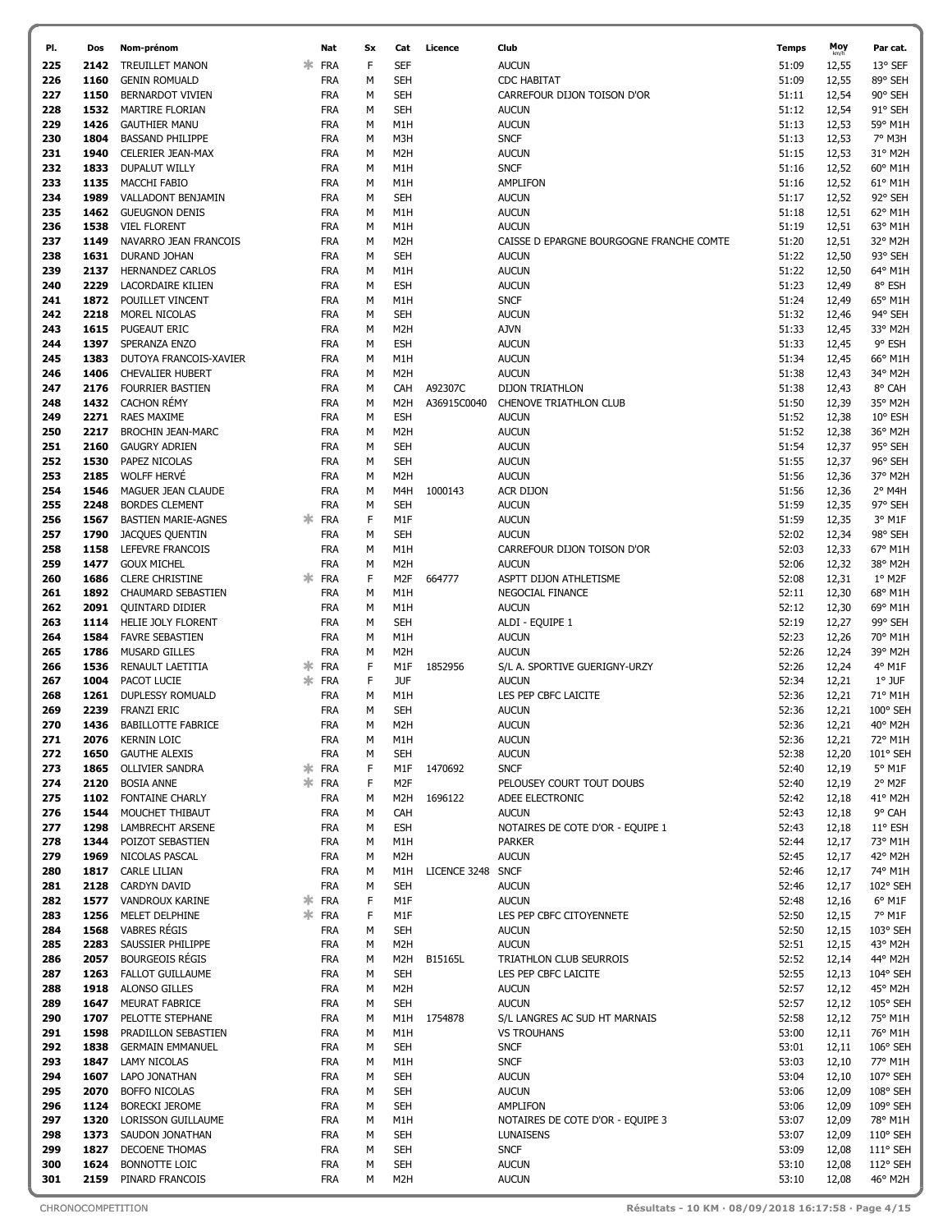| PI.        | Dos          | Nom-prénom                                         |    | Nat                      | Sx     | Cat                            | Licence      | Club                                        | <b>Temps</b>   | Moy            | Par cat.                     |
|------------|--------------|----------------------------------------------------|----|--------------------------|--------|--------------------------------|--------------|---------------------------------------------|----------------|----------------|------------------------------|
| 225        | 2142         | <b>TREUILLET MANON</b>                             |    | FRA                      | F      | <b>SEF</b>                     |              | <b>AUCUN</b>                                | 51:09          | 12,55          | 13° SEF                      |
| 226        | 1160         | <b>GENIN ROMUALD</b>                               |    | <b>FRA</b>               | М      | <b>SEH</b>                     |              | <b>CDC HABITAT</b>                          | 51:09          | 12,55          | 89° SEH                      |
| 227        | 1150         | BERNARDOT VIVIEN                                   |    | <b>FRA</b>               | М      | <b>SEH</b>                     |              | CARREFOUR DIJON TOISON D'OR                 | 51:11          | 12,54          | 90° SEH                      |
| 228        | 1532         | MARTIRE FLORIAN                                    |    | <b>FRA</b>               | M      | <b>SEH</b>                     |              | <b>AUCUN</b>                                | 51:12          | 12,54          | 91° SEH                      |
| 229        | 1426         | <b>GAUTHIER MANU</b>                               |    | <b>FRA</b>               | M      | M1H                            |              | <b>AUCUN</b>                                | 51:13          | 12,53          | 59° M1H                      |
| 230        | 1804         | <b>BASSAND PHILIPPE</b>                            |    | <b>FRA</b>               | М      | M3H                            |              | <b>SNCF</b>                                 | 51:13          | 12,53          | 7° M3H                       |
| 231        | 1940         | <b>CELERIER JEAN-MAX</b>                           |    | <b>FRA</b>               | М      | M <sub>2</sub> H               |              | <b>AUCUN</b>                                | 51:15          | 12,53          | 31° M2H                      |
| 232        | 1833         | DUPALUT WILLY                                      |    | <b>FRA</b>               | М      | M1H                            |              | <b>SNCF</b>                                 | 51:16          | 12,52          | 60° M1H                      |
| 233        | 1135         | MACCHI FABIO                                       |    | <b>FRA</b>               | M      | M1H                            |              | AMPLIFON                                    | 51:16          | 12,52          | 61° M1H                      |
| 234<br>235 | 1989<br>1462 | VALLADONT BENJAMIN<br><b>GUEUGNON DENIS</b>        |    | <b>FRA</b><br><b>FRA</b> | M<br>М | <b>SEH</b><br>M1H              |              | <b>AUCUN</b><br><b>AUCUN</b>                | 51:17<br>51:18 | 12,52<br>12,51 | 92° SEH<br>62° M1H           |
| 236        | 1538         | <b>VIEL FLORENT</b>                                |    | <b>FRA</b>               | M      | M <sub>1</sub> H               |              | <b>AUCUN</b>                                | 51:19          | 12,51          | 63° M1H                      |
| 237        | 1149         | NAVARRO JEAN FRANCOIS                              |    | <b>FRA</b>               | M      | M <sub>2</sub> H               |              | CAISSE D EPARGNE BOURGOGNE FRANCHE COMTE    | 51:20          | 12,51          | 32° M2H                      |
| 238        | 1631         | <b>DURAND JOHAN</b>                                |    | <b>FRA</b>               | M      | <b>SEH</b>                     |              | <b>AUCUN</b>                                | 51:22          | 12,50          | 93° SEH                      |
| 239        | 2137         | <b>HERNANDEZ CARLOS</b>                            |    | <b>FRA</b>               | М      | M1H                            |              | <b>AUCUN</b>                                | 51:22          | 12,50          | 64° M1H                      |
| 240        | 2229         | LACORDAIRE KILIEN                                  |    | <b>FRA</b>               | М      | <b>ESH</b>                     |              | <b>AUCUN</b>                                | 51:23          | 12,49          | 8° ESH                       |
| 241        | 1872         | POUILLET VINCENT                                   |    | <b>FRA</b>               | M      | M1H                            |              | <b>SNCF</b>                                 | 51:24          | 12,49          | 65° M1H                      |
| 242        | 2218         | MOREL NICOLAS                                      |    | <b>FRA</b>               | M      | <b>SEH</b>                     |              | <b>AUCUN</b>                                | 51:32          | 12,46          | 94° SEH                      |
| 243        | 1615         | PUGEAUT ERIC                                       |    | <b>FRA</b>               | M      | M <sub>2</sub> H               |              | <b>AJVN</b>                                 | 51:33          | 12,45          | 33° M2H                      |
| 244        | 1397         | SPERANZA ENZO                                      |    | <b>FRA</b>               | M      | <b>ESH</b>                     |              | <b>AUCUN</b>                                | 51:33          | 12,45          | 9° ESH                       |
| 245        | 1383         | DUTOYA FRANCOIS-XAVIER                             |    | <b>FRA</b>               | М      | M1H                            |              | <b>AUCUN</b>                                | 51:34          | 12,45          | 66° M1H                      |
| 246<br>247 | 1406<br>2176 | <b>CHEVALIER HUBERT</b><br><b>FOURRIER BASTIEN</b> |    | <b>FRA</b><br><b>FRA</b> | M<br>M | M2H<br>CAH                     | A92307C      | <b>AUCUN</b><br><b>DIJON TRIATHLON</b>      | 51:38<br>51:38 | 12,43<br>12,43 | 34° M2H<br>8° CAH            |
| 248        | 1432         | <b>CACHON RÉMY</b>                                 |    | <b>FRA</b>               | M      | M <sub>2</sub> H               | A36915C0040  | CHENOVE TRIATHLON CLUB                      | 51:50          | 12,39          | 35° M2H                      |
| 249        | 2271         | <b>RAES MAXIME</b>                                 |    | <b>FRA</b>               | M      | <b>ESH</b>                     |              | <b>AUCUN</b>                                | 51:52          | 12,38          | 10° ESH                      |
| 250        | 2217         | <b>BROCHIN JEAN-MARC</b>                           |    | <b>FRA</b>               | M      | M2H                            |              | <b>AUCUN</b>                                | 51:52          | 12,38          | 36° M2H                      |
| 251        | 2160         | <b>GAUGRY ADRIEN</b>                               |    | <b>FRA</b>               | M      | <b>SEH</b>                     |              | <b>AUCUN</b>                                | 51:54          | 12,37          | 95° SEH                      |
| 252        | 1530         | PAPEZ NICOLAS                                      |    | <b>FRA</b>               | M      | <b>SEH</b>                     |              | <b>AUCUN</b>                                | 51:55          | 12,37          | 96° SEH                      |
| 253        | 2185         | <b>WOLFF HERVE</b>                                 |    | <b>FRA</b>               | М      | M2H                            |              | <b>AUCUN</b>                                | 51:56          | 12,36          | 37° M2H                      |
| 254        | 1546         | MAGUER JEAN CLAUDE                                 |    | <b>FRA</b>               | M      | M4H                            | 1000143      | ACR DIJON                                   | 51:56          | 12,36          | 2° M4H                       |
| 255        | 2248         | <b>BORDES CLEMENT</b>                              |    | <b>FRA</b>               | M      | <b>SEH</b>                     |              | <b>AUCUN</b>                                | 51:59          | 12,35          | 97° SEH                      |
| 256        | 1567         | <b>BASTIEN MARIE-AGNES</b>                         |    | <b>FRA</b>               | F      | M1F                            |              | <b>AUCUN</b>                                | 51:59          | 12,35          | 3° M1F                       |
| 257        | 1790         | JACQUES QUENTIN                                    |    | <b>FRA</b>               | M      | <b>SEH</b>                     |              | <b>AUCUN</b>                                | 52:02          | 12,34          | 98° SEH                      |
| 258<br>259 | 1158<br>1477 | LEFEVRE FRANCOIS<br><b>GOUX MICHEL</b>             |    | <b>FRA</b><br><b>FRA</b> | М<br>M | M1H<br>M <sub>2</sub> H        |              | CARREFOUR DIJON TOISON D'OR<br><b>AUCUN</b> | 52:03<br>52:06 | 12,33<br>12,32 | 67° M1H<br>38° M2H           |
| 260        | 1686         | <b>CLERE CHRISTINE</b>                             |    | <b>FRA</b>               | F      | M <sub>2F</sub>                | 664777       | ASPTT DIJON ATHLETISME                      | 52:08          | 12,31          | 1° M2F                       |
| 261        | 1892         | CHAUMARD SEBASTIEN                                 |    | <b>FRA</b>               | М      | M1H                            |              | NEGOCIAL FINANCE                            | 52:11          | 12,30          | 68° M1H                      |
| 262        | 2091         | QUINTARD DIDIER                                    |    | <b>FRA</b>               | M      | M1H                            |              | <b>AUCUN</b>                                | 52:12          | 12,30          | 69° M1H                      |
| 263        | 1114         | HELIE JOLY FLORENT                                 |    | <b>FRA</b>               | М      | <b>SEH</b>                     |              | ALDI - EQUIPE 1                             | 52:19          | 12,27          | 99° SEH                      |
| 264        | 1584         | <b>FAVRE SEBASTIEN</b>                             |    | <b>FRA</b>               | М      | M1H                            |              | <b>AUCUN</b>                                | 52:23          | 12,26          | 70° M1H                      |
| 265        | 1786         | <b>MUSARD GILLES</b>                               |    | <b>FRA</b>               | М      | M2H                            |              | <b>AUCUN</b>                                | 52:26          | 12,24          | 39° M2H                      |
| 266        | 1536         | RENAULT LAETITIA                                   | ж. | <b>FRA</b>               | F      | M1F                            | 1852956      | S/L A. SPORTIVE GUERIGNY-URZY               | 52:26          | 12,24          | 4° M1F                       |
| 267        | 1004         | PACOT LUCIE                                        | ж. | <b>FRA</b>               | F      | <b>JUF</b>                     |              | <b>AUCUN</b>                                | 52:34          | 12,21          | $1°$ JUF                     |
| 268        | 1261         | DUPLESSY ROMUALD                                   |    | <b>FRA</b>               | М      | M1H                            |              | LES PEP CBFC LAICITE                        | 52:36          | 12,21          | 71° M1H                      |
| 269<br>270 | 2239<br>1436 | FRANZI ERIC<br><b>BABILLOTTE FABRICE</b>           |    | <b>FRA</b><br><b>FRA</b> | M<br>M | <b>SEH</b><br>M <sub>2</sub> H |              | <b>AUCUN</b><br><b>AUCUN</b>                | 52:36<br>52:36 | 12,21<br>12,21 | 100° SEH<br>40° M2H          |
| 271        | 2076         | <b>KERNIN LOIC</b>                                 |    | <b>FRA</b>               | М      | M1H                            |              | <b>AUCUN</b>                                | 52:36          | 12,21          | 72° M1H                      |
| 272        | 1650         | <b>GAUTHE ALEXIS</b>                               |    | <b>FRA</b>               | М      | <b>SEH</b>                     |              | <b>AUCUN</b>                                | 52:38          | 12,20          | 101° SEH                     |
| 273        | 1865         | <b>OLLIVIER SANDRA</b>                             | *  | FRA                      | F      | M1F                            | 1470692      | <b>SNCF</b>                                 | 52:40          | 12,19          | $5^{\circ}$ M1F              |
| 274        | 2120         | <b>BOSIA ANNE</b>                                  |    | $*$ FRA                  | F      | M <sub>2F</sub>                |              | PELOUSEY COURT TOUT DOUBS                   | 52:40          | 12,19          | $2^{\circ}$ M <sub>2</sub> F |
| 275        |              | 1102 FONTAINE CHARLY                               |    | <b>FRA</b>               | М      | M2H                            | 1696122      | ADEE ELECTRONIC                             | 52:42          | 12,18          | 41° M2H                      |
| 276        |              | 1544 MOUCHET THIBAUT                               |    | <b>FRA</b>               | М      | CAH                            |              | <b>AUCUN</b>                                | 52:43          | 12,18          | 9° CAH                       |
| 277        | 1298         | <b>LAMBRECHT ARSENE</b>                            |    | <b>FRA</b>               | М      | <b>ESH</b>                     |              | NOTAIRES DE COTE D'OR - EQUIPE 1            | 52:43          | 12,18          | 11° ESH                      |
| 278        | 1344         | POIZOT SEBASTIEN                                   |    | <b>FRA</b>               | М      | M1H                            |              | <b>PARKER</b>                               | 52:44          | 12,17          | 73° M1H                      |
| 279        | 1969         | NICOLAS PASCAL                                     |    | <b>FRA</b>               | М      | M <sub>2</sub> H               |              | <b>AUCUN</b>                                | 52:45          | 12,17          | 42° M2H<br>74° M1H           |
| 280<br>281 |              | 1817 CARLE LILIAN<br>2128 CARDYN DAVID             |    | <b>FRA</b><br><b>FRA</b> | М<br>М | M1H<br><b>SEH</b>              | LICENCE 3248 | <b>SNCF</b><br><b>AUCUN</b>                 | 52:46<br>52:46 | 12,17<br>12,17 | 102° SEH                     |
| 282        | 1577         | VANDROUX KARINE                                    | ж. | FRA                      | F      | M1F                            |              | <b>AUCUN</b>                                | 52:48          | 12,16          | $6^{\circ}$ M1F              |
| 283        | 1256         | MELET DELPHINE                                     | ж. | <b>FRA</b>               | F      | M1F                            |              | LES PEP CBFC CITOYENNETE                    | 52:50          | 12,15          | 7° M1F                       |
| 284        | 1568         | VABRES RÉGIS                                       |    | <b>FRA</b>               | М      | <b>SEH</b>                     |              | <b>AUCUN</b>                                | 52:50          | 12,15          | 103° SEH                     |
| 285        | 2283         | SAUSSIER PHILIPPE                                  |    | <b>FRA</b>               | М      | M2H                            |              | <b>AUCUN</b>                                | 52:51          | 12,15          | 43° M2H                      |
| 286        | 2057         | <b>BOURGEOIS RÉGIS</b>                             |    | <b>FRA</b>               | М      | M2H                            | B15165L      | TRIATHLON CLUB SEURROIS                     | 52:52          | 12,14          | 44° M2H                      |
| 287        | 1263         | <b>FALLOT GUILLAUME</b>                            |    | <b>FRA</b>               | М      | <b>SEH</b>                     |              | LES PEP CBFC LAICITE                        | 52:55          | 12,13          | 104° SEH                     |
| 288        | 1918         | ALONSO GILLES                                      |    | <b>FRA</b>               | М      | M <sub>2</sub> H               |              | <b>AUCUN</b>                                | 52:57          | 12,12          | 45° M2H                      |
| 289        |              | 1647 MEURAT FABRICE                                |    | <b>FRA</b>               | М      | <b>SEH</b>                     |              | <b>AUCUN</b>                                | 52:57          | 12,12          | 105° SEH                     |
| 290        | 1707         | PELOTTE STEPHANE                                   |    | <b>FRA</b>               | М      | M1H                            | 1754878      | S/L LANGRES AC SUD HT MARNAIS               | 52:58          | 12,12          | 75° M1H                      |
| 291<br>292 | 1598<br>1838 | PRADILLON SEBASTIEN<br><b>GERMAIN EMMANUEL</b>     |    | <b>FRA</b><br><b>FRA</b> | М<br>М | M1H<br><b>SEH</b>              |              | <b>VS TROUHANS</b><br><b>SNCF</b>           | 53:00<br>53:01 | 12,11<br>12,11 | 76° M1H<br>106° SEH          |
| 293        |              | 1847 LAMY NICOLAS                                  |    | <b>FRA</b>               | М      | M <sub>1</sub> H               |              | <b>SNCF</b>                                 | 53:03          | 12,10          | 77° M1H                      |
| 294        | 1607         | LAPO JONATHAN                                      |    | <b>FRA</b>               | M      | <b>SEH</b>                     |              | <b>AUCUN</b>                                | 53:04          | 12,10          | 107° SEH                     |
| 295        | 2070         | <b>BOFFO NICOLAS</b>                               |    | <b>FRA</b>               | М      | <b>SEH</b>                     |              | <b>AUCUN</b>                                | 53:06          | 12,09          | 108° SEH                     |
| 296        | 1124         | <b>BORECKI JEROME</b>                              |    | <b>FRA</b>               | М      | <b>SEH</b>                     |              | AMPLIFON                                    | 53:06          | 12,09          | 109° SEH                     |
| 297        | 1320         | LORISSON GUILLAUME                                 |    | <b>FRA</b>               | М      | M1H                            |              | NOTAIRES DE COTE D'OR - EQUIPE 3            | 53:07          | 12,09          | 78° M1H                      |
| 298        |              | 1373 SAUDON JONATHAN                               |    | <b>FRA</b>               | M      | <b>SEH</b>                     |              | <b>LUNAISENS</b>                            | 53:07          | 12,09          | 110° SEH                     |
| 299        | 1827         | <b>DECOENE THOMAS</b>                              |    | <b>FRA</b>               | M      | <b>SEH</b>                     |              | <b>SNCF</b>                                 | 53:09          | 12,08          | 111° SEH                     |
| 300        | 1624         | BONNOTTE LOIC                                      |    | <b>FRA</b>               | М      | <b>SEH</b>                     |              | <b>AUCUN</b>                                | 53:10          | 12,08          | 112° SEH                     |
| 301        | 2159         | PINARD FRANCOIS                                    |    | <b>FRA</b>               | М      | M <sub>2</sub> H               |              | <b>AUCUN</b>                                | 53:10          | 12,08          | 46° M2H                      |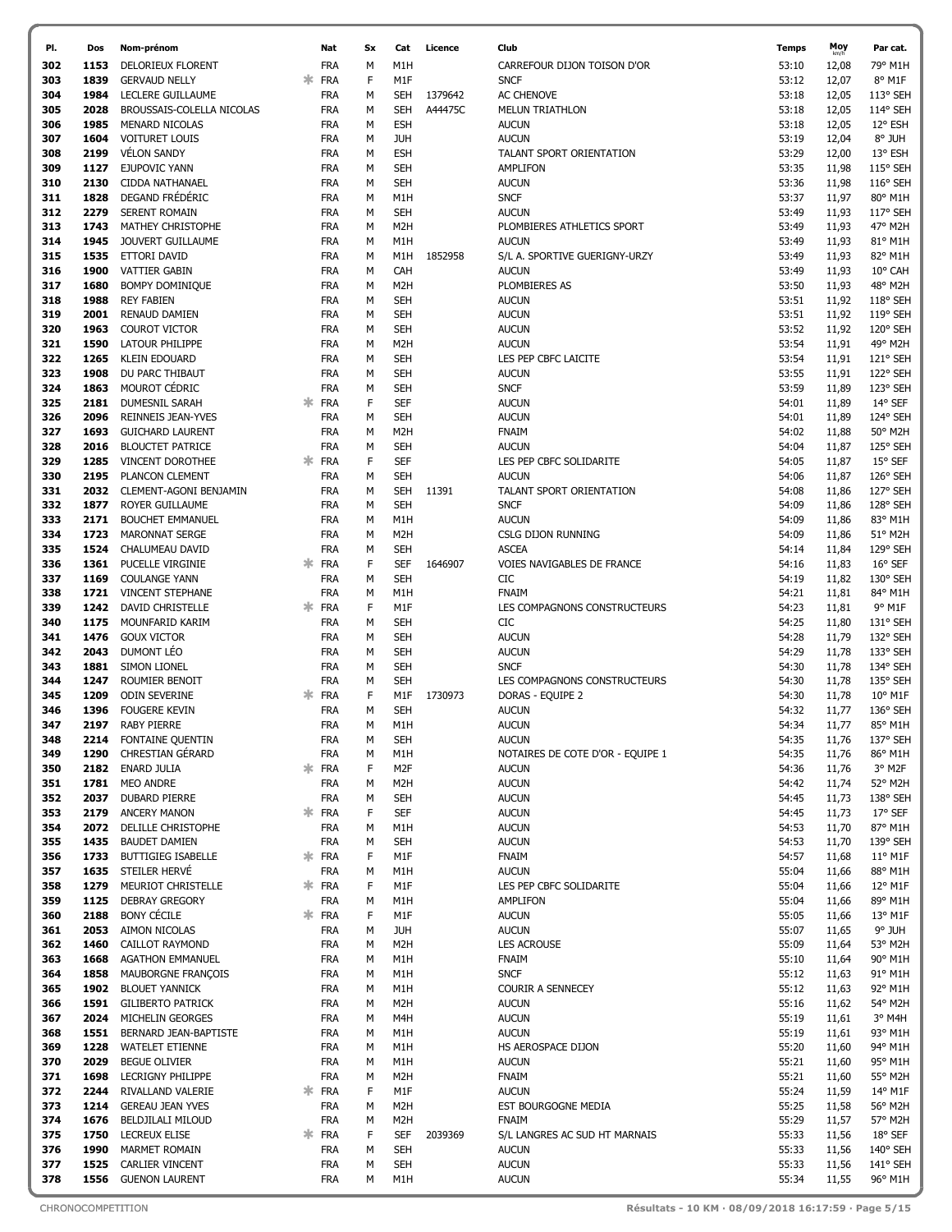| PI.        | Dos          | Nom-prénom                                  |    | Nat                      | Sx               | Cat                            | Licence | Club                                             | <b>Temps</b>   | Moy            | Par cat.            |
|------------|--------------|---------------------------------------------|----|--------------------------|------------------|--------------------------------|---------|--------------------------------------------------|----------------|----------------|---------------------|
| 302        | 1153         | DELORIEUX FLORENT                           |    | <b>FRA</b>               | М                | M <sub>1</sub> H               |         | CARREFOUR DIJON TOISON D'OR                      | 53:10          | 12,08          | 79° M1H             |
| 303        | 1839         | <b>GERVAUD NELLY</b>                        | ∗  | <b>FRA</b>               | F                | M1F                            |         | <b>SNCF</b>                                      | 53:12          | 12,07          | 8° M1F              |
| 304        | 1984         | LECLERE GUILLAUME                           |    | <b>FRA</b>               | M                | <b>SEH</b>                     | 1379642 | <b>AC CHENOVE</b>                                | 53:18          | 12,05          | 113° SEH            |
| 305        | 2028         | BROUSSAIS-COLELLA NICOLAS                   |    | <b>FRA</b>               | M                | <b>SEH</b>                     | A44475C | <b>MELUN TRIATHLON</b>                           | 53:18          | 12,05          | 114° SEH            |
| 306        | 1985         | <b>MENARD NICOLAS</b>                       |    | <b>FRA</b>               | M                | <b>ESH</b>                     |         | <b>AUCUN</b>                                     | 53:18          | 12,05          | 12° ESH             |
| 307        | 1604         | <b>VOITURET LOUIS</b>                       |    | <b>FRA</b>               | M                | <b>JUH</b>                     |         | <b>AUCUN</b>                                     | 53:19          | 12,04          | 8° JUH              |
| 308        | 2199         | <b>VÉLON SANDY</b>                          |    | <b>FRA</b>               | M                | <b>ESH</b>                     |         | TALANT SPORT ORIENTATION                         | 53:29          | 12,00          | 13° ESH             |
| 309        | 1127         | EJUPOVIC YANN                               |    | <b>FRA</b>               | M                | <b>SEH</b>                     |         | AMPLIFON                                         | 53:35          | 11,98          | 115° SEH            |
| 310        | 2130         | <b>CIDDA NATHANAEL</b>                      |    | <b>FRA</b>               | M                | <b>SEH</b>                     |         | <b>AUCUN</b>                                     | 53:36          | 11,98          | 116° SEH            |
| 311        | 1828         | DEGAND FRÉDÉRIC                             |    | <b>FRA</b>               | М                | M1H                            |         | <b>SNCF</b>                                      | 53:37          | 11,97          | 80° M1H             |
| 312        | 2279         | <b>SERENT ROMAIN</b>                        |    | <b>FRA</b>               | M                | <b>SEH</b>                     |         | <b>AUCUN</b>                                     | 53:49          | 11,93          | 117° SEH            |
| 313        | 1743         | MATHEY CHRISTOPHE                           |    | <b>FRA</b>               | M                | M <sub>2</sub> H               |         | PLOMBIERES ATHLETICS SPORT                       | 53:49          | 11,93          | 47° M2H             |
| 314        | 1945         | JOUVERT GUILLAUME                           |    | <b>FRA</b>               | М                | M1H                            |         | <b>AUCUN</b>                                     | 53:49          | 11,93          | 81° M1H             |
| 315        | 1535         | ETTORI DAVID                                |    | <b>FRA</b>               | M                | M1H                            | 1852958 | S/L A. SPORTIVE GUERIGNY-URZY                    | 53:49          | 11,93          | 82° M1H             |
| 316        | 1900         | <b>VATTIER GABIN</b>                        |    | <b>FRA</b>               | M                | CAH                            |         | <b>AUCUN</b>                                     | 53:49          | 11,93          | 10° CAH             |
| 317        | 1680         | <b>BOMPY DOMINIQUE</b>                      |    | <b>FRA</b>               | M                | M <sub>2</sub> H               |         | PLOMBIERES AS                                    | 53:50          | 11,93          | 48° M2H             |
| 318        | 1988         | <b>REY FABIEN</b>                           |    | <b>FRA</b>               | M                | <b>SEH</b>                     |         | <b>AUCUN</b>                                     | 53:51          | 11,92          | 118° SEH            |
| 319        | 2001         | RENAUD DAMIEN                               |    | <b>FRA</b>               | M                | <b>SEH</b>                     |         | <b>AUCUN</b>                                     | 53:51          | 11,92          | 119° SEH            |
| 320        | 1963         | <b>COUROT VICTOR</b>                        |    | <b>FRA</b>               | M                | <b>SEH</b>                     |         | <b>AUCUN</b>                                     | 53:52          | 11,92          | 120° SEH            |
| 321        | 1590         | LATOUR PHILIPPE                             |    | <b>FRA</b>               | M                | M <sub>2</sub> H               |         | <b>AUCUN</b>                                     | 53:54          | 11,91          | 49° M2H             |
| 322        | 1265         | <b>KLEIN EDOUARD</b>                        |    | <b>FRA</b>               | M                | <b>SEH</b>                     |         | LES PEP CBFC LAICITE                             | 53:54          | 11,91          | 121° SEH            |
| 323        | 1908         | DU PARC THIBAUT                             |    | <b>FRA</b>               | M                | <b>SEH</b>                     |         | <b>AUCUN</b>                                     | 53:55          | 11,91          | 122° SEH            |
| 324        | 1863         | MOUROT CÉDRIC                               |    | <b>FRA</b>               | M                | <b>SEH</b>                     |         | <b>SNCF</b>                                      | 53:59          | 11,89          | 123° SEH            |
| 325        | 2181         | <b>DUMESNIL SARAH</b>                       |    | <b>FRA</b>               | F                | <b>SEF</b>                     |         | <b>AUCUN</b>                                     | 54:01          | 11,89          | 14° SEF             |
| 326        | 2096         | REINNEIS JEAN-YVES                          |    | <b>FRA</b>               | M                | <b>SEH</b>                     |         | <b>AUCUN</b>                                     | 54:01          | 11,89          | 124° SEH            |
| 327        | 1693         | <b>GUICHARD LAURENT</b>                     |    | <b>FRA</b>               | M                | M <sub>2</sub> H               |         | <b>FNAIM</b>                                     | 54:02          | 11,88          | 50° M2H             |
| 328        | 2016         | <b>BLOUCTET PATRICE</b>                     |    | <b>FRA</b>               | M                | <b>SEH</b>                     |         | <b>AUCUN</b>                                     | 54:04          | 11,87          | 125° SEH            |
| 329        | 1285         | <b>VINCENT DOROTHEE</b>                     |    | <b>FRA</b>               | F                | <b>SEF</b>                     |         | LES PEP CBFC SOLIDARITE                          | 54:05          | 11,87          | 15° SEF             |
| 330        | 2195         | PLANCON CLEMENT                             |    | <b>FRA</b>               | M                | <b>SEH</b>                     |         | <b>AUCUN</b>                                     | 54:06          | 11,87          | 126° SEH            |
| 331        | 2032         | CLEMENT-AGONI BENJAMIN                      |    | <b>FRA</b>               | M                | <b>SEH</b>                     | 11391   | TALANT SPORT ORIENTATION                         | 54:08          | 11,86          | 127° SEH            |
| 332        | 1877         | ROYER GUILLAUME                             |    | <b>FRA</b>               | M                | <b>SEH</b>                     |         | <b>SNCF</b>                                      | 54:09          | 11,86          | 128° SEH            |
| 333        | 2171         | <b>BOUCHET EMMANUEL</b>                     |    | <b>FRA</b>               | M                | M1H                            |         | <b>AUCUN</b>                                     | 54:09          | 11,86          | 83° M1H             |
| 334        | 1723         | <b>MARONNAT SERGE</b>                       |    | <b>FRA</b>               | M                | M <sub>2</sub> H               |         | CSLG DIJON RUNNING                               | 54:09          | 11,86          | 51° M2H             |
| 335        | 1524         | CHALUMEAU DAVID                             |    | <b>FRA</b>               | М                | <b>SEH</b>                     |         | <b>ASCEA</b>                                     | 54:14          | 11,84          | 129° SEH            |
| 336        | 1361         | PUCELLE VIRGINIE                            | ж. | <b>FRA</b>               | F                | SEF                            | 1646907 | VOIES NAVIGABLES DE FRANCE                       | 54:16          | 11,83          | $16^{\circ}$ SEF    |
| 337        | 1169         | <b>COULANGE YANN</b>                        |    | <b>FRA</b>               | M                | <b>SEH</b>                     |         | CIC                                              | 54:19          | 11,82          | 130° SEH            |
| 338        | 1721         | <b>VINCENT STEPHANE</b>                     |    | <b>FRA</b>               | M                | M <sub>1</sub> H               |         | <b>FNAIM</b>                                     | 54:21          | 11,81          | 84° M1H             |
| 339        | 1242         | DAVID CHRISTELLE                            |    | <b>FRA</b>               | F                | M1F                            |         | LES COMPAGNONS CONSTRUCTEURS                     | 54:23          | 11,81          | 9° M1F              |
| 340        | 1175         | MOUNFARID KARIM                             |    | <b>FRA</b>               | М                | <b>SEH</b>                     |         | CIC                                              | 54:25          | 11,80          | 131° SEH            |
| 341        | 1476         | <b>GOUX VICTOR</b>                          |    | <b>FRA</b>               | M                | <b>SEH</b>                     |         | <b>AUCUN</b>                                     | 54:28          | 11,79          | 132° SEH            |
| 342        | 2043         | DUMONT LÉO                                  |    | <b>FRA</b>               | M                | <b>SEH</b>                     |         | <b>AUCUN</b>                                     | 54:29          | 11,78          | 133° SEH            |
| 343        | 1881         | SIMON LIONEL                                |    | <b>FRA</b>               | M                | <b>SEH</b>                     |         | <b>SNCF</b>                                      | 54:30          | 11,78          | 134° SEH            |
| 344        | 1247         | ROUMIER BENOIT                              |    | <b>FRA</b>               | М                | <b>SEH</b>                     |         | LES COMPAGNONS CONSTRUCTEURS                     | 54:30          | 11,78          | 135° SEH            |
| 345        | 1209         | <b>ODIN SEVERINE</b>                        | ж. | <b>FRA</b>               | F                | M1F                            | 1730973 | DORAS - EQUIPE 2                                 | 54:30          | 11,78          | 10° M1F             |
| 346<br>347 | 1396<br>2197 | <b>FOUGERE KEVIN</b><br><b>RABY PIERRE</b>  |    | <b>FRA</b><br><b>FRA</b> | M<br>М           | <b>SEH</b><br>M <sub>1</sub> H |         | <b>AUCUN</b><br><b>AUCUN</b>                     | 54:32<br>54:34 | 11,77          | 136° SEH<br>85° M1H |
|            |              |                                             |    |                          |                  |                                |         |                                                  |                | 11,77          |                     |
| 348<br>349 | 2214<br>1290 | FONTAINE QUENTIN<br><b>CHRESTIAN GÉRARD</b> |    | <b>FRA</b><br><b>FRA</b> | М                | <b>SEH</b>                     |         | <b>AUCUN</b>                                     | 54:35          | 11,76          | 137° SEH            |
| 350        | 2182         | <b>ENARD JULIA</b>                          |    | FRA                      | М<br>$\mathsf F$ | M1H<br>M2F                     |         | NOTAIRES DE COTE D'OR - EQUIPE 1<br><b>AUCUN</b> | 54:35<br>54:36 | 11,76<br>11,76 | 86° M1H<br>3° M2F   |
| 351        | 1781         | <b>MEO ANDRE</b>                            |    | <b>FRA</b>               | М                | M <sub>2</sub> H               |         | <b>AUCUN</b>                                     | 54:42          | 11,74          | 52° M2H             |
| 352        | 2037         | DUBARD PIERRE                               |    | <b>FRA</b>               | M                | <b>SEH</b>                     |         | <b>AUCUN</b>                                     | 54:45          | 11,73          | 138° SEH            |
| 353        | 2179         | <b>ANCERY MANON</b>                         |    | $*$ FRA                  | F                | <b>SEF</b>                     |         | <b>AUCUN</b>                                     | 54:45          | 11,73          | 17° SEF             |
| 354        |              | 2072 DELILLE CHRISTOPHE                     |    | <b>FRA</b>               | М                | M1H                            |         | <b>AUCUN</b>                                     | 54:53          | 11,70          | 87° M1H             |
| 355        | 1435         | <b>BAUDET DAMIEN</b>                        |    | <b>FRA</b>               | М                | <b>SEH</b>                     |         | <b>AUCUN</b>                                     | 54:53          | 11,70          | 139° SEH            |
| 356        | 1733         | <b>BUTTIGIEG ISABELLE</b>                   | ж. | <b>FRA</b>               | F                | M1F                            |         | <b>FNAIM</b>                                     | 54:57          | 11,68          | 11° M1F             |
| 357        | 1635         | STEILER HERVÉ                               |    | <b>FRA</b>               | М                | M1H                            |         | <b>AUCUN</b>                                     | 55:04          | 11,66          | 88° M1H             |
| 358        | 1279         | MEURIOT CHRISTELLE                          |    | * FRA                    | F                | M1F                            |         | LES PEP CBFC SOLIDARITE                          | 55:04          | 11,66          | 12° M1F             |
| 359        | 1125         | <b>DEBRAY GREGORY</b>                       |    | <b>FRA</b>               | М                | M1H                            |         | <b>AMPLIFON</b>                                  | 55:04          | 11,66          | 89° M1H             |
| 360        | 2188         | <b>BONY CÉCILE</b>                          |    | <b>FRA</b>               | F                | M1F                            |         | <b>AUCUN</b>                                     | 55:05          | 11,66          | 13° M1F             |
| 361        | 2053         | <b>AIMON NICOLAS</b>                        |    | <b>FRA</b>               | М                | <b>JUH</b>                     |         | <b>AUCUN</b>                                     | 55:07          | 11,65          | 9° JUH              |
| 362        | 1460         | <b>CAILLOT RAYMOND</b>                      |    | <b>FRA</b>               | М                | M <sub>2</sub> H               |         | <b>LES ACROUSE</b>                               | 55:09          | 11,64          | 53° M2H             |
| 363        | 1668         | <b>AGATHON EMMANUEL</b>                     |    | <b>FRA</b>               | M                | M1H                            |         | <b>FNAIM</b>                                     | 55:10          | 11,64          | 90° M1H             |
| 364        | 1858         | <b>MAUBORGNE FRANÇOIS</b>                   |    | <b>FRA</b>               | М                | M1H                            |         | <b>SNCF</b>                                      | 55:12          | 11,63          | 91° M1H             |
| 365        | 1902         | <b>BLOUET YANNICK</b>                       |    | <b>FRA</b>               | М                | M1H                            |         | COURIR A SENNECEY                                | 55:12          | 11,63          | 92° M1H             |
| 366        |              | 1591 GILIBERTO PATRICK                      |    | <b>FRA</b>               | M                | M <sub>2</sub> H               |         | <b>AUCUN</b>                                     | 55:16          | 11,62          | 54° M2H             |
| 367        | 2024         | MICHELIN GEORGES                            |    | <b>FRA</b>               | М                | M4H                            |         | <b>AUCUN</b>                                     | 55:19          | 11,61          | 3° M4H              |
| 368        | 1551         | BERNARD JEAN-BAPTISTE                       |    | <b>FRA</b>               | M                | M1H                            |         | <b>AUCUN</b>                                     | 55:19          | 11,61          | 93° M1H             |
| 369        | 1228         | <b>WATELET ETIENNE</b>                      |    | <b>FRA</b>               | М                | M1H                            |         | HS AEROSPACE DIJON                               | 55:20          | 11,60          | 94° M1H             |
| 370        | 2029         | <b>BEGUE OLIVIER</b>                        |    | <b>FRA</b>               | M                | M1H                            |         | <b>AUCUN</b>                                     | 55:21          | 11,60          | 95° M1H             |
| 371        | 1698         | <b>LECRIGNY PHILIPPE</b>                    |    | <b>FRA</b>               | М                | M <sub>2</sub> H               |         | <b>FNAIM</b>                                     | 55:21          | 11,60          | 55° M2H             |
| 372        | 2244         | RIVALLAND VALERIE                           |    | FRA                      | F                | M1F                            |         | <b>AUCUN</b>                                     | 55:24          | 11,59          | 14° M1F             |
| 373        | 1214         | <b>GEREAU JEAN YVES</b>                     |    | <b>FRA</b>               | М                | M <sub>2</sub> H               |         | EST BOURGOGNE MEDIA                              | 55:25          | 11,58          | 56° M2H             |
| 374        | 1676         | <b>BELDJILALI MILOUD</b>                    |    | <b>FRA</b>               | М                | M <sub>2</sub> H               |         | FNAIM                                            | 55:29          | 11,57          | 57° M2H             |
| 375        | 1750         | <b>LECREUX ELISE</b>                        |    | * FRA                    | F                | SEF                            | 2039369 | S/L LANGRES AC SUD HT MARNAIS                    | 55:33          | 11,56          | 18° SEF             |
| 376        | 1990         | <b>MARMET ROMAIN</b>                        |    | <b>FRA</b>               | M                | <b>SEH</b>                     |         | <b>AUCUN</b>                                     | 55:33          | 11,56          | 140° SEH            |
| 377        | 1525         | CARLIER VINCENT                             |    | <b>FRA</b>               | M                | <b>SEH</b>                     |         | <b>AUCUN</b>                                     | 55:33          | 11,56          | 141° SEH            |
| 378        |              | 1556 GUENON LAURENT                         |    | <b>FRA</b>               | М                | M1H                            |         | <b>AUCUN</b>                                     | 55:34          | 11,55          | 96° M1H             |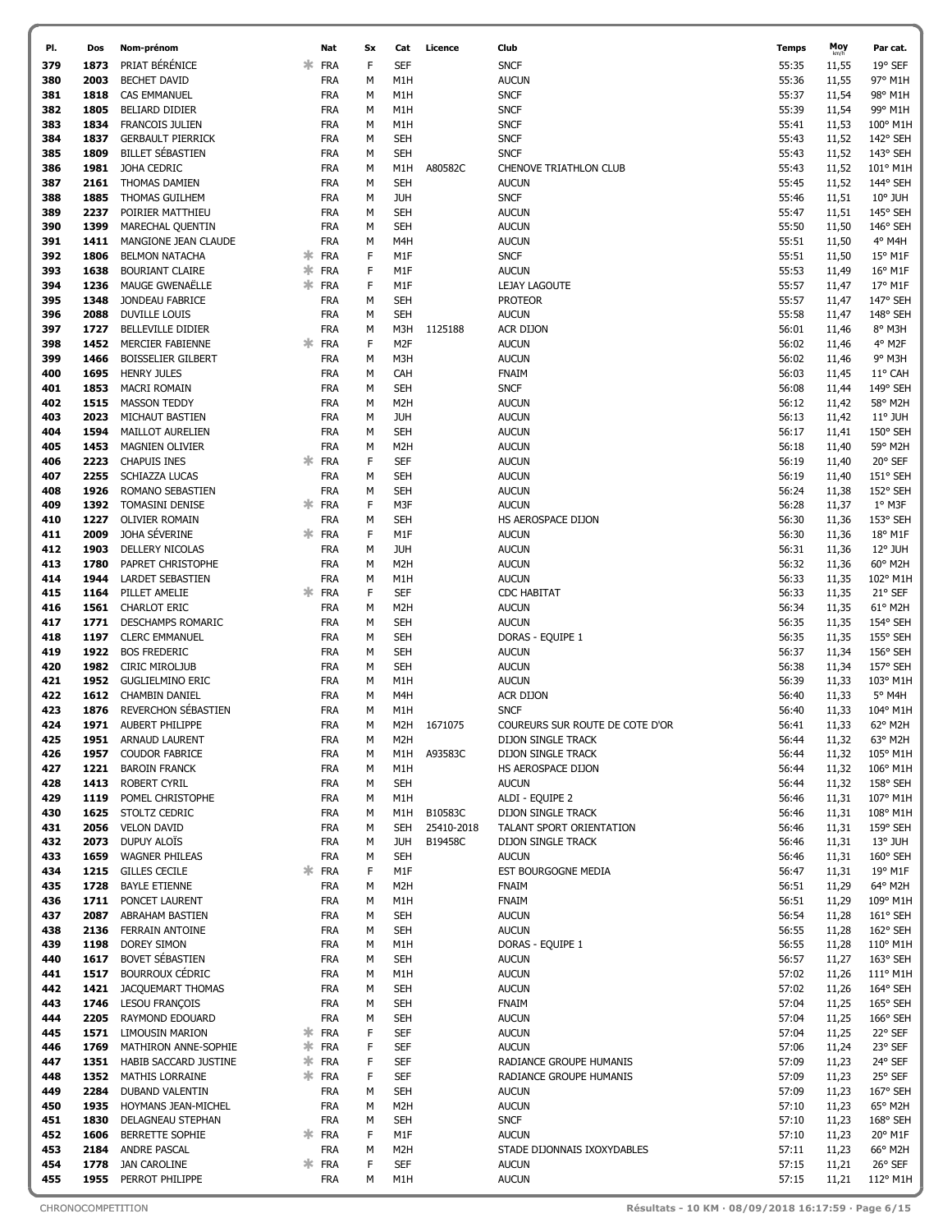| 379        | Dos          | Nom-prénom                                    |          | Nat                      | Sx          | Cat                            | Licence    | Club                                        | Temps          | Moy            | Par cat.             |
|------------|--------------|-----------------------------------------------|----------|--------------------------|-------------|--------------------------------|------------|---------------------------------------------|----------------|----------------|----------------------|
|            | 1873         | PRIAT BÉRÉNICE                                | ж.       | <b>FRA</b>               | F           | <b>SEF</b>                     |            | <b>SNCF</b>                                 | 55:35          | 11,55          | 19° SEF              |
| 380        | 2003         | <b>BECHET DAVID</b>                           |          | <b>FRA</b>               | M           | M1H                            |            | <b>AUCUN</b>                                | 55:36          | 11,55          | 97° M1H              |
| 381        | 1818         | <b>CAS EMMANUEL</b>                           |          | <b>FRA</b>               | M           | M1H                            |            | <b>SNCF</b>                                 | 55:37          | 11,54          | 98° M1H              |
| 382        | 1805         | BELIARD DIDIER                                |          | <b>FRA</b>               | M           | M <sub>1</sub> H               |            | <b>SNCF</b>                                 | 55:39          | 11,54          | 99° M1H              |
| 383        | 1834         | FRANCOIS JULIEN                               |          | <b>FRA</b>               | М           | M1H                            |            | <b>SNCF</b>                                 | 55:41          | 11,53          | 100° M1H             |
| 384        | 1837         | <b>GERBAULT PIERRICK</b>                      |          | <b>FRA</b>               | М           | <b>SEH</b>                     |            | <b>SNCF</b>                                 | 55:43          | 11,52          | 142° SEH             |
| 385<br>386 | 1809<br>1981 | <b>BILLET SÉBASTIEN</b><br>JOHA CEDRIC        |          | <b>FRA</b><br><b>FRA</b> | M<br>M      | <b>SEH</b><br>M1H              | A80582C    | <b>SNCF</b><br>CHENOVE TRIATHLON CLUB       | 55:43<br>55:43 | 11,52          | 143° SEH<br>101° M1H |
| 387        | 2161         | THOMAS DAMIEN                                 |          | <b>FRA</b>               | M           | <b>SEH</b>                     |            | <b>AUCUN</b>                                | 55:45          | 11,52<br>11,52 | 144° SEH             |
| 388        | 1885         | THOMAS GUILHEM                                |          | <b>FRA</b>               | М           | <b>JUH</b>                     |            | <b>SNCF</b>                                 | 55:46          | 11,51          | 10° JUH              |
| 389        | 2237         | POIRIER MATTHIEU                              |          | <b>FRA</b>               | M           | <b>SEH</b>                     |            | <b>AUCUN</b>                                | 55:47          | 11,51          | 145° SEH             |
| 390        | 1399         | MARECHAL QUENTIN                              |          | <b>FRA</b>               | M           | <b>SEH</b>                     |            | <b>AUCUN</b>                                | 55:50          | 11,50          | 146° SEH             |
| 391        | 1411         | MANGIONE JEAN CLAUDE                          |          | <b>FRA</b>               | M           | M4H                            |            | <b>AUCUN</b>                                | 55:51          | 11,50          | 4° M4H               |
| 392        | 1806         | <b>BELMON NATACHA</b>                         | Ж.       | <b>FRA</b>               | F           | M1F                            |            | <b>SNCF</b>                                 | 55:51          | 11,50          | 15° M1F              |
| 393        | 1638         | <b>BOURIANT CLAIRE</b>                        | ж        | <b>FRA</b>               | F           | M1F                            |            | <b>AUCUN</b>                                | 55:53          | 11,49          | 16° M1F              |
| 394        | 1236         | <b>MAUGE GWENAELLE</b>                        | ж.       | FRA                      | F           | M1F                            |            | LEJAY LAGOUTE                               | 55:57          | 11,47          | 17° M1F              |
| 395        | 1348         | JONDEAU FABRICE                               |          | <b>FRA</b>               | М           | <b>SEH</b>                     |            | <b>PROTEOR</b>                              | 55:57          | 11,47          | 147° SEH             |
| 396        | 2088<br>1727 | DUVILLE LOUIS<br><b>BELLEVILLE DIDIER</b>     |          | <b>FRA</b><br><b>FRA</b> | M<br>М      | <b>SEH</b>                     |            | <b>AUCUN</b><br>ACR DIJON                   | 55:58<br>56:01 | 11,47          | 148° SEH<br>8° M3H   |
| 397<br>398 | 1452         | MERCIER FABIENNE                              | ж.       | FRA                      | F           | M3H<br>M <sub>2F</sub>         | 1125188    | <b>AUCUN</b>                                | 56:02          | 11,46<br>11,46 | 4° M2F               |
| 399        | 1466         | BOISSELIER GILBERT                            |          | <b>FRA</b>               | М           | M3H                            |            | <b>AUCUN</b>                                | 56:02          | 11,46          | 9° M3H               |
| 400        | 1695         | <b>HENRY JULES</b>                            |          | <b>FRA</b>               | M           | CAH                            |            | <b>FNAIM</b>                                | 56:03          | 11,45          | 11° CAH              |
| 401        | 1853         | <b>MACRI ROMAIN</b>                           |          | <b>FRA</b>               | M           | <b>SEH</b>                     |            | <b>SNCF</b>                                 | 56:08          | 11,44          | 149° SEH             |
| 402        | 1515         | <b>MASSON TEDDY</b>                           |          | <b>FRA</b>               | М           | M <sub>2</sub> H               |            | <b>AUCUN</b>                                | 56:12          | 11,42          | 58° M2H              |
| 403        | 2023         | MICHAUT BASTIEN                               |          | <b>FRA</b>               | M           | <b>JUH</b>                     |            | <b>AUCUN</b>                                | 56:13          | 11,42          | 11° JUH              |
| 404        | 1594         | <b>MAILLOT AURELIEN</b>                       |          | <b>FRA</b>               | M           | <b>SEH</b>                     |            | <b>AUCUN</b>                                | 56:17          | 11,41          | 150° SEH             |
| 405        | 1453         | MAGNIEN OLIVIER                               |          | <b>FRA</b>               | M           | M2H                            |            | <b>AUCUN</b>                                | 56:18          | 11,40          | 59° M2H              |
| 406        | 2223<br>2255 | <b>CHAPUIS INES</b>                           |          | FRA                      | F<br>M      | <b>SEF</b>                     |            | <b>AUCUN</b>                                | 56:19          | 11,40          | 20° SEF              |
| 407<br>408 | 1926         | SCHIAZZA LUCAS<br>ROMANO SEBASTIEN            |          | <b>FRA</b><br><b>FRA</b> | M           | <b>SEH</b><br><b>SEH</b>       |            | <b>AUCUN</b><br><b>AUCUN</b>                | 56:19<br>56:24 | 11,40<br>11,38 | 151° SEH<br>152° SEH |
| 409        | 1392         | <b>TOMASINI DENISE</b>                        | ж.       | FRA                      | F           | M3F                            |            | <b>AUCUN</b>                                | 56:28          | 11,37          | $1°$ M3F             |
| 410        | 1227         | OLIVIER ROMAIN                                |          | <b>FRA</b>               | M           | <b>SEH</b>                     |            | HS AEROSPACE DIJON                          | 56:30          | 11,36          | 153° SEH             |
| 411        | 2009         | JOHA SÉVERINE                                 |          | <b>FRA</b>               | F           | M1F                            |            | <b>AUCUN</b>                                | 56:30          | 11,36          | 18° M1F              |
| 412        | 1903         | DELLERY NICOLAS                               |          | <b>FRA</b>               | М           | <b>JUH</b>                     |            | <b>AUCUN</b>                                | 56:31          | 11,36          | 12° JUH              |
| 413        | 1780         | PAPRET CHRISTOPHE                             |          | <b>FRA</b>               | М           | M <sub>2</sub> H               |            | <b>AUCUN</b>                                | 56:32          | 11,36          | 60° M2H              |
| 414        | 1944         | <b>LARDET SEBASTIEN</b>                       |          | <b>FRA</b>               | M           | M <sub>1</sub> H               |            | <b>AUCUN</b>                                | 56:33          | 11,35          | 102° M1H             |
| 415        | 1164         | PILLET AMELIE                                 |          | <b>FRA</b>               | F           | <b>SEF</b>                     |            | <b>CDC HABITAT</b>                          | 56:33          | 11,35          | 21° SEF              |
| 416        |              | 1561 CHARLOT ERIC                             |          | <b>FRA</b>               | M           | M <sub>2</sub> H               |            | <b>AUCUN</b>                                | 56:34          | 11,35          | 61° M2H              |
| 417<br>418 | 1771<br>1197 | DESCHAMPS ROMARIC<br><b>CLERC EMMANUEL</b>    |          | <b>FRA</b><br><b>FRA</b> | M<br>M      | <b>SEH</b><br><b>SEH</b>       |            | <b>AUCUN</b><br>DORAS - EQUIPE 1            | 56:35<br>56:35 | 11,35<br>11,35 | 154° SEH<br>155° SEH |
| 419        | 1922         | <b>BOS FREDERIC</b>                           |          | <b>FRA</b>               | M           | <b>SEH</b>                     |            | <b>AUCUN</b>                                | 56:37          | 11,34          | 156° SEH             |
| 420        | 1982         | <b>CIRIC MIROLJUB</b>                         |          | <b>FRA</b>               | M           | <b>SEH</b>                     |            | <b>AUCUN</b>                                | 56:38          | 11,34          | 157° SEH             |
| 421        | 1952         | <b>GUGLIELMINO ERIC</b>                       |          | <b>FRA</b>               | М           | M <sub>1</sub> H               |            | <b>AUCUN</b>                                | 56:39          | 11,33          | 103° M1H             |
| 422        | 1612         | <b>CHAMBIN DANIEL</b>                         |          | <b>FRA</b>               | М           | M4H                            |            | ACR DIJON                                   | 56:40          | 11,33          | 5° M4H               |
| 423        | 1876         | REVERCHON SÉBASTIEN                           |          |                          |             |                                |            |                                             |                |                |                      |
| 424        |              |                                               |          | <b>FRA</b>               | М           | M1H                            |            | <b>SNCF</b>                                 | 56:40          | 11,33          | 104° M1H             |
|            |              | 1971 AUBERT PHILIPPE                          |          | <b>FRA</b>               | M           | M2H                            | 1671075    | COUREURS SUR ROUTE DE COTE D'OR             | 56:41          | 11,33          | 62° M2H              |
| 425        | 1951         | <b>ARNAUD LAURENT</b>                         |          | <b>FRA</b>               | M           | M2H                            |            | DIJON SINGLE TRACK                          | 56:44          | 11,32          | 63° M2H              |
| 426        | 1957         | <b>COUDOR FABRICE</b>                         |          | <b>FRA</b>               | M           | M1H                            | A93583C    | <b>DIJON SINGLE TRACK</b>                   | 56:44          | 11,32          | 105° M1H             |
| 427        | 1221         | <b>BAROIN FRANCK</b>                          |          | <b>FRA</b>               | M           | M <sub>1</sub> H               |            | HS AEROSPACE DIJON                          | 56:44          | 11,32          | 106° M1H             |
| 428        | 1413         | ROBERT CYRIL                                  |          | <b>FRA</b>               | M           | <b>SEH</b>                     |            | <b>AUCUN</b>                                | 56:44          | 11,32          | 158° SEH             |
| 429<br>430 | 1119<br>1625 | POMEL CHRISTOPHE<br>STOLTZ CEDRIC             |          | <b>FRA</b><br><b>FRA</b> | M<br>М      | M1H<br>M1H                     | B10583C    | ALDI - EQUIPE 2<br>DIJON SINGLE TRACK       | 56:46<br>56:46 | 11,31<br>11,31 | 107° M1H<br>108° M1H |
| 431        | 2056         | <b>VELON DAVID</b>                            |          | <b>FRA</b>               | M           | <b>SEH</b>                     | 25410-2018 | TALANT SPORT ORIENTATION                    | 56:46          | 11,31          | 159° SEH             |
| 432        | 2073         | DUPUY ALOÏS                                   |          | <b>FRA</b>               | М           | <b>JUH</b>                     | B19458C    | DIJON SINGLE TRACK                          | 56:46          | 11,31          | 13° JUH              |
| 433        | 1659         | <b>WAGNER PHILEAS</b>                         |          | <b>FRA</b>               | M           | <b>SEH</b>                     |            | <b>AUCUN</b>                                | 56:46          | 11,31          | 160° SEH             |
| 434        | 1215         | <b>GILLES CECILE</b>                          |          | FRA                      | F           | M1F                            |            | EST BOURGOGNE MEDIA                         | 56:47          | 11,31          | 19° M1F              |
| 435        | 1728         | <b>BAYLE ETIENNE</b>                          |          | <b>FRA</b>               | M           | M <sub>2</sub> H               |            | <b>FNAIM</b>                                | 56:51          | 11,29          | 64° M2H              |
| 436        | 1711         | PONCET LAURENT                                |          | <b>FRA</b>               | М           | M <sub>1</sub> H               |            | <b>FNAIM</b>                                | 56:51          | 11,29          | 109° M1H             |
| 437<br>438 | 2087<br>2136 | ABRAHAM BASTIEN<br>FERRAIN ANTOINE            |          | <b>FRA</b><br><b>FRA</b> | М<br>M      | <b>SEH</b><br><b>SEH</b>       |            | <b>AUCUN</b><br><b>AUCUN</b>                | 56:54<br>56:55 | 11,28<br>11,28 | 161° SEH<br>162° SEH |
| 439        | 1198         | <b>DOREY SIMON</b>                            |          | <b>FRA</b>               | М           | M1H                            |            | DORAS - EQUIPE 1                            | 56:55          | 11,28          | 110° M1H             |
| 440        | 1617         | BOVET SÉBASTIEN                               |          | <b>FRA</b>               | M           | <b>SEH</b>                     |            | <b>AUCUN</b>                                | 56:57          | 11,27          | 163° SEH             |
| 441        | 1517         | <b>BOURROUX CÉDRIC</b>                        |          | <b>FRA</b>               | M           | M1H                            |            | <b>AUCUN</b>                                | 57:02          | 11,26          | $111^{\circ}$ M1H    |
| 442        | 1421         | JACQUEMART THOMAS                             |          | <b>FRA</b>               | M           | <b>SEH</b>                     |            | <b>AUCUN</b>                                | 57:02          | 11,26          | 164° SEH             |
| 443        | 1746         | <b>LESOU FRANCOIS</b>                         |          | <b>FRA</b>               | M           | <b>SEH</b>                     |            | <b>FNAIM</b>                                | 57:04          | 11,25          | 165° SEH             |
| 444        | 2205         | RAYMOND EDOUARD                               |          | <b>FRA</b>               | М           | <b>SEH</b>                     |            | <b>AUCUN</b>                                | 57:04          | 11,25          | 166° SEH             |
| 445        | 1571         | LIMOUSIN MARION                               | ж.       | FRA                      | $\mathsf F$ | <b>SEF</b>                     |            | <b>AUCUN</b>                                | 57:04          | 11,25          | 22° SEF              |
| 446<br>447 | 1769<br>1351 | MATHIRON ANNE-SOPHIE<br>HABIB SACCARD JUSTINE | ж.<br>∗. | <b>FRA</b><br><b>FRA</b> | F<br>F      | <b>SEF</b><br><b>SEF</b>       |            | <b>AUCUN</b><br>RADIANCE GROUPE HUMANIS     | 57:06<br>57:09 | 11,24          | 23° SEF<br>24° SEF   |
| 448        | 1352         | <b>MATHIS LORRAINE</b>                        |          | $*$ FRA                  | F           | <b>SEF</b>                     |            | RADIANCE GROUPE HUMANIS                     | 57:09          | 11,23<br>11,23 | 25° SEF              |
| 449        | 2284         | DUBAND VALENTIN                               |          | <b>FRA</b>               | M           | <b>SEH</b>                     |            | <b>AUCUN</b>                                | 57:09          | 11,23          | 167° SEH             |
| 450        | 1935         | HOYMANS JEAN-MICHEL                           |          | <b>FRA</b>               | M           | M <sub>2</sub> H               |            | <b>AUCUN</b>                                | 57:10          | 11,23          | 65° M2H              |
| 451        | 1830         | DELAGNEAU STEPHAN                             |          | <b>FRA</b>               | M           | <b>SEH</b>                     |            | <b>SNCF</b>                                 | 57:10          | 11,23          | 168° SEH             |
| 452        | 1606         | <b>BERRETTE SOPHIE</b>                        | ж.       | FRA                      | $\mathsf F$ | M1F                            |            | <b>AUCUN</b>                                | 57:10          | 11,23          | 20° M1F              |
| 453<br>454 | 2184<br>1778 | <b>ANDRE PASCAL</b><br><b>JAN CAROLINE</b>    |          | <b>FRA</b><br>$*$ FRA    | М<br>F      | M <sub>2</sub> H<br><b>SEF</b> |            | STADE DIJONNAIS IXOXYDABLES<br><b>AUCUN</b> | 57:11<br>57:15 | 11,23<br>11,21 | 66° M2H<br>26° SEF   |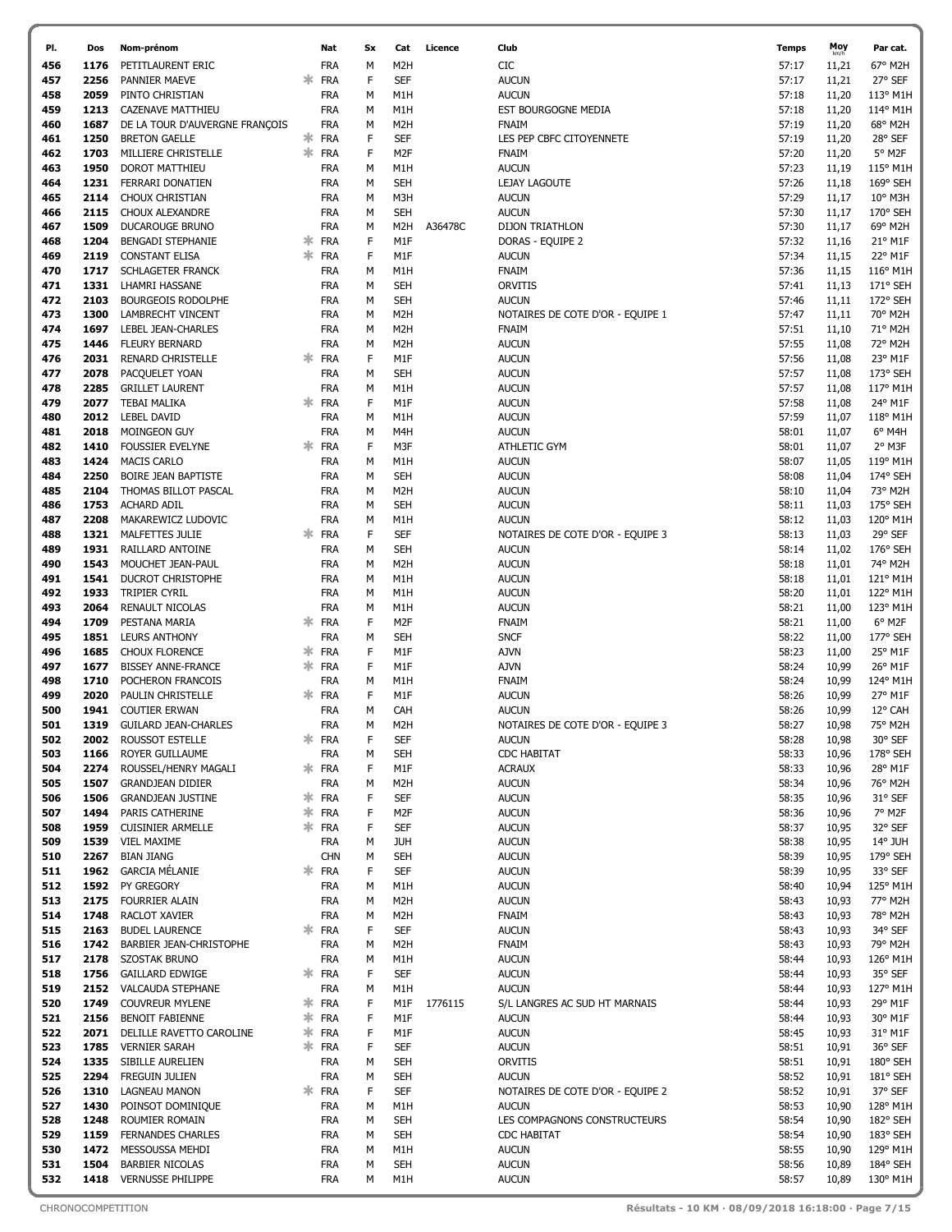| PI.        | Dos          | Nom-prénom                                            |        | Nat                      | Sx     | Cat                                 | Licence | Club                                             | <b>Temps</b>   | Moy            | Par cat.             |
|------------|--------------|-------------------------------------------------------|--------|--------------------------|--------|-------------------------------------|---------|--------------------------------------------------|----------------|----------------|----------------------|
| 456        | 1176         | PETITLAURENT ERIC                                     |        | <b>FRA</b>               | M      | M <sub>2</sub> H                    |         | <b>CIC</b>                                       | 57:17          | 11,21          | 67° M2H              |
| 457        | 2256         | PANNIER MAEVE                                         |        | <b>FRA</b>               | F      | <b>SEF</b>                          |         | <b>AUCUN</b>                                     | 57:17          | 11,21          | 27° SEF              |
| 458        | 2059         | PINTO CHRISTIAN                                       |        | <b>FRA</b>               | M      | M <sub>1</sub> H                    |         | <b>AUCUN</b>                                     | 57:18          | 11,20          | 113° M1H             |
| 459        | 1213         | CAZENAVE MATTHIEU                                     |        | <b>FRA</b>               | M      | M1H                                 |         | EST BOURGOGNE MEDIA                              | 57:18          | 11,20          | 114° M1H             |
| 460        | 1687         | DE LA TOUR D'AUVERGNE FRANÇOIS                        |        | <b>FRA</b>               | M      | M <sub>2</sub> H                    |         | <b>FNAIM</b>                                     | 57:19          | 11,20          | 68° M2H              |
| 461        | 1250         | <b>BRETON GAELLE</b>                                  | ∗      | FRA                      | F      | <b>SEF</b>                          |         | LES PEP CBFC CITOYENNETE                         | 57:19          | 11,20          | 28° SEF              |
| 462<br>463 | 1703<br>1950 | MILLIERE CHRISTELLE<br><b>DOROT MATTHIEU</b>          | ж.     | FRA<br><b>FRA</b>        | F<br>M | M <sub>2F</sub><br>M <sub>1</sub> H |         | <b>FNAIM</b><br><b>AUCUN</b>                     | 57:20<br>57:23 | 11,20<br>11,19 | 5° M2F<br>115° M1H   |
| 464        | 1231         | FERRARI DONATIEN                                      |        | <b>FRA</b>               | M      | <b>SEH</b>                          |         | <b>LEJAY LAGOUTE</b>                             | 57:26          | 11,18          | 169° SEH             |
| 465        | 2114         | <b>CHOUX CHRISTIAN</b>                                |        | <b>FRA</b>               | М      | M3H                                 |         | <b>AUCUN</b>                                     | 57:29          | 11,17          | 10° M3H              |
| 466        | 2115         | <b>CHOUX ALEXANDRE</b>                                |        | <b>FRA</b>               | M      | <b>SEH</b>                          |         | <b>AUCUN</b>                                     | 57:30          | 11,17          | 170° SEH             |
| 467        | 1509         | <b>DUCAROUGE BRUNO</b>                                |        | <b>FRA</b>               | М      | M <sub>2</sub> H                    | A36478C | <b>DIJON TRIATHLON</b>                           | 57:30          | 11,17          | 69° M2H              |
| 468        | 1204         | <b>BENGADI STEPHANIE</b>                              | Ж.     | FRA                      | F      | M <sub>1</sub> F                    |         | DORAS - EQUIPE 2                                 | 57:32          | 11,16          | 21° M1F              |
| 469        | 2119         | <b>CONSTANT ELISA</b>                                 |        | <b>FRA</b>               | F      | M1F                                 |         | <b>AUCUN</b>                                     | 57:34          | 11,15          | 22° M1F              |
| 470        | 1717         | SCHLAGETER FRANCK                                     |        | <b>FRA</b>               | M      | M <sub>1</sub> H                    |         | <b>FNAIM</b>                                     | 57:36          | 11,15          | 116° M1H             |
| 471        | 1331         | LHAMRI HASSANE                                        |        | <b>FRA</b>               | M      | <b>SEH</b>                          |         | <b>ORVITIS</b>                                   | 57:41          | 11,13          | 171° SEH             |
| 472<br>473 | 2103<br>1300 | <b>BOURGEOIS RODOLPHE</b><br><b>LAMBRECHT VINCENT</b> |        | <b>FRA</b><br><b>FRA</b> | М<br>M | <b>SEH</b><br>M <sub>2</sub> H      |         | <b>AUCUN</b><br>NOTAIRES DE COTE D'OR - EQUIPE 1 | 57:46<br>57:47 | 11,11<br>11,11 | 172° SEH<br>70° M2H  |
| 474        | 1697         | LEBEL JEAN-CHARLES                                    |        | <b>FRA</b>               | M      | M <sub>2</sub> H                    |         | <b>FNAIM</b>                                     | 57:51          | 11,10          | 71° M2H              |
| 475        | 1446         | <b>FLEURY BERNARD</b>                                 |        | <b>FRA</b>               | M      | M <sub>2</sub> H                    |         | <b>AUCUN</b>                                     | 57:55          | 11,08          | 72° M2H              |
| 476        | 2031         | <b>RENARD CHRISTELLE</b>                              |        | <b>FRA</b>               | F      | M1F                                 |         | <b>AUCUN</b>                                     | 57:56          | 11,08          | 23° M1F              |
| 477        | 2078         | PACQUELET YOAN                                        |        | <b>FRA</b>               | M      | <b>SEH</b>                          |         | <b>AUCUN</b>                                     | 57:57          | 11,08          | 173° SEH             |
| 478        | 2285         | <b>GRILLET LAURENT</b>                                |        | <b>FRA</b>               | M      | M1H                                 |         | <b>AUCUN</b>                                     | 57:57          | 11,08          | 117° M1H             |
| 479        | 2077         | <b>TEBAI MALIKA</b>                                   |        | FRA                      | F      | M1F                                 |         | <b>AUCUN</b>                                     | 57:58          | 11,08          | 24° M1F              |
| 480        | 2012         | <b>LEBEL DAVID</b>                                    |        | <b>FRA</b>               | M      | M <sub>1</sub> H                    |         | <b>AUCUN</b>                                     | 57:59          | 11,07          | 118° M1H             |
| 481        | 2018         | MOINGEON GUY<br><b>FOUSSIER EVELYNE</b>               |        | <b>FRA</b>               | М      | M4H                                 |         | <b>AUCUN</b>                                     | 58:01          | 11,07          | $6^{\circ}$ M4H      |
| 482<br>483 | 1410<br>1424 | MACIS CARLO                                           | ж.     | <b>FRA</b><br><b>FRA</b> | F<br>М | M3F<br>M1H                          |         | <b>ATHLETIC GYM</b><br><b>AUCUN</b>              | 58:01<br>58:07 | 11,07<br>11,05 | 2° M3F<br>119° M1H   |
| 484        | 2250         | BOIRE JEAN BAPTISTE                                   |        | <b>FRA</b>               | M      | <b>SEH</b>                          |         | <b>AUCUN</b>                                     | 58:08          | 11,04          | 174° SEH             |
| 485        | 2104         | THOMAS BILLOT PASCAL                                  |        | <b>FRA</b>               | M      | M <sub>2</sub> H                    |         | <b>AUCUN</b>                                     | 58:10          | 11,04          | 73° M2H              |
| 486        | 1753         | <b>ACHARD ADIL</b>                                    |        | <b>FRA</b>               | М      | <b>SEH</b>                          |         | <b>AUCUN</b>                                     | 58:11          | 11,03          | 175° SEH             |
| 487        | 2208         | MAKAREWICZ LUDOVIC                                    |        | <b>FRA</b>               | M      | M <sub>1</sub> H                    |         | <b>AUCUN</b>                                     | 58:12          | 11,03          | 120° M1H             |
| 488        | 1321         | MALFETTES JULIE                                       |        | <b>FRA</b>               | F      | <b>SEF</b>                          |         | NOTAIRES DE COTE D'OR - EQUIPE 3                 | 58:13          | 11,03          | 29° SEF              |
| 489        | 1931         | RAILLARD ANTOINE                                      |        | <b>FRA</b>               | M      | <b>SEH</b>                          |         | <b>AUCUN</b>                                     | 58:14          | 11,02          | 176° SEH             |
| 490        | 1543         | MOUCHET JEAN-PAUL                                     |        | <b>FRA</b>               | M      | M <sub>2</sub> H                    |         | <b>AUCUN</b>                                     | 58:18          | 11,01          | 74° M2H              |
| 491<br>492 | 1541<br>1933 | DUCROT CHRISTOPHE<br>TRIPIER CYRIL                    |        | <b>FRA</b><br><b>FRA</b> | M<br>M | M <sub>1</sub> H<br>M1H             |         | <b>AUCUN</b>                                     | 58:18<br>58:20 | 11,01          | 121° M1H<br>122° M1H |
| 493        | 2064         | RENAULT NICOLAS                                       |        | <b>FRA</b>               | М      | M <sub>1</sub> H                    |         | <b>AUCUN</b><br><b>AUCUN</b>                     | 58:21          | 11,01<br>11,00 | 123° M1H             |
| 494        | 1709         | PESTANA MARIA                                         | ж.     | <b>FRA</b>               | F      | M <sub>2</sub> F                    |         | <b>FNAIM</b>                                     | 58:21          | 11,00          | 6° M2F               |
| 495        | 1851         | <b>LEURS ANTHONY</b>                                  |        | <b>FRA</b>               | M      | <b>SEH</b>                          |         | <b>SNCF</b>                                      | 58:22          | 11,00          | 177° SEH             |
| 496        | 1685         | <b>CHOUX FLORENCE</b>                                 | ж.     | <b>FRA</b>               | F      | M1F                                 |         | <b>AJVN</b>                                      | 58:23          | 11,00          | 25° M1F              |
| 497        | 1677         | <b>BISSEY ANNE-FRANCE</b>                             |        | FRA                      | F      | M <sub>1</sub> F                    |         | <b>AJVN</b>                                      | 58:24          | 10,99          | 26° M1F              |
| 498        | 1710         | POCHERON FRANCOIS                                     |        | <b>FRA</b>               | М      | M <sub>1</sub> H                    |         | <b>FNAIM</b>                                     | 58:24          | 10,99          | 124° M1H             |
| 499        | 2020         | PAULIN CHRISTELLE                                     |        | <b>FRA</b>               | F      | M <sub>1</sub> F                    |         | <b>AUCUN</b>                                     | 58:26          | 10,99          | 27° M1F              |
| 500<br>501 | 1941<br>1319 | <b>COUTIER ERWAN</b><br><b>GUILARD JEAN-CHARLES</b>   |        | <b>FRA</b><br><b>FRA</b> | M<br>М | CAH<br>M2H                          |         | <b>AUCUN</b>                                     | 58:26<br>58:27 | 10,99          | 12° CAH<br>75° M2H   |
| 502        | 2002         | ROUSSOT ESTELLE                                       | ∗      | FRA                      | F      | <b>SEF</b>                          |         | NOTAIRES DE COTE D'OR - EQUIPE 3<br><b>AUCUN</b> | 58:28          | 10,98<br>10,98 | 30° SEF              |
| 503        | 1166         | ROYER GUILLAUME                                       |        | <b>FRA</b>               | м      | <b>SEH</b>                          |         | <b>CDC HABITAT</b>                               | 58:33          | 10,96          | 178° SEH             |
| 504        | 2274         | ROUSSEL/HENRY MAGALI                                  |        | FRA                      | F      | M1F                                 |         | <b>ACRAUX</b>                                    | 58:33          | 10,96          | 28° M1F              |
| 505        | 1507         | <b>GRANDJEAN DIDIER</b>                               |        | <b>FRA</b>               | M      | M <sub>2</sub> H                    |         | <b>AUCUN</b>                                     | 58:34          | 10,96          | 76° M2H              |
| 506        | 1506         | <b>GRANDJEAN JUSTINE</b>                              |        | * FRA                    | F      | <b>SEF</b>                          |         | <b>AUCUN</b>                                     | 58:35          | 10,96          | 31° SEF              |
| 507        | 1494         | PARIS CATHERINE                                       | $\ast$ | <b>FRA</b>               | F      | M <sub>2F</sub>                     |         | <b>AUCUN</b>                                     | 58:36          | 10,96          | 7° M2F               |
| 508        | 1959         | CUISINIER ARMELLE                                     | ж.     | FRA                      | F      | <b>SEF</b>                          |         | <b>AUCUN</b>                                     | 58:37          | 10,95          | 32° SEF              |
| 509<br>510 | 1539<br>2267 | VIEL MAXIME<br><b>BIAN JIANG</b>                      |        | <b>FRA</b><br><b>CHN</b> | М<br>М | JUH<br><b>SEH</b>                   |         | <b>AUCUN</b><br><b>AUCUN</b>                     | 58:38<br>58:39 | 10,95<br>10,95 | 14° JUH<br>179° SEH  |
| 511        |              | 1962 GARCIA MÉLANIE                                   |        | <b>FRA</b>               | F      | <b>SEF</b>                          |         | <b>AUCUN</b>                                     | 58:39          | 10,95          | 33° SEF              |
| 512        |              | 1592 PY GREGORY                                       |        | <b>FRA</b>               | M      | M <sub>1</sub> H                    |         | <b>AUCUN</b>                                     | 58:40          | 10,94          | 125° M1H             |
| 513        | 2175         | <b>FOURRIER ALAIN</b>                                 |        | <b>FRA</b>               | М      | M <sub>2</sub> H                    |         | <b>AUCUN</b>                                     | 58:43          | 10,93          | 77° M2H              |
| 514        | 1748         | <b>RACLOT XAVIER</b>                                  |        | <b>FRA</b>               | M      | M <sub>2</sub> H                    |         | <b>FNAIM</b>                                     | 58:43          | 10,93          | 78° M2H              |
| 515        | 2163         | <b>BUDEL LAURENCE</b>                                 | ж.     | FRA                      | F      | <b>SEF</b>                          |         | <b>AUCUN</b>                                     | 58:43          | 10,93          | 34° SEF              |
| 516        | 1742         | BARBIER JEAN-CHRISTOPHE                               |        | <b>FRA</b>               | М      | M <sub>2</sub> H                    |         | <b>FNAIM</b>                                     | 58:43          | 10,93          | 79° M2H              |
| 517        | 2178         | SZOSTAK BRUNO                                         |        | <b>FRA</b>               | М<br>F | M <sub>1</sub> H                    |         | <b>AUCUN</b>                                     | 58:44          | 10,93          | 126° M1H             |
| 518<br>519 | 1756<br>2152 | <b>GAILLARD EDWIGE</b><br>VALCAUDA STEPHANE           |        | FRA<br><b>FRA</b>        | м      | <b>SEF</b><br>M1H                   |         | <b>AUCUN</b><br><b>AUCUN</b>                     | 58:44<br>58:44 | 10,93<br>10,93 | 35° SEF<br>127° M1H  |
| 520        | 1749         | <b>COUVREUR MYLENE</b>                                | ж.     | <b>FRA</b>               | F      | M1F                                 | 1776115 | S/L LANGRES AC SUD HT MARNAIS                    | 58:44          | 10,93          | 29° M1F              |
| 521        | 2156         | <b>BENOIT FABIENNE</b>                                | ∗      | <b>FRA</b>               | F      | M1F                                 |         | <b>AUCUN</b>                                     | 58:44          | 10,93          | 30° M1F              |
| 522        | 2071         | DELILLE RAVETTO CAROLINE                              |        | * FRA                    | F      | M1F                                 |         | <b>AUCUN</b>                                     | 58:45          | 10,93          | 31° M1F              |
| 523        | 1785         | <b>VERNIER SARAH</b>                                  |        | * FRA                    | F      | <b>SEF</b>                          |         | <b>AUCUN</b>                                     | 58:51          | 10,91          | 36° SEF              |
| 524        | 1335         | SIBILLE AURELIEN                                      |        | <b>FRA</b>               | М      | <b>SEH</b>                          |         | <b>ORVITIS</b>                                   | 58:51          | 10,91          | 180° SEH             |
| 525        | 2294         | FREGUIN JULIEN                                        |        | <b>FRA</b>               | М      | <b>SEH</b>                          |         | <b>AUCUN</b>                                     | 58:52          | 10,91          | 181° SEH             |
| 526        | 1310         | LAGNEAU MANON                                         | ж.     | FRA                      | F      | <b>SEF</b>                          |         | NOTAIRES DE COTE D'OR - EQUIPE 2                 | 58:52          | 10,91          | 37° SEF              |
| 527<br>528 | 1430<br>1248 | POINSOT DOMINIQUE<br>ROUMIER ROMAIN                   |        | <b>FRA</b><br><b>FRA</b> | M<br>M | M1H<br><b>SEH</b>                   |         | <b>AUCUN</b><br>LES COMPAGNONS CONSTRUCTEURS     | 58:53<br>58:54 | 10,90<br>10,90 | 128° M1H<br>182° SEH |
| 529        | 1159         | <b>FERNANDES CHARLES</b>                              |        | <b>FRA</b>               | М      | <b>SEH</b>                          |         | <b>CDC HABITAT</b>                               | 58:54          | 10,90          | 183° SEH             |
| 530        | 1472         | MESSOUSSA MEHDI                                       |        | <b>FRA</b>               | М      | M1H                                 |         | <b>AUCUN</b>                                     | 58:55          | 10,90          | 129° M1H             |
| 531        | 1504         | <b>BARBIER NICOLAS</b>                                |        | <b>FRA</b>               | М      | <b>SEH</b>                          |         | <b>AUCUN</b>                                     | 58:56          | 10,89          | 184° SEH             |
| 532        | 1418         | <b>VERNUSSE PHILIPPE</b>                              |        | <b>FRA</b>               | М      | M1H                                 |         | <b>AUCUN</b>                                     | 58:57          | 10,89          | 130° M1H             |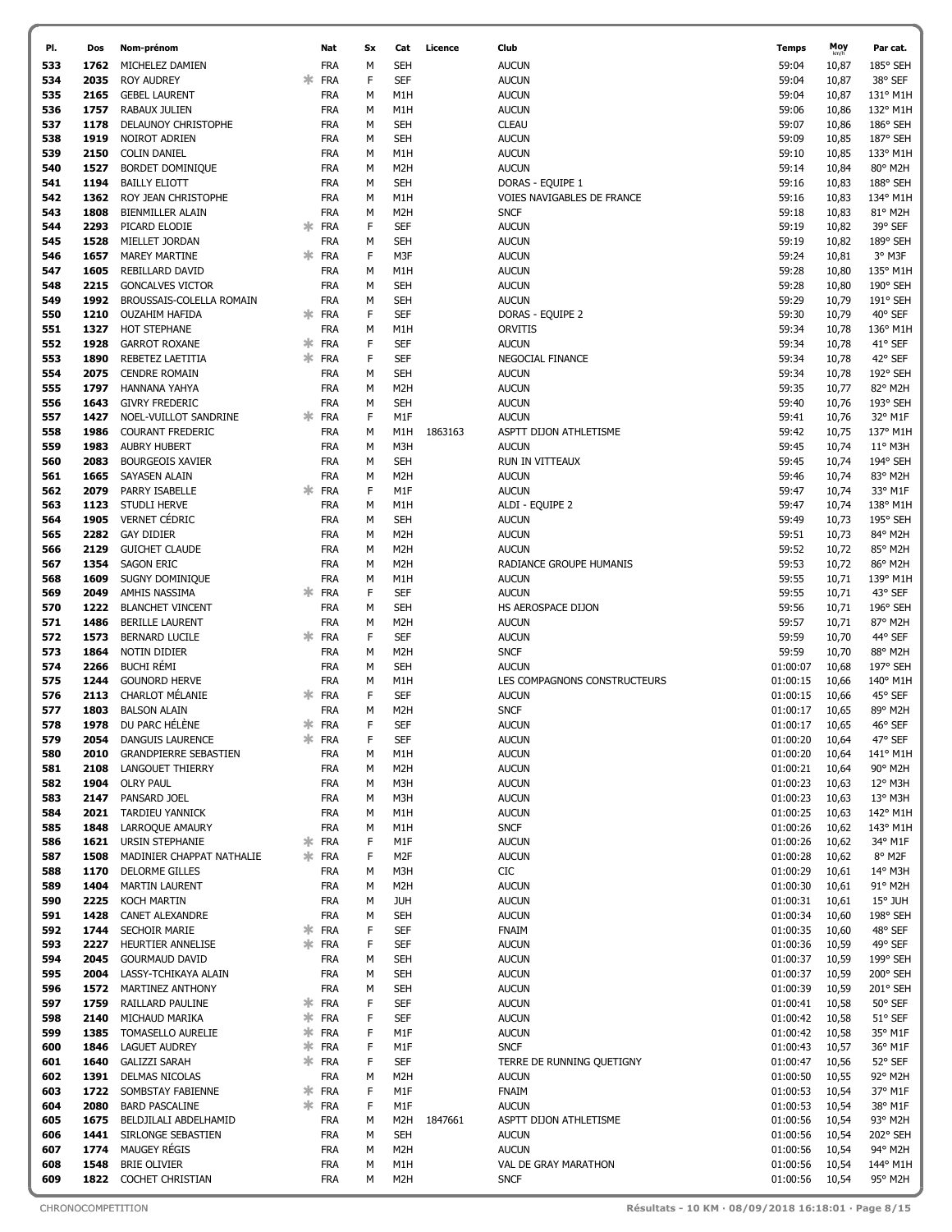| PI.        | Dos          | Nom-prénom                                     |    | Nat                      | Sx          | Cat                                  | Licence | Club                                   | Temps                | Moy            | Par cat.             |
|------------|--------------|------------------------------------------------|----|--------------------------|-------------|--------------------------------------|---------|----------------------------------------|----------------------|----------------|----------------------|
| 533        | 1762         | MICHELEZ DAMIEN                                |    | <b>FRA</b>               | М           | <b>SEH</b>                           |         | <b>AUCUN</b>                           | 59:04                | 10,87          | 185° SEH             |
| 534        | 2035         | <b>ROY AUDREY</b>                              |    | <b>FRA</b>               | F           | <b>SEF</b>                           |         | <b>AUCUN</b>                           | 59:04                | 10,87          | 38° SEF              |
| 535        | 2165         | <b>GEBEL LAURENT</b>                           |    | <b>FRA</b>               | М           | M <sub>1</sub> H                     |         | <b>AUCUN</b>                           | 59:04                | 10,87          | 131° M1H             |
| 536        | 1757         | RABAUX JULIEN                                  |    | <b>FRA</b>               | М           | M <sub>1</sub> H                     |         | <b>AUCUN</b>                           | 59:06                | 10,86          | 132° M1H             |
| 537        | 1178         | DELAUNOY CHRISTOPHE                            |    | <b>FRA</b>               | М           | <b>SEH</b>                           |         | <b>CLEAU</b>                           | 59:07                | 10,86          | 186° SEH             |
| 538<br>539 | 1919<br>2150 | NOIROT ADRIEN<br><b>COLIN DANIEL</b>           |    | <b>FRA</b><br><b>FRA</b> | M<br>М      | <b>SEH</b><br>M <sub>1</sub> H       |         | <b>AUCUN</b><br><b>AUCUN</b>           | 59:09<br>59:10       | 10,85<br>10,85 | 187° SEH<br>133° M1H |
| 540        | 1527         | <b>BORDET DOMINIQUE</b>                        |    | <b>FRA</b>               | М           | M <sub>2</sub> H                     |         | <b>AUCUN</b>                           | 59:14                | 10,84          | 80° M2H              |
| 541        | 1194         | <b>BAILLY ELIOTT</b>                           |    | <b>FRA</b>               | М           | <b>SEH</b>                           |         | DORAS - EQUIPE 1                       | 59:16                | 10,83          | 188° SEH             |
| 542        | 1362         | ROY JEAN CHRISTOPHE                            |    | <b>FRA</b>               | M           | M1H                                  |         | VOIES NAVIGABLES DE FRANCE             | 59:16                | 10,83          | 134° M1H             |
| 543        | 1808         | <b>BIENMILLER ALAIN</b>                        |    | <b>FRA</b>               | М           | M <sub>2</sub> H                     |         | <b>SNCF</b>                            | 59:18                | 10,83          | 81° M2H              |
| 544        | 2293         | PICARD ELODIE                                  |    | <b>FRA</b>               | F           | <b>SEF</b>                           |         | <b>AUCUN</b>                           | 59:19                | 10,82          | 39° SEF              |
| 545        | 1528         | MIELLET JORDAN                                 |    | <b>FRA</b>               | M           | <b>SEH</b>                           |         | <b>AUCUN</b>                           | 59:19                | 10,82          | 189° SEH             |
| 546        | 1657         | <b>MAREY MARTINE</b>                           |    | <b>FRA</b>               | F           | M3F                                  |         | <b>AUCUN</b>                           | 59:24                | 10,81          | 3° M3F               |
| 547<br>548 | 1605<br>2215 | REBILLARD DAVID<br><b>GONCALVES VICTOR</b>     |    | <b>FRA</b><br><b>FRA</b> | M<br>М      | M <sub>1</sub> H<br><b>SEH</b>       |         | <b>AUCUN</b><br><b>AUCUN</b>           | 59:28<br>59:28       | 10,80<br>10,80 | 135° M1H<br>190° SEH |
| 549        | 1992         | BROUSSAIS-COLELLA ROMAIN                       |    | <b>FRA</b>               | M           | <b>SEH</b>                           |         | <b>AUCUN</b>                           | 59:29                | 10,79          | 191° SEH             |
| 550        | 1210         | <b>OUZAHIM HAFIDA</b>                          | ж. | <b>FRA</b>               | F           | <b>SEF</b>                           |         | DORAS - EQUIPE 2                       | 59:30                | 10,79          | 40° SEF              |
| 551        | 1327         | HOT STEPHANE                                   |    | <b>FRA</b>               | М           | M1H                                  |         | ORVITIS                                | 59:34                | 10,78          | 136° M1H             |
| 552        | 1928         | <b>GARROT ROXANE</b>                           | ∗. | <b>FRA</b>               | F           | <b>SEF</b>                           |         | <b>AUCUN</b>                           | 59:34                | 10,78          | 41° SEF              |
| 553        | 1890         | REBETEZ LAETITIA                               | ж. | FRA                      | $\mathsf F$ | <b>SEF</b>                           |         | NEGOCIAL FINANCE                       | 59:34                | 10,78          | 42° SEF              |
| 554        | 2075         | <b>CENDRE ROMAIN</b>                           |    | FRA                      | M           | <b>SEH</b>                           |         | <b>AUCUN</b>                           | 59:34                | 10,78          | 192° SEH             |
| 555        | 1797         | HANNANA YAHYA                                  |    | <b>FRA</b>               | м           | M <sub>2</sub> H                     |         | <b>AUCUN</b>                           | 59:35                | 10,77          | 82° M2H              |
| 556<br>557 | 1643<br>1427 | <b>GIVRY FREDERIC</b><br>NOEL-VUILLOT SANDRINE |    | <b>FRA</b><br><b>FRA</b> | M<br>F      | <b>SEH</b><br>M1F                    |         | <b>AUCUN</b><br><b>AUCUN</b>           | 59:40<br>59:41       | 10,76<br>10,76 | 193° SEH<br>32° M1F  |
| 558        | 1986         | <b>COURANT FREDERIC</b>                        |    | <b>FRA</b>               | М           | M1H                                  | 1863163 | ASPTT DIJON ATHLETISME                 | 59:42                | 10,75          | 137° M1H             |
| 559        | 1983         | <b>AUBRY HUBERT</b>                            |    | <b>FRA</b>               | М           | M3H                                  |         | <b>AUCUN</b>                           | 59:45                | 10,74          | 11° M3H              |
| 560        | 2083         | <b>BOURGEOIS XAVIER</b>                        |    | <b>FRA</b>               | М           | <b>SEH</b>                           |         | RUN IN VITTEAUX                        | 59:45                | 10,74          | 194° SEH             |
| 561        | 1665         | SAYASEN ALAIN                                  |    | <b>FRA</b>               | М           | M <sub>2</sub> H                     |         | <b>AUCUN</b>                           | 59:46                | 10,74          | 83° M2H              |
| 562        | 2079         | PARRY ISABELLE                                 |    | <b>FRA</b>               | F           | M1F                                  |         | <b>AUCUN</b>                           | 59:47                | 10,74          | 33° M1F              |
| 563        | 1123         | STUDLI HERVE                                   |    | <b>FRA</b>               | М           | M1H                                  |         | ALDI - EQUIPE 2                        | 59:47                | 10,74          | 138° M1H             |
| 564        | 1905         | <b>VERNET CÉDRIC</b>                           |    | <b>FRA</b>               | М           | <b>SEH</b>                           |         | <b>AUCUN</b>                           | 59:49                | 10,73          | 195° SEH             |
| 565<br>566 | 2282<br>2129 | <b>GAY DIDIER</b><br><b>GUICHET CLAUDE</b>     |    | <b>FRA</b><br><b>FRA</b> | М<br>М      | M <sub>2</sub> H<br>M <sub>2</sub> H |         | <b>AUCUN</b><br><b>AUCUN</b>           | 59:51<br>59:52       | 10,73<br>10,72 | 84° M2H<br>85° M2H   |
| 567        | 1354         | SAGON ERIC                                     |    | <b>FRA</b>               | М           | M <sub>2</sub> H                     |         | RADIANCE GROUPE HUMANIS                | 59:53                | 10,72          | 86° M2H              |
| 568        | 1609         | SUGNY DOMINIQUE                                |    | <b>FRA</b>               | М           | M1H                                  |         | <b>AUCUN</b>                           | 59:55                | 10,71          | 139° M1H             |
| 569        | 2049         | AMHIS NASSIMA                                  |    | FRA                      | F           | <b>SEF</b>                           |         | <b>AUCUN</b>                           | 59:55                | 10,71          | 43° SEF              |
| 570        | 1222         | <b>BLANCHET VINCENT</b>                        |    | <b>FRA</b>               | M           | <b>SEH</b>                           |         | HS AEROSPACE DIJON                     | 59:56                | 10,71          | 196° SEH             |
| 571        | 1486         | <b>BERILLE LAURENT</b>                         |    | <b>FRA</b>               | М           | M <sub>2</sub> H                     |         | <b>AUCUN</b>                           | 59:57                | 10,71          | 87° M2H              |
| 572        | 1573         | <b>BERNARD LUCILE</b>                          |    | <b>FRA</b>               | F           | <b>SEF</b>                           |         | <b>AUCUN</b>                           | 59:59                | 10,70          | 44° SEF              |
| 573        | 1864<br>2266 | NOTIN DIDIER<br><b>BUCHI RÉMI</b>              |    | <b>FRA</b>               | М<br>M      | M <sub>2</sub> H                     |         | <b>SNCF</b><br><b>AUCUN</b>            | 59:59                | 10,70          | 88° M2H              |
| 574<br>575 | 1244         | <b>GOUNORD HERVE</b>                           |    | <b>FRA</b><br><b>FRA</b> | М           | <b>SEH</b><br>M <sub>1</sub> H       |         | LES COMPAGNONS CONSTRUCTEURS           | 01:00:07<br>01:00:15 | 10,68<br>10,66 | 197° SEH<br>140° M1H |
| 576        | 2113         | <b>CHARLOT MÉLANIE</b>                         |    | <b>FRA</b>               | F           | <b>SEF</b>                           |         | <b>AUCUN</b>                           | 01:00:15             | 10,66          | 45° SEF              |
| 577        | 1803         | <b>BALSON ALAIN</b>                            |    | FRA                      | М           | M <sub>2</sub> H                     |         | <b>SNCF</b>                            | 01:00:17             | 10,65          | 89° M2H              |
| 578        | 1978         | DU PARC HÉLÈNE                                 |    | $*$ FRA                  | F           | <b>SEF</b>                           |         | <b>AUCUN</b>                           | 01:00:17             | 10,65          | 46° SEF              |
| 579        | 2054         | DANGUIS LAURENCE                               |    | $*$ FRA                  | F           | SEF                                  |         | aucun                                  | 01:00:20             | 10,64          | 47° SEF              |
| 580        | 2010         | <b>GRANDPIERRE SEBASTIEN</b>                   |    | <b>FRA</b>               | М           | M1H                                  |         | <b>AUCUN</b>                           | 01:00:20             | 10,64          | 141° M1H             |
| 581<br>582 | 2108<br>1904 | <b>LANGOUET THIERRY</b><br><b>OLRY PAUL</b>    |    | <b>FRA</b><br><b>FRA</b> | М<br>м      | M <sub>2</sub> H<br>M3H              |         | <b>AUCUN</b><br><b>AUCUN</b>           | 01:00:21<br>01:00:23 | 10,64<br>10,63 | 90° M2H<br>12° M3H   |
| 583        | 2147         | PANSARD JOEL                                   |    | <b>FRA</b>               | м           | M3H                                  |         | <b>AUCUN</b>                           | 01:00:23             | 10,63          | 13° M3H              |
| 584        | 2021         | <b>TARDIEU YANNICK</b>                         |    | <b>FRA</b>               | м           | M1H                                  |         | <b>AUCUN</b>                           | 01:00:25             | 10,63          | 142° M1H             |
| 585        | 1848         | LARROQUE AMAURY                                |    | <b>FRA</b>               | М           | M1H                                  |         | <b>SNCF</b>                            | 01:00:26             | 10,62          | 143° M1H             |
| 586        | 1621         | URSIN STEPHANIE                                | ж. | <b>FRA</b>               | F           | M1F                                  |         | <b>AUCUN</b>                           | 01:00:26             | 10,62          | 34° M1F              |
| 587        | 1508         | MADINIER CHAPPAT NATHALIE                      |    | * FRA                    | F           | M2F                                  |         | <b>AUCUN</b>                           | 01:00:28             | 10,62          | 8° M2F               |
| 588        | 1170         | <b>DELORME GILLES</b>                          |    | <b>FRA</b>               | М           | M3H                                  |         | CIC                                    | 01:00:29             | 10,61          | 14° M3H              |
| 589<br>590 | 1404<br>2225 | <b>MARTIN LAURENT</b><br><b>KOCH MARTIN</b>    |    | <b>FRA</b><br><b>FRA</b> | м<br>м      | M <sub>2</sub> H<br><b>JUH</b>       |         | <b>AUCUN</b><br><b>AUCUN</b>           | 01:00:30<br>01:00:31 | 10,61<br>10,61 | 91° M2H<br>15° JUH   |
| 591        | 1428         | <b>CANET ALEXANDRE</b>                         |    | <b>FRA</b>               | М           | <b>SEH</b>                           |         | <b>AUCUN</b>                           | 01:00:34             | 10,60          | 198° SEH             |
| 592        | 1744         | SECHOIR MARIE                                  | ∗. | <b>FRA</b>               | $\mathsf F$ | <b>SEF</b>                           |         | <b>FNAIM</b>                           | 01:00:35             | 10,60          | 48° SEF              |
| 593        | 2227         | HEURTIER ANNELISE                              |    | FRA                      | F           | SEF                                  |         | <b>AUCUN</b>                           | 01:00:36             | 10,59          | 49° SEF              |
| 594        | 2045         | <b>GOURMAUD DAVID</b>                          |    | <b>FRA</b>               | М           | <b>SEH</b>                           |         | <b>AUCUN</b>                           | 01:00:37             | 10,59          | 199° SEH             |
| 595        | 2004         | LASSY-TCHIKAYA ALAIN                           |    | <b>FRA</b>               | М           | <b>SEH</b>                           |         | <b>AUCUN</b>                           | 01:00:37             | 10,59          | 200° SEH             |
| 596        | 1572         | MARTINEZ ANTHONY                               |    | <b>FRA</b>               | М           | <b>SEH</b>                           |         | <b>AUCUN</b>                           | 01:00:39             | 10,59          | 201° SEH             |
| 597<br>598 | 1759<br>2140 | RAILLARD PAULINE<br>MICHAUD MARIKA             | ∗  | * FRA<br><b>FRA</b>      | F<br>F      | SEF<br><b>SEF</b>                    |         | <b>AUCUN</b><br><b>AUCUN</b>           | 01:00:41<br>01:00:42 | 10,58<br>10,58 | 50° SEF<br>51° SEF   |
| 599        | 1385         | TOMASELLO AURELIE                              |    | * FRA                    | F           | M1F                                  |         | <b>AUCUN</b>                           | 01:00:42             | 10,58          | 35° M1F              |
| 600        | 1846         | <b>LAGUET AUDREY</b>                           | ж. | FRA                      | F           | M1F                                  |         | <b>SNCF</b>                            | 01:00:43             | 10,57          | 36° M1F              |
| 601        | 1640         | <b>GALIZZI SARAH</b>                           | ж. | FRA                      | F           | <b>SEF</b>                           |         | TERRE DE RUNNING QUETIGNY              | 01:00:47             | 10,56          | 52° SEF              |
| 602        | 1391         | DELMAS NICOLAS                                 |    | <b>FRA</b>               | М           | M2H                                  |         | <b>AUCUN</b>                           | 01:00:50             | 10,55          | 92° M2H              |
| 603        | 1722         | SOMBSTAY FABIENNE                              | ∗. | FRA                      | F           | M1F                                  |         | <b>FNAIM</b>                           | 01:00:53             | 10,54          | 37° M1F              |
| 604        | 2080<br>1675 | <b>BARD PASCALINE</b><br>BELDJILALI ABDELHAMID | ж. | FRA<br>FRA               | F<br>м      | M1F                                  |         | <b>AUCUN</b><br>ASPTT DIJON ATHLETISME | 01:00:53<br>01:00:56 | 10,54<br>10,54 | 38° M1F<br>93° M2H   |
| 605<br>606 | 1441         | SIRLONGE SEBASTIEN                             |    | <b>FRA</b>               | М           | M2H<br><b>SEH</b>                    | 1847661 | <b>AUCUN</b>                           | 01:00:56             | 10,54          | 202° SEH             |
| 607        | 1774         | MAUGEY RÉGIS                                   |    | <b>FRA</b>               | М           | M <sub>2</sub> H                     |         | <b>AUCUN</b>                           | 01:00:56             | 10,54          | 94° M2H              |
| 608        | 1548         | <b>BRIE OLIVIER</b>                            |    | <b>FRA</b>               | М           | M1H                                  |         | VAL DE GRAY MARATHON                   | 01:00:56             | 10,54          | 144° M1H             |
| 609        |              | 1822 COCHET CHRISTIAN                          |    | <b>FRA</b>               | М           | M2H                                  |         | <b>SNCF</b>                            | 01:00:56             | 10,54          | 95° M2H              |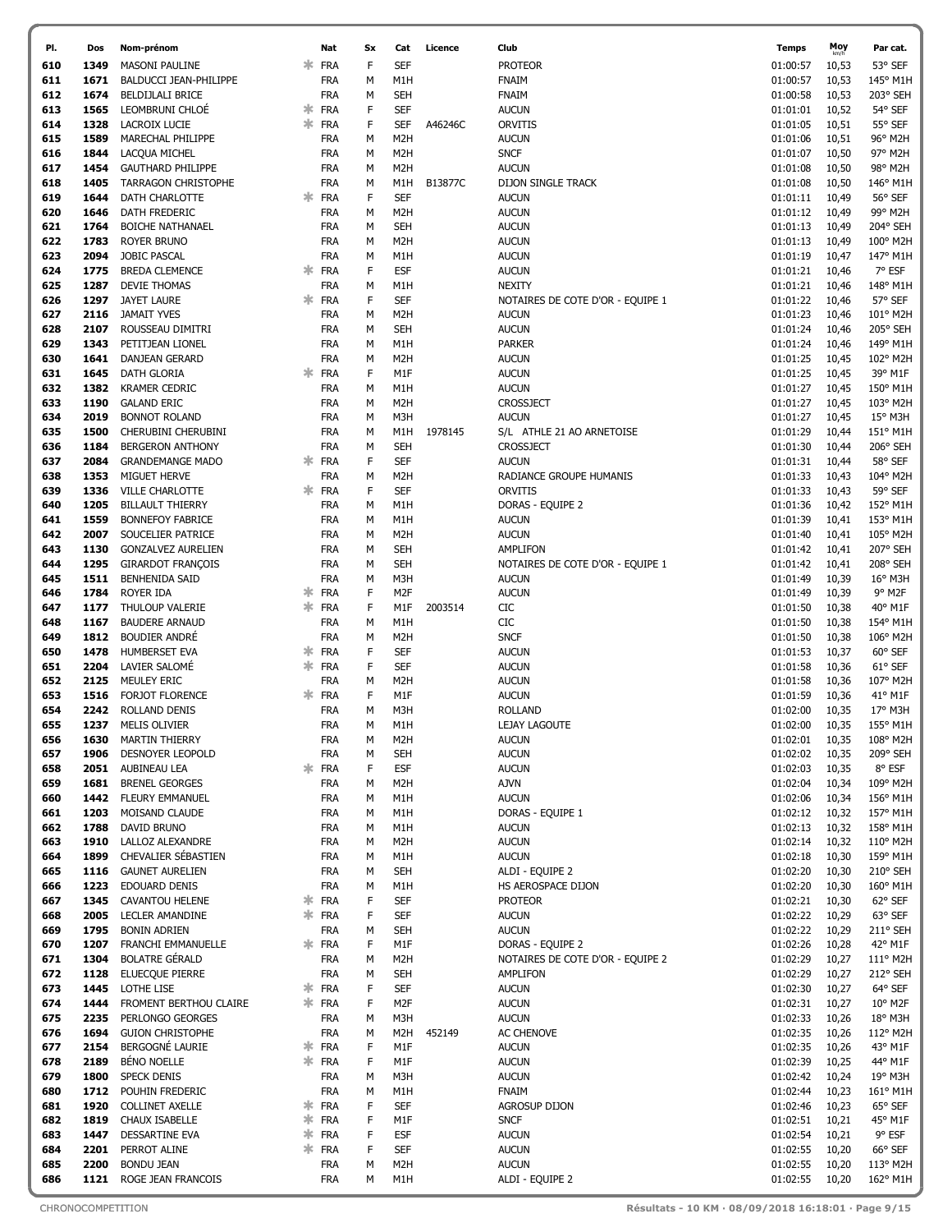| PI.        | Dos          | Nom-prénom                                  |    | Nat                      | Sx     | Cat                                  | Licence | Club                                             | <b>Temps</b>         | Moy            | Par cat.             |
|------------|--------------|---------------------------------------------|----|--------------------------|--------|--------------------------------------|---------|--------------------------------------------------|----------------------|----------------|----------------------|
| 610        | 1349         | <b>MASONI PAULINE</b>                       | ж. | FRA                      | F      | <b>SEF</b>                           |         | <b>PROTEOR</b>                                   | 01:00:57             | 10,53          | 53° SEF              |
| 611        | 1671         | BALDUCCI JEAN-PHILIPPE                      |    | <b>FRA</b>               | M      | M <sub>1</sub> H                     |         | <b>FNAIM</b>                                     | 01:00:57             | 10,53          | 145° M1H             |
| 612        | 1674         | <b>BELDIJLALI BRICE</b>                     |    | <b>FRA</b>               | М      | <b>SEH</b>                           |         | <b>FNAIM</b>                                     | 01:00:58             | 10,53          | 203° SEH             |
| 613        | 1565         | LEOMBRUNI CHLOË                             | ж. | FRA                      | F      | <b>SEF</b>                           |         | <b>AUCUN</b>                                     | 01:01:01             | 10,52          | 54° SEF              |
| 614        | 1328         | <b>LACROIX LUCIE</b>                        |    | * FRA                    | F      | <b>SEF</b>                           | A46246C | ORVITIS                                          | 01:01:05             | 10,51          | 55° SEF              |
| 615        | 1589         | MARECHAL PHILIPPE                           |    | <b>FRA</b>               | M      | M <sub>2</sub> H                     |         | <b>AUCUN</b>                                     | 01:01:06             | 10,51          | 96° M2H              |
| 616<br>617 | 1844<br>1454 | LACQUA MICHEL<br><b>GAUTHARD PHILIPPE</b>   |    | <b>FRA</b><br><b>FRA</b> | M<br>M | M <sub>2</sub> H<br>M <sub>2</sub> H |         | <b>SNCF</b><br><b>AUCUN</b>                      | 01:01:07<br>01:01:08 | 10,50<br>10,50 | 97° M2H<br>98° M2H   |
| 618        | 1405         | <b>TARRAGON CHRISTOPHE</b>                  |    | <b>FRA</b>               | M      | M1H                                  | B13877C | DIJON SINGLE TRACK                               | 01:01:08             | 10,50          | 146° M1H             |
| 619        | 1644         | DATH CHARLOTTE                              |    | <b>FRA</b>               | F      | <b>SEF</b>                           |         | <b>AUCUN</b>                                     | 01:01:11             | 10,49          | 56° SEF              |
| 620        | 1646         | DATH FREDERIC                               |    | <b>FRA</b>               | M      | M <sub>2</sub> H                     |         | <b>AUCUN</b>                                     | 01:01:12             | 10,49          | 99° M2H              |
| 621        | 1764         | <b>BOICHE NATHANAEL</b>                     |    | <b>FRA</b>               | M      | <b>SEH</b>                           |         | <b>AUCUN</b>                                     | 01:01:13             | 10,49          | 204° SEH             |
| 622        | 1783         | <b>ROYER BRUNO</b>                          |    | <b>FRA</b>               | M      | M <sub>2</sub> H                     |         | <b>AUCUN</b>                                     | 01:01:13             | 10,49          | 100° M2H             |
| 623        | 2094         | <b>JOBIC PASCAL</b>                         |    | <b>FRA</b>               | M      | M1H                                  |         | <b>AUCUN</b>                                     | 01:01:19             | 10,47          | 147° M1H             |
| 624        | 1775         | <b>BREDA CLEMENCE</b>                       | ж  | <b>FRA</b>               | F      | <b>ESF</b>                           |         | <b>AUCUN</b>                                     | 01:01:21             | 10,46          | 7° ESF               |
| 625        | 1287         | <b>DEVIE THOMAS</b>                         |    | <b>FRA</b>               | M      | M1H                                  |         | <b>NEXITY</b>                                    | 01:01:21             | 10,46          | 148° M1H             |
| 626<br>627 | 1297<br>2116 | <b>JAYET LAURE</b><br><b>JAMAIT YVES</b>    |    | <b>FRA</b><br><b>FRA</b> | F<br>M | <b>SEF</b><br>M2H                    |         | NOTAIRES DE COTE D'OR - EQUIPE 1<br><b>AUCUN</b> | 01:01:22<br>01:01:23 | 10,46          | 57° SEF<br>101° M2H  |
| 628        | 2107         | ROUSSEAU DIMITRI                            |    | <b>FRA</b>               | M      | <b>SEH</b>                           |         | <b>AUCUN</b>                                     | 01:01:24             | 10,46<br>10,46 | 205° SEH             |
| 629        | 1343         | PETITJEAN LIONEL                            |    | <b>FRA</b>               | M      | M <sub>1</sub> H                     |         | <b>PARKER</b>                                    | 01:01:24             | 10,46          | 149° M1H             |
| 630        | 1641         | <b>DANJEAN GERARD</b>                       |    | <b>FRA</b>               | M      | M <sub>2</sub> H                     |         | <b>AUCUN</b>                                     | 01:01:25             | 10,45          | 102° M2H             |
| 631        | 1645         | DATH GLORIA                                 |    | <b>FRA</b>               | F      | M1F                                  |         | <b>AUCUN</b>                                     | 01:01:25             | 10,45          | 39° M1F              |
| 632        | 1382         | <b>KRAMER CEDRIC</b>                        |    | <b>FRA</b>               | M      | M1H                                  |         | <b>AUCUN</b>                                     | 01:01:27             | 10,45          | 150° M1H             |
| 633        | 1190         | <b>GALAND ERIC</b>                          |    | <b>FRA</b>               | M      | M <sub>2</sub> H                     |         | CROSSJECT                                        | 01:01:27             | 10,45          | 103° M2H             |
| 634        | 2019         | <b>BONNOT ROLAND</b>                        |    | <b>FRA</b>               | M      | M3H                                  |         | <b>AUCUN</b>                                     | 01:01:27             | 10,45          | 15° M3H              |
| 635        | 1500         | CHERUBINI CHERUBINI                         |    | <b>FRA</b>               | M      | M1H                                  | 1978145 | S/L ATHLE 21 AO ARNETOISE                        | 01:01:29             | 10,44          | 151° M1H             |
| 636        | 1184         | <b>BERGERON ANTHONY</b>                     |    | <b>FRA</b>               | M<br>F | <b>SEH</b><br><b>SEF</b>             |         | <b>CROSSJECT</b>                                 | 01:01:30             | 10,44          | 206° SEH<br>58° SEF  |
| 637<br>638 | 2084<br>1353 | <b>GRANDEMANGE MADO</b><br>MIGUET HERVE     |    | <b>FRA</b><br><b>FRA</b> | М      | M2H                                  |         | <b>AUCUN</b><br>RADIANCE GROUPE HUMANIS          | 01:01:31<br>01:01:33 | 10,44<br>10,43 | 104° M2H             |
| 639        | 1336         | VILLE CHARLOTTE                             |    | FRA                      | F      | <b>SEF</b>                           |         | ORVITIS                                          | 01:01:33             | 10,43          | 59° SEF              |
| 640        | 1205         | <b>BILLAULT THIERRY</b>                     |    | <b>FRA</b>               | М      | M <sub>1</sub> H                     |         | DORAS - EQUIPE 2                                 | 01:01:36             | 10,42          | 152° M1H             |
| 641        | 1559         | <b>BONNEFOY FABRICE</b>                     |    | <b>FRA</b>               | M      | M1H                                  |         | <b>AUCUN</b>                                     | 01:01:39             | 10,41          | 153° M1H             |
| 642        | 2007         | SOUCELIER PATRICE                           |    | <b>FRA</b>               | M      | M <sub>2</sub> H                     |         | <b>AUCUN</b>                                     | 01:01:40             | 10,41          | 105° M2H             |
| 643        | 1130         | <b>GONZALVEZ AURELIEN</b>                   |    | <b>FRA</b>               | M      | <b>SEH</b>                           |         | AMPLIFON                                         | 01:01:42             | 10,41          | 207° SEH             |
| 644        | 1295         | <b>GIRARDOT FRANÇOIS</b>                    |    | <b>FRA</b>               | M      | <b>SEH</b>                           |         | NOTAIRES DE COTE D'OR - EQUIPE 1                 | 01:01:42             | 10,41          | 208° SEH             |
| 645        | 1511         | <b>BENHENIDA SAID</b>                       |    | <b>FRA</b>               | M      | M3H                                  |         | <b>AUCUN</b>                                     | 01:01:49             | 10,39          | 16° M3H              |
| 646        | 1784         | ROYER IDA                                   | ж. | FRA                      | F      | M <sub>2F</sub>                      |         | <b>AUCUN</b>                                     | 01:01:49             | 10,39          | 9° M2F               |
| 647<br>648 | 1177<br>1167 | THULOUP VALERIE<br><b>BAUDERE ARNAUD</b>    | ж  | <b>FRA</b><br><b>FRA</b> | F<br>M | M1F<br>M1H                           | 2003514 | CIC<br>CIC                                       | 01:01:50<br>01:01:50 | 10,38<br>10,38 | 40° M1F<br>154° M1H  |
| 649        | 1812         | <b>BOUDIER ANDRÉ</b>                        |    | <b>FRA</b>               | M      | M <sub>2</sub> H                     |         | <b>SNCF</b>                                      | 01:01:50             | 10,38          | 106° M2H             |
| 650        | 1478         | HUMBERSET EVA                               | ∗. | FRA                      | F      | <b>SEF</b>                           |         | <b>AUCUN</b>                                     | 01:01:53             | 10,37          | 60° SEF              |
| 651        | 2204         | LAVIER SALOMÉ                               | ж. | <b>FRA</b>               | F      | <b>SEF</b>                           |         | <b>AUCUN</b>                                     | 01:01:58             | 10,36          | 61° SEF              |
| 652        | 2125         | MEULEY ERIC                                 |    | <b>FRA</b>               | М      | M2H                                  |         | <b>AUCUN</b>                                     | 01:01:58             | 10,36          | 107° M2H             |
| 653        | 1516         | FORJOT FLORENCE                             |    | $*$ FRA                  | F      | M1F                                  |         | <b>AUCUN</b>                                     | 01:01:59             | 10,36          | 41° M1F              |
| 654        | 2242         | ROLLAND DENIS                               |    | <b>FRA</b>               | M      | M3H                                  |         | <b>ROLLAND</b>                                   | 01:02:00             | 10,35          | 17° M3H              |
| 655        | 1237         | <b>MELIS OLIVIER</b>                        |    | <b>FRA</b>               | М      | M1H                                  |         | LEJAY LAGOUTE                                    | 01:02:00             | 10,35          | 155° M1H             |
| 656        | 1630         | <b>MARTIN THIERRY</b>                       |    | FRA                      | М      | M2H                                  |         | <b>AUCUN</b>                                     | 01:02:01             | 10,35          | 108° M2H             |
| 657<br>658 | 1906<br>2051 | DESNOYER LEOPOLD<br>AUBINEAU LEA            |    | <b>FRA</b><br>FRA        | М<br>F | <b>SEH</b><br><b>ESF</b>             |         | <b>AUCUN</b><br><b>AUCUN</b>                     | 01:02:02<br>01:02:03 | 10,35<br>10,35 | 209° SEH<br>8° ESF   |
| 659        | 1681         | <b>BRENEL GEORGES</b>                       |    | <b>FRA</b>               | M      | M <sub>2</sub> H                     |         | <b>AJVN</b>                                      | 01:02:04             | 10,34          | 109° M2H             |
| 660        |              | 1442 FLEURY EMMANUEL                        |    | <b>FRA</b>               | M      | M <sub>1</sub> H                     |         | <b>AUCUN</b>                                     | 01:02:06             | 10,34          | 156° M1H             |
| 661        | 1203         | MOISAND CLAUDE                              |    | <b>FRA</b>               | М      | M <sub>1</sub> H                     |         | DORAS - EQUIPE 1                                 | 01:02:12             | 10,32          | 157° M1H             |
| 662        | 1788         | DAVID BRUNO                                 |    | <b>FRA</b>               | M      | M1H                                  |         | <b>AUCUN</b>                                     | 01:02:13             | 10,32          | 158° M1H             |
| 663        | 1910         | LALLOZ ALEXANDRE                            |    | <b>FRA</b>               | М      | M <sub>2</sub> H                     |         | <b>AUCUN</b>                                     | 01:02:14             | 10,32          | 110° M2H             |
| 664        | 1899         | CHEVALIER SÉBASTIEN                         |    | <b>FRA</b>               | M      | M1H                                  |         | <b>AUCUN</b>                                     | 01:02:18             | 10,30          | 159° M1H             |
| 665        | 1116         | <b>GAUNET AURELIEN</b>                      |    | <b>FRA</b>               | М      | <b>SEH</b>                           |         | ALDI - EQUIPE 2                                  | 01:02:20             | 10,30          | 210° SEH             |
| 666<br>667 | 1223<br>1345 | EDOUARD DENIS<br>CAVANTOU HELENE            | *  | <b>FRA</b><br><b>FRA</b> | М<br>F | M1H<br><b>SEF</b>                    |         | HS AEROSPACE DIJON<br><b>PROTEOR</b>             | 01:02:20<br>01:02:21 | 10,30<br>10,30 | 160° M1H<br>62° SEF  |
| 668        | 2005         | LECLER AMANDINE                             |    | * FRA                    | F      | <b>SEF</b>                           |         | <b>AUCUN</b>                                     | 01:02:22             | 10,29          | 63° SEF              |
| 669        | 1795         | <b>BONIN ADRIEN</b>                         |    | <b>FRA</b>               | М      | <b>SEH</b>                           |         | <b>AUCUN</b>                                     | 01:02:22             | 10,29          | 211° SEH             |
| 670        | 1207         | <b>FRANCHI EMMANUELLE</b>                   |    | * FRA                    | F      | M1F                                  |         | DORAS - EQUIPE 2                                 | 01:02:26             | 10,28          | 42° M1F              |
| 671        | 1304         | <b>BOLATRE GÉRALD</b>                       |    | <b>FRA</b>               | М      | M <sub>2</sub> H                     |         | NOTAIRES DE COTE D'OR - EQUIPE 2                 | 01:02:29             | 10,27          | 111° M2H             |
| 672        | 1128         | ELUECQUE PIERRE                             |    | <b>FRA</b>               | М      | <b>SEH</b>                           |         | AMPLIFON                                         | 01:02:29             | 10,27          | 212° SEH             |
| 673        | 1445         | LOTHE LISE                                  | ж. | <b>FRA</b>               | F      | <b>SEF</b>                           |         | <b>AUCUN</b>                                     | 01:02:30             | 10,27          | 64° SEF              |
| 674        | 1444         | FROMENT BERTHOU CLAIRE                      | ж. | FRA                      | F      | M <sub>2</sub> F                     |         | <b>AUCUN</b>                                     | 01:02:31             | 10,27          | 10° M2F              |
| 675        | 2235<br>1694 | PERLONGO GEORGES<br><b>GUION CHRISTOPHE</b> |    | <b>FRA</b><br><b>FRA</b> | М      | M3H                                  |         | <b>AUCUN</b>                                     | 01:02:33             | 10,26          | 18° M3H              |
| 676<br>677 | 2154         | BERGOGNÉ LAURIE                             | ж. | FRA                      | М<br>F | M <sub>2</sub> H<br>M1F              | 452149  | AC CHENOVE<br><b>AUCUN</b>                       | 01:02:35<br>01:02:35 | 10,26<br>10,26 | 112° M2H<br>43° M1F  |
| 678        | 2189         | <b>BÉNO NOELLE</b>                          | ж. | FRA                      | F      | M1F                                  |         | <b>AUCUN</b>                                     | 01:02:39             | 10,25          | 44° M1F              |
| 679        | 1800         | <b>SPECK DENIS</b>                          |    | <b>FRA</b>               | М      | M3H                                  |         | <b>AUCUN</b>                                     | 01:02:42             | 10,24          | 19° M3H              |
| 680        | 1712         | POUHIN FREDERIC                             |    | <b>FRA</b>               | M      | M1H                                  |         | <b>FNAIM</b>                                     | 01:02:44             | 10,23          | 161° M1H             |
| 681        | 1920         | <b>COLLINET AXELLE</b>                      |    | * FRA                    | F      | <b>SEF</b>                           |         | AGROSUP DIJON                                    | 01:02:46             | 10,23          | 65° SEF              |
| 682        | 1819         | CHAUX ISABELLE                              | *  | FRA                      | F      | M1F                                  |         | <b>SNCF</b>                                      | 01:02:51             | 10,21          | 45° M1F              |
| 683        | 1447         | DESSARTINE EVA                              | ж. | <b>FRA</b>               | F      | <b>ESF</b>                           |         | <b>AUCUN</b>                                     | 01:02:54             | 10,21          | 9° ESF               |
| 684        | 2201         | PERROT ALINE                                |    | * FRA                    | F      | <b>SEF</b>                           |         | <b>AUCUN</b>                                     | 01:02:55             | 10,20          | 66° SEF              |
| 685<br>686 | 2200<br>1121 | <b>BONDU JEAN</b><br>ROGE JEAN FRANCOIS     |    | <b>FRA</b><br><b>FRA</b> | М<br>М | M <sub>2</sub> H<br>M1H              |         | <b>AUCUN</b><br>ALDI - EQUIPE 2                  | 01:02:55<br>01:02:55 | 10,20<br>10,20 | 113° M2H<br>162° M1H |
|            |              |                                             |    |                          |        |                                      |         |                                                  |                      |                |                      |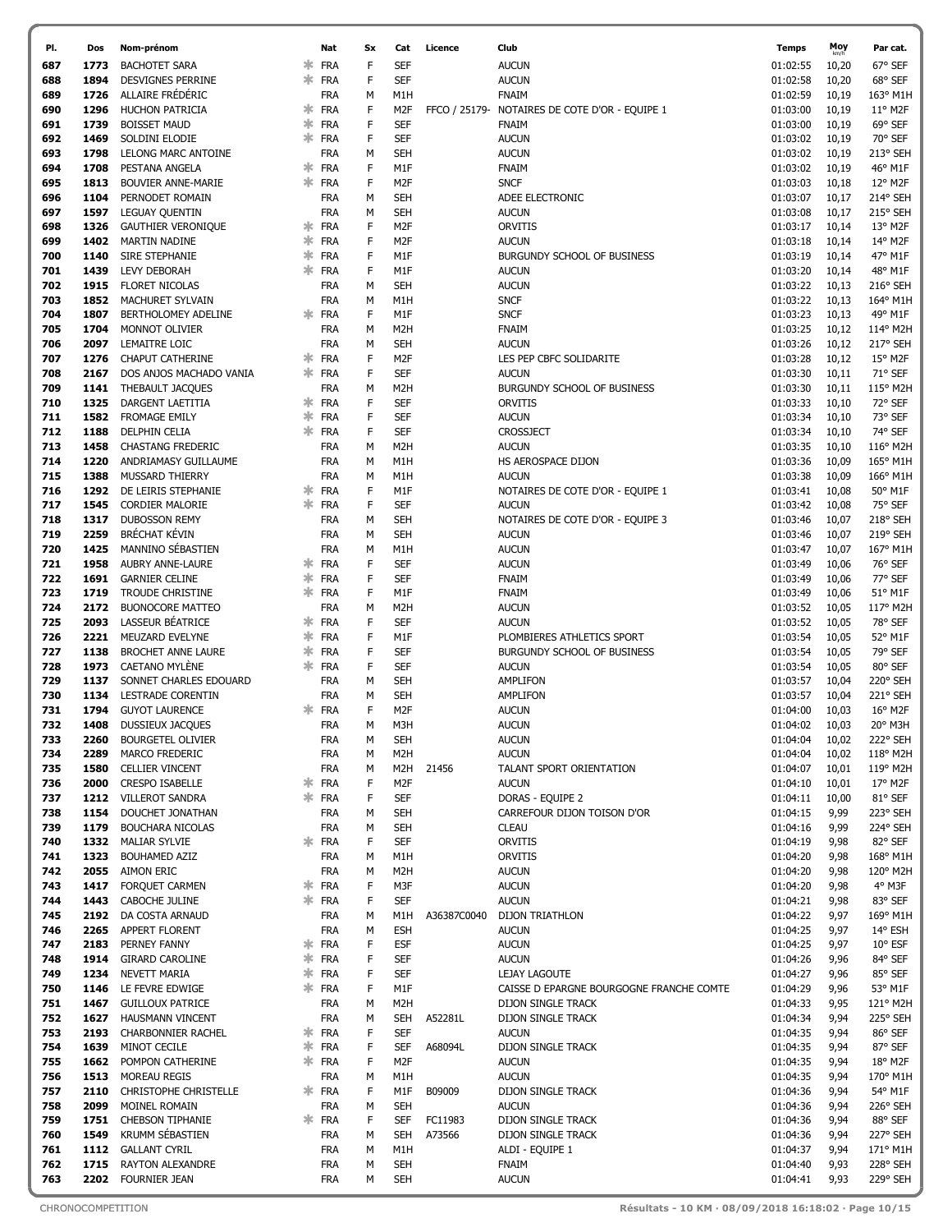| PI.        | Dos          | Nom-prénom                                       |              | Nat                      | Sx     | Cat                            | Licence     | Club                                           | <b>Temps</b>         | Moy            | Par cat.             |
|------------|--------------|--------------------------------------------------|--------------|--------------------------|--------|--------------------------------|-------------|------------------------------------------------|----------------------|----------------|----------------------|
| 687        | 1773         | <b>BACHOTET SARA</b>                             | ∗            | <b>FRA</b>               | F      | <b>SEF</b>                     |             | <b>AUCUN</b>                                   | 01:02:55             | 10,20          | 67° SEF              |
| 688        | 1894         | DESVIGNES PERRINE                                | ∗            | <b>FRA</b>               | F      | <b>SEF</b>                     |             | <b>AUCUN</b>                                   | 01:02:58             | 10,20          | 68° SEF              |
| 689        | 1726         | ALLAIRE FRÉDÉRIC                                 |              | <b>FRA</b>               | М      | M1H                            |             | <b>FNAIM</b>                                   | 01:02:59             | 10,19          | 163° M1H             |
| 690        | 1296         | <b>HUCHON PATRICIA</b>                           | Ж.           | <b>FRA</b>               | F      | M2F                            |             | FFCO / 25179- NOTAIRES DE COTE D'OR - EQUIPE 1 | 01:03:00             | 10,19          | 11° M2F              |
| 691        | 1739         | <b>BOISSET MAUD</b>                              | ∗            | <b>FRA</b>               | F      | <b>SEF</b>                     |             | <b>FNAIM</b>                                   | 01:03:00             | 10,19          | 69° SEF              |
| 692        | 1469         | SOLDINI ELODIE                                   | Ж.           | <b>FRA</b>               | F      | <b>SEF</b>                     |             | <b>AUCUN</b>                                   | 01:03:02             | 10,19          | 70° SEF              |
| 693        | 1798         | LELONG MARC ANTOINE                              |              | <b>FRA</b>               | М      | <b>SEH</b>                     |             | <b>AUCUN</b>                                   | 01:03:02             | 10,19          | 213° SEH             |
| 694        | 1708         | PESTANA ANGELA                                   | ж            | <b>FRA</b>               | F      | M1F                            |             | <b>FNAIM</b>                                   | 01:03:02             | 10,19          | 46° M1F              |
| 695        | 1813         | <b>BOUVIER ANNE-MARIE</b>                        | ж            | <b>FRA</b>               | F      | M <sub>2F</sub>                |             | <b>SNCF</b>                                    | 01:03:03             | 10,18          | 12° M2F              |
| 696        | 1104         | PERNODET ROMAIN                                  |              | <b>FRA</b>               | М      | <b>SEH</b>                     |             | ADEE ELECTRONIC                                | 01:03:07             | 10,17          | 214° SEH             |
| 697        | 1597         | LEGUAY QUENTIN                                   |              | <b>FRA</b>               | М      | <b>SEH</b>                     |             | <b>AUCUN</b>                                   | 01:03:08             | 10,17          | 215° SEH             |
| 698        | 1326         | <b>GAUTHIER VERONIQUE</b>                        | Ж.           | <b>FRA</b>               | F      | M <sub>2F</sub>                |             | ORVITIS                                        | 01:03:17             | 10,14          | 13° M2F              |
| 699        | 1402         | <b>MARTIN NADINE</b>                             | ∗            | <b>FRA</b>               | F      | M <sub>2F</sub>                |             | <b>AUCUN</b>                                   | 01:03:18             | 10,14          | 14° M2F              |
| 700        | 1140         | <b>SIRE STEPHANIE</b>                            | ∗            | <b>FRA</b>               | F      | M1F                            |             | BURGUNDY SCHOOL OF BUSINESS                    | 01:03:19             | 10,14          | 47° M1F              |
| 701        | 1439         | LEVY DEBORAH                                     |              | $*$ FRA                  | F      | M1F                            |             | <b>AUCUN</b>                                   | 01:03:20             | 10,14          | 48° M1F              |
| 702        | 1915         | <b>FLORET NICOLAS</b>                            |              | <b>FRA</b>               | м      | <b>SEH</b>                     |             | <b>AUCUN</b>                                   | 01:03:22             | 10,13          | 216° SEH             |
| 703        | 1852         | MACHURET SYLVAIN                                 |              | <b>FRA</b>               | М      | M1H                            |             | <b>SNCF</b>                                    | 01:03:22             | 10,13          | 164° M1H             |
| 704        | 1807         | BERTHOLOMEY ADELINE                              | ж            | <b>FRA</b>               | F      | M1F                            |             | <b>SNCF</b>                                    | 01:03:23             | 10,13          | 49° M1F              |
| 705        | 1704         | MONNOT OLIVIER                                   |              | <b>FRA</b>               | М      | M <sub>2</sub> H               |             | <b>FNAIM</b>                                   | 01:03:25             | 10,12          | 114° M2H             |
| 706        | 2097         | LEMAITRE LOIC                                    |              | <b>FRA</b>               | М      | <b>SEH</b>                     |             | <b>AUCUN</b>                                   | 01:03:26             | 10,12          | 217° SEH             |
| 707        | 1276         | <b>CHAPUT CATHERINE</b>                          |              | * FRA                    | F      | M <sub>2F</sub>                |             | LES PEP CBFC SOLIDARITE                        | 01:03:28             | 10,12          | 15° M2F              |
| 708        | 2167         | DOS ANJOS MACHADO VANIA                          |              | * FRA                    | F      | <b>SEF</b>                     |             | <b>AUCUN</b>                                   | 01:03:30             | 10,11          | 71° SEF              |
| 709        | 1141         | THEBAULT JACQUES                                 |              | <b>FRA</b>               | М      | M <sub>2</sub> H               |             | BURGUNDY SCHOOL OF BUSINESS                    | 01:03:30             | 10,11          | 115° M2H             |
| 710        | 1325         | DARGENT LAETITIA                                 |              | * FRA                    | F      | <b>SEF</b>                     |             | ORVITIS                                        | 01:03:33             | 10,10          | 72° SEF              |
| 711        | 1582         | <b>FROMAGE EMILY</b>                             | $\ast$<br>ж. | <b>FRA</b>               | F      | <b>SEF</b>                     |             | <b>AUCUN</b>                                   | 01:03:34             | 10,10          | 73° SEF              |
| 712<br>713 | 1188<br>1458 | <b>DELPHIN CELIA</b>                             |              | <b>FRA</b>               | F<br>М | <b>SEF</b><br>M <sub>2</sub> H |             | <b>CROSSJECT</b><br><b>AUCUN</b>               | 01:03:34<br>01:03:35 | 10,10          | 74° SEF<br>116° M2H  |
| 714        | 1220         | <b>CHASTANG FREDERIC</b><br>ANDRIAMASY GUILLAUME |              | <b>FRA</b><br><b>FRA</b> | М      | M1H                            |             | HS AEROSPACE DIJON                             | 01:03:36             | 10,10<br>10,09 | 165° M1H             |
| 715        | 1388         | MUSSARD THIERRY                                  |              | <b>FRA</b>               | М      | M1H                            |             | <b>AUCUN</b>                                   | 01:03:38             | 10,09          | 166° M1H             |
| 716        | 1292         | DE LEIRIS STEPHANIE                              | ж.           | <b>FRA</b>               | F      | M1F                            |             | NOTAIRES DE COTE D'OR - EQUIPE 1               | 01:03:41             | 10,08          | 50° M1F              |
| 717        | 1545         | <b>CORDIER MALORIE</b>                           | ж.           | FRA                      | F      | <b>SEF</b>                     |             | <b>AUCUN</b>                                   | 01:03:42             | 10,08          | 75° SEF              |
| 718        | 1317         | <b>DUBOSSON REMY</b>                             |              | <b>FRA</b>               | M      | <b>SEH</b>                     |             | NOTAIRES DE COTE D'OR - EQUIPE 3               | 01:03:46             | 10,07          | 218° SEH             |
| 719        | 2259         | <b>BRÉCHAT KÉVIN</b>                             |              | <b>FRA</b>               | М      | <b>SEH</b>                     |             | <b>AUCUN</b>                                   | 01:03:46             | 10,07          | 219° SEH             |
| 720        | 1425         | MANNINO SÉBASTIEN                                |              | <b>FRA</b>               | М      | M1H                            |             | <b>AUCUN</b>                                   | 01:03:47             | 10,07          | 167° M1H             |
| 721        | 1958         | <b>AUBRY ANNE-LAURE</b>                          | ж.           | <b>FRA</b>               | F      | <b>SEF</b>                     |             | <b>AUCUN</b>                                   | 01:03:49             | 10,06          | 76° SEF              |
| 722        | 1691         | <b>GARNIER CELINE</b>                            | ж            | <b>FRA</b>               | F      | <b>SEF</b>                     |             | <b>FNAIM</b>                                   | 01:03:49             | 10,06          | 77° SEF              |
| 723        | 1719         | TROUDE CHRISTINE                                 | ж            | <b>FRA</b>               | F      | M1F                            |             | <b>FNAIM</b>                                   | 01:03:49             | 10,06          | 51° M1F              |
| 724        | 2172         | <b>BUONOCORE MATTEO</b>                          |              | <b>FRA</b>               | м      | M <sub>2</sub> H               |             | <b>AUCUN</b>                                   | 01:03:52             | 10,05          | 117° M2H             |
| 725        | 2093         | LASSEUR BÉATRICE                                 | ж.           | <b>FRA</b>               | F      | <b>SEF</b>                     |             | <b>AUCUN</b>                                   | 01:03:52             | 10,05          | 78° SEF              |
| 726        | 2221         | MEUZARD EVELYNE                                  | ∗            | <b>FRA</b>               | F      | M1F                            |             | PLOMBIERES ATHLETICS SPORT                     | 01:03:54             | 10,05          | 52° M1F              |
| 727        | 1138         | <b>BROCHET ANNE LAURE</b>                        | Ж.           | <b>FRA</b>               | F      | <b>SEF</b>                     |             | BURGUNDY SCHOOL OF BUSINESS                    | 01:03:54             | 10,05          | 79° SEF              |
| 728        | 1973         | CAETANO MYLÈNE                                   | ж            | <b>FRA</b>               | F      | <b>SEF</b>                     |             | <b>AUCUN</b>                                   | 01:03:54             | 10,05          | 80° SEF              |
| 729        | 1137         | SONNET CHARLES EDOUARD                           |              | <b>FRA</b>               | М      | <b>SEH</b>                     |             | AMPLIFON                                       | 01:03:57             | 10,04          | 220° SEH             |
| 730        | 1134         | LESTRADE CORENTIN                                |              | <b>FRA</b>               | М      | <b>SEH</b>                     |             | AMPLIFON                                       | 01:03:57             | 10,04          | 221° SEH             |
| 731        | 1794         | <b>GUYOT LAURENCE</b>                            | ж            | <b>FRA</b>               | F      | M <sub>2F</sub>                |             | <b>AUCUN</b>                                   | 01:04:00             | 10,03          | 16° M2F              |
| 732        | 1408         | <b>DUSSIEUX JACQUES</b>                          |              | <b>FRA</b>               | М      | M3H                            |             | <b>AUCUN</b>                                   | 01:04:02             | 10,03          | 20° M3H              |
| 733        | 2260         | <b>BOURGETEL OLIVIER</b>                         |              | <b>FRA</b>               | м      | <b>SEH</b>                     |             | <b>AUCUN</b>                                   | 01:04:04             | 10,02          | 222° SEH             |
| 734        | 2289         | MARCO FREDERIC                                   |              | <b>FRA</b>               | М      | M <sub>2</sub> H               |             | <b>AUCUN</b>                                   | 01:04:04             | 10,02          | 118° M2H             |
| 735        | 1580         | <b>CELLIER VINCENT</b>                           |              | <b>FRA</b>               | М      | M <sub>2</sub> H               | 21456       | TALANT SPORT ORIENTATION                       | 01:04:07             | 10,01          | 119° M2H             |
| 736        | 2000         | <b>CRESPO ISABELLE</b>                           | ∗            | <b>FRA</b>               | F      | M <sub>2F</sub>                |             | <b>AUCUN</b>                                   | 01:04:10             | 10,01          | 17° M2F              |
| 737        | 1212         | VILLEROT SANDRA<br>DOUCHET JONATHAN              | $\ast$       | FRA                      | F      | <b>SEF</b>                     |             | DORAS - EQUIPE 2                               | 01:04:11             | 10,00          | 81° SEF<br>223° SEH  |
| 738<br>739 | 1154<br>1179 | <b>BOUCHARA NICOLAS</b>                          |              | <b>FRA</b><br><b>FRA</b> | М<br>М | <b>SEH</b><br><b>SEH</b>       |             | CARREFOUR DIJON TOISON D'OR<br><b>CLEAU</b>    | 01:04:15<br>01:04:16 | 9,99<br>9,99   | 224° SEH             |
| 740        | 1332         | <b>MALIAR SYLVIE</b>                             |              | * FRA                    | F      | <b>SEF</b>                     |             | ORVITIS                                        | 01:04:19             | 9,98           | 82° SEF              |
| 741        | 1323         | <b>BOUHAMED AZIZ</b>                             |              | <b>FRA</b>               | М      | M1H                            |             | ORVITIS                                        | 01:04:20             | 9,98           | 168° M1H             |
| 742        | 2055         | AIMON ERIC                                       |              | <b>FRA</b>               | М      | M <sub>2</sub> H               |             | <b>AUCUN</b>                                   | 01:04:20             | 9,98           | 120° M2H             |
| 743        | 1417         | FORQUET CARMEN                                   | ∗            | <b>FRA</b>               | F      | M3F                            |             | <b>AUCUN</b>                                   | 01:04:20             | 9,98           | 4° M3F               |
| 744        | 1443         | CABOCHE JULINE                                   | $\ast$       | <b>FRA</b>               | F      | <b>SEF</b>                     |             | <b>AUCUN</b>                                   | 01:04:21             | 9,98           | 83° SEF              |
| 745        | 2192         | DA COSTA ARNAUD                                  |              | <b>FRA</b>               | М      | M1H                            | A36387C0040 | <b>DIJON TRIATHLON</b>                         | 01:04:22             | 9,97           | 169° M1H             |
| 746        | 2265         | APPERT FLORENT                                   |              | <b>FRA</b>               | М      | <b>ESH</b>                     |             | <b>AUCUN</b>                                   | 01:04:25             | 9,97           | 14° ESH              |
| 747        | 2183         | PERNEY FANNY                                     |              | * FRA                    | F      | <b>ESF</b>                     |             | <b>AUCUN</b>                                   | 01:04:25             | 9,97           | 10° ESF              |
| 748        | 1914         | <b>GIRARD CAROLINE</b>                           | *            | FRA                      | F      | <b>SEF</b>                     |             | <b>AUCUN</b>                                   | 01:04:26             | 9,96           | 84° SEF              |
| 749        | 1234         | NEVETT MARIA                                     | ∗.           | <b>FRA</b>               | F      | <b>SEF</b>                     |             | LEJAY LAGOUTE                                  | 01:04:27             | 9,96           | 85° SEF              |
| 750        | 1146         | LE FEVRE EDWIGE                                  |              | * FRA                    | F      | M1F                            |             | CAISSE D EPARGNE BOURGOGNE FRANCHE COMTE       | 01:04:29             | 9,96           | 53° M1F              |
| 751        | 1467         | <b>GUILLOUX PATRICE</b>                          |              | <b>FRA</b>               | М      | M2H                            |             | DIJON SINGLE TRACK                             | 01:04:33             | 9,95           | 121° M2H             |
| 752        | 1627         | HAUSMANN VINCENT                                 |              | <b>FRA</b>               | М      | <b>SEH</b>                     | A52281L     | DIJON SINGLE TRACK                             | 01:04:34             | 9,94           | 225° SEH             |
| 753        | 2193         | <b>CHARBONNIER RACHEL</b>                        |              | * FRA                    | F      | <b>SEF</b>                     |             | <b>AUCUN</b>                                   | 01:04:35             | 9,94           | 86° SEF              |
| 754        | 1639         | MINOT CECILE                                     | *            | <b>FRA</b>               | F      | <b>SEF</b>                     | A68094L     | DIJON SINGLE TRACK                             | 01:04:35             | 9,94           | 87° SEF              |
| 755        | 1662         | POMPON CATHERINE                                 |              | * FRA                    | F      | M2F                            |             | <b>AUCUN</b>                                   | 01:04:35             | 9,94           | 18° M2F              |
| 756        | 1513         | <b>MOREAU REGIS</b>                              |              | <b>FRA</b>               | М      | M1H                            |             | <b>AUCUN</b>                                   | 01:04:35             | 9,94           | 170° M1H             |
| 757        | 2110         | CHRISTOPHE CHRISTELLE                            |              | * FRA                    | F      | M1F                            | B09009      | DIJON SINGLE TRACK                             | 01:04:36             | 9,94           | 54° M1F              |
| 758        | 2099         | MOINEL ROMAIN                                    |              | <b>FRA</b>               | М      | <b>SEH</b>                     |             | <b>AUCUN</b>                                   | 01:04:36             | 9,94           | 226° SEH             |
| 759        | 1751         | <b>CHEBSON TIPHANIE</b><br>KRUMM SÉBASTIEN       |              | ≭ FRA                    | F      | <b>SEF</b>                     | FC11983     | DIJON SINGLE TRACK                             | 01:04:36             | 9,94           | 88° SEF              |
| 760<br>761 | 1549<br>1112 | <b>GALLANT CYRIL</b>                             |              | <b>FRA</b><br><b>FRA</b> | М<br>М | <b>SEH</b><br>M1H              | A73566      | DIJON SINGLE TRACK                             | 01:04:36<br>01:04:37 | 9,94<br>9,94   | 227° SEH<br>171° M1H |
| 762        | 1715         | RAYTON ALEXANDRE                                 |              | FRA                      | М      | <b>SEH</b>                     |             | ALDI - EQUIPE 1<br>FNAIM                       | 01:04:40             | 9,93           | 228° SEH             |
| 763        |              | 2202 FOURNIER JEAN                               |              | FRA                      | М      | <b>SEH</b>                     |             | <b>AUCUN</b>                                   | 01:04:41             | 9,93           | 229° SEH             |
|            |              |                                                  |              |                          |        |                                |             |                                                |                      |                |                      |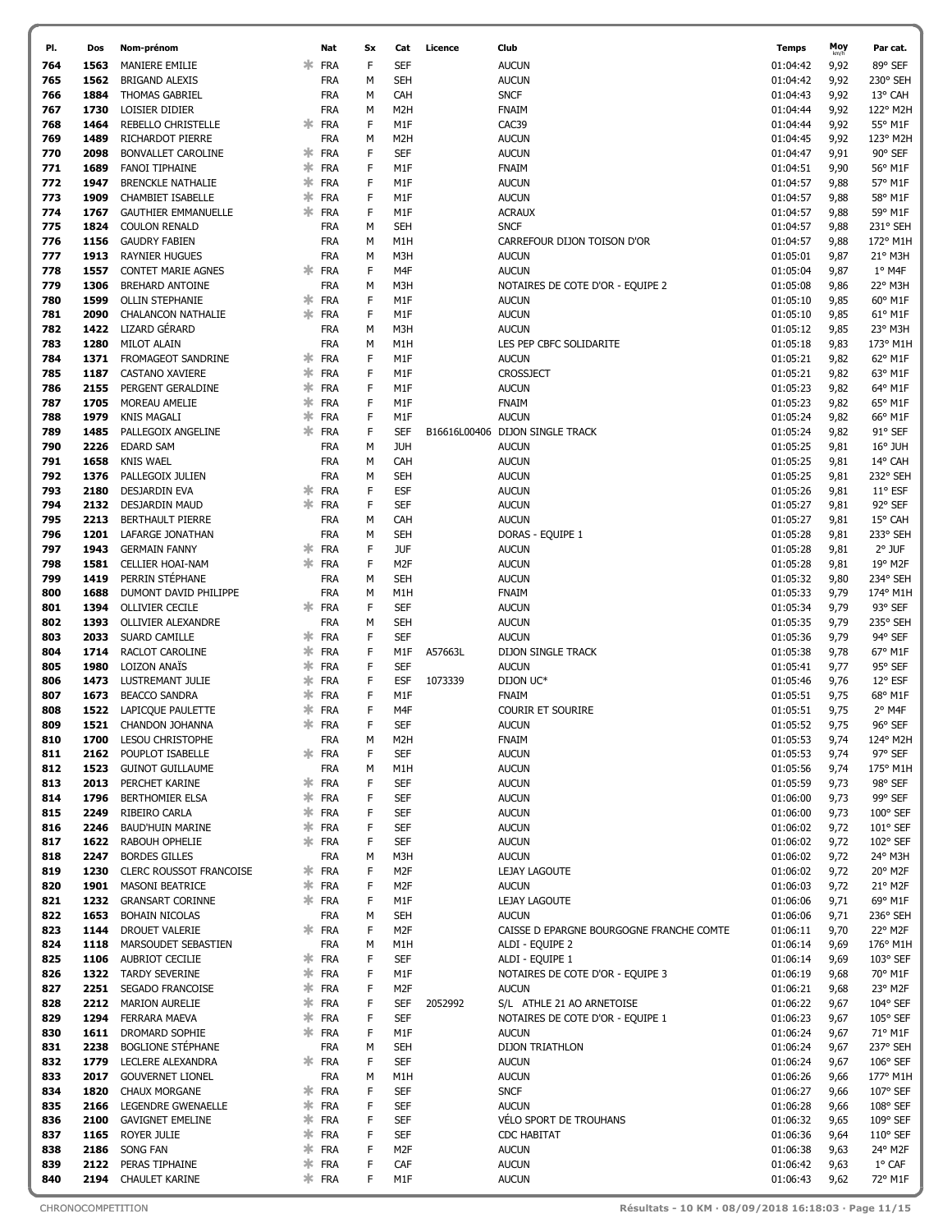| PI.        | Dos          | Nom-prénom                                     |    | Nat                   | Sx     | Cat                           | Licence | Club                                             | <b>Temps</b>         | Moy          | Par cat.            |
|------------|--------------|------------------------------------------------|----|-----------------------|--------|-------------------------------|---------|--------------------------------------------------|----------------------|--------------|---------------------|
| 764        | 1563         | <b>MANIERE EMILIE</b>                          | ж. | FRA                   | F      | <b>SEF</b>                    |         | <b>AUCUN</b>                                     | 01:04:42             | 9,92         | 89° SEF             |
| 765        | 1562         | <b>BRIGAND ALEXIS</b>                          |    | <b>FRA</b>            | М      | <b>SEH</b>                    |         | <b>AUCUN</b>                                     | 01:04:42             | 9,92         | 230° SEH            |
| 766        | 1884         | <b>THOMAS GABRIEL</b>                          |    | <b>FRA</b>            | М      | CAH                           |         | <b>SNCF</b>                                      | 01:04:43             | 9,92         | 13° CAH             |
| 767        | 1730         | LOISIER DIDIER                                 |    | <b>FRA</b>            | M      | M2H                           |         | <b>FNAIM</b>                                     | 01:04:44             | 9,92         | 122° M2H            |
| 768<br>769 | 1464<br>1489 | REBELLO CHRISTELLE<br>RICHARDOT PIERRE         |    | * FRA<br><b>FRA</b>   | F<br>М | M1F<br>M <sub>2</sub> H       |         | CAC39<br><b>AUCUN</b>                            | 01:04:44<br>01:04:45 | 9,92<br>9,92 | 55° M1F<br>123° M2H |
| 770        | 2098         | BONVALLET CAROLINE                             |    | FRA                   | F      | <b>SEF</b>                    |         | <b>AUCUN</b>                                     | 01:04:47             | 9,91         | 90° SEF             |
| 771        | 1689         | <b>FANOI TIPHAINE</b>                          | ж. | <b>FRA</b>            | F      | M1F                           |         | <b>FNAIM</b>                                     | 01:04:51             | 9,90         | 56° M1F             |
| 772        | 1947         | <b>BRENCKLE NATHALIE</b>                       |    | $*$ FRA               | F      | M1F                           |         | <b>AUCUN</b>                                     | 01:04:57             | 9,88         | 57° M1F             |
| 773        | 1909         | <b>CHAMBIET ISABELLE</b>                       | ж. | <b>FRA</b>            | F      | M1F                           |         | <b>AUCUN</b>                                     | 01:04:57             | 9,88         | 58° M1F             |
| 774        | 1767         | <b>GAUTHIER EMMANUELLE</b>                     | ∗  | <b>FRA</b>            | F      | M1F                           |         | <b>ACRAUX</b>                                    | 01:04:57             | 9,88         | 59° M1F             |
| 775        | 1824         | <b>COULON RENALD</b>                           |    | <b>FRA</b>            | М      | <b>SEH</b>                    |         | <b>SNCF</b>                                      | 01:04:57             | 9,88         | 231° SEH            |
| 776        | 1156         | <b>GAUDRY FABIEN</b>                           |    | <b>FRA</b>            | M      | M1H                           |         | CARREFOUR DIJON TOISON D'OR                      | 01:04:57             | 9,88         | 172° M1H            |
| 777        | 1913         | <b>RAYNIER HUGUES</b>                          |    | <b>FRA</b>            | М      | M3H                           |         | <b>AUCUN</b>                                     | 01:05:01             | 9,87         | 21° M3H             |
| 778<br>779 | 1557<br>1306 | CONTET MARIE AGNES<br><b>BREHARD ANTOINE</b>   | ж. | FRA<br><b>FRA</b>     | F<br>M | M4F<br>M3H                    |         | <b>AUCUN</b><br>NOTAIRES DE COTE D'OR - EQUIPE 2 | 01:05:04<br>01:05:08 | 9,87<br>9,86 | 1° M4F<br>22° M3H   |
| 780        | 1599         | <b>OLLIN STEPHANIE</b>                         | ж. | <b>FRA</b>            | F      | M1F                           |         | <b>AUCUN</b>                                     | 01:05:10             | 9,85         | 60° M1F             |
| 781        | 2090         | <b>CHALANCON NATHALIE</b>                      |    | <b>FRA</b>            | F      | M1F                           |         | <b>AUCUN</b>                                     | 01:05:10             | 9,85         | 61° M1F             |
| 782        | 1422         | LIZARD GÉRARD                                  |    | <b>FRA</b>            | М      | M3H                           |         | <b>AUCUN</b>                                     | 01:05:12             | 9,85         | 23° M3H             |
| 783        | 1280         | MILOT ALAIN                                    |    | <b>FRA</b>            | M      | M1H                           |         | LES PEP CBFC SOLIDARITE                          | 01:05:18             | 9,83         | 173° M1H            |
| 784        | 1371         | FROMAGEOT SANDRINE                             |    | $*$ FRA               | F      | M1F                           |         | <b>AUCUN</b>                                     | 01:05:21             | 9,82         | 62° M1F             |
| 785        | 1187         | <b>CASTANO XAVIERE</b>                         | ∗  | <b>FRA</b>            | F      | M1F                           |         | <b>CROSSJECT</b>                                 | 01:05:21             | 9,82         | 63° M1F             |
| 786        | 2155         | PERGENT GERALDINE                              |    | * FRA                 | F      | M1F                           |         | <b>AUCUN</b>                                     | 01:05:23             | 9,82         | 64° M1F             |
| 787<br>788 | 1705<br>1979 | MOREAU AMELIE<br><b>KNIS MAGALI</b>            | ж. | $*$ FRA<br><b>FRA</b> | F<br>F | M1F<br>M1F                    |         | <b>FNAIM</b><br><b>AUCUN</b>                     | 01:05:23<br>01:05:24 | 9,82<br>9,82 | 65° M1F<br>66° M1F  |
| 789        | 1485         | PALLEGOIX ANGELINE                             |    | ≭ FRA                 | F      | <b>SEF</b>                    |         | B16616L00406 DIJON SINGLE TRACK                  | 01:05:24             | 9,82         | 91° SEF             |
| 790        | 2226         | <b>EDARD SAM</b>                               |    | <b>FRA</b>            | M      | <b>JUH</b>                    |         | <b>AUCUN</b>                                     | 01:05:25             | 9,81         | 16° JUH             |
| 791        | 1658         | <b>KNIS WAEL</b>                               |    | <b>FRA</b>            | М      | CAH                           |         | <b>AUCUN</b>                                     | 01:05:25             | 9,81         | 14° CAH             |
| 792        | 1376         | PALLEGOIX JULIEN                               |    | <b>FRA</b>            | M      | <b>SEH</b>                    |         | <b>AUCUN</b>                                     | 01:05:25             | 9,81         | 232° SEH            |
| 793        | 2180         | <b>DESJARDIN EVA</b>                           | ∗  | <b>FRA</b>            | F      | <b>ESF</b>                    |         | <b>AUCUN</b>                                     | 01:05:26             | 9,81         | $11^{\circ}$ ESF    |
| 794        | 2132         | <b>DESJARDIN MAUD</b>                          | ж  | <b>FRA</b>            | F      | <b>SEF</b>                    |         | <b>AUCUN</b>                                     | 01:05:27             | 9,81         | 92° SEF             |
| 795        | 2213         | <b>BERTHAULT PIERRE</b>                        |    | <b>FRA</b>            | M      | CAH                           |         | <b>AUCUN</b>                                     | 01:05:27             | 9,81         | 15° CAH             |
| 796<br>797 | 1201<br>1943 | LAFARGE JONATHAN<br><b>GERMAIN FANNY</b>       |    | <b>FRA</b><br>$*$ FRA | М<br>F | <b>SEH</b><br><b>JUF</b>      |         | DORAS - EQUIPE 1<br><b>AUCUN</b>                 | 01:05:28<br>01:05:28 | 9,81<br>9,81 | 233° SEH<br>2° JUF  |
| 798        | 1581         | <b>CELLIER HOAI-NAM</b>                        |    | $*$ FRA               | F      | M <sub>2F</sub>               |         | <b>AUCUN</b>                                     | 01:05:28             | 9,81         | 19° M2F             |
| 799        | 1419         | PERRIN STÉPHANE                                |    | <b>FRA</b>            | М      | <b>SEH</b>                    |         | <b>AUCUN</b>                                     | 01:05:32             | 9,80         | 234° SEH            |
| 800        | 1688         | DUMONT DAVID PHILIPPE                          |    | <b>FRA</b>            | М      | M1H                           |         | <b>FNAIM</b>                                     | 01:05:33             | 9,79         | 174° M1H            |
| 801        | 1394         | <b>OLLIVIER CECILE</b>                         | ∗. | FRA                   | F      | <b>SEF</b>                    |         | <b>AUCUN</b>                                     | 01:05:34             | 9,79         | 93° SEF             |
| 802        | 1393         | <b>OLLIVIER ALEXANDRE</b>                      |    | <b>FRA</b>            | M      | <b>SEH</b>                    |         | <b>AUCUN</b>                                     | 01:05:35             | 9,79         | 235° SEH            |
| 803        | 2033         | <b>SUARD CAMILLE</b>                           | *  | FRA                   | F      | SEF                           |         | <b>AUCUN</b>                                     | 01:05:36             | 9,79         | 94° SEF             |
| 804        | 1714         | RACLOT CAROLINE                                | ∗  | FRA                   | F      | M1F                           | A57663L | DIJON SINGLE TRACK                               | 01:05:38             | 9,78         | 67° M1F             |
| 805<br>806 | 1980<br>1473 | LOIZON ANAÏS<br>LUSTREMANT JULIE               | ж. | $*$ FRA<br><b>FRA</b> | F<br>F | <b>SEF</b><br><b>ESF</b>      | 1073339 | <b>AUCUN</b><br>DIJON UC*                        | 01:05:41<br>01:05:46 | 9,77<br>9,76 | 95° SEF<br>12° ESF  |
| 807        | 1673         | <b>BEACCO SANDRA</b>                           |    | $*$ FRA               | F      | M1F                           |         | <b>FNAIM</b>                                     | 01:05:51             | 9,75         | 68° M1F             |
| 808        | 1522         | LAPICQUE PAULETTE                              | ∗  | FRA                   | F      | M4F                           |         | COURIR ET SOURIRE                                | 01:05:51             | 9,75         | 2° M4F              |
| 809        | 1521         | <b>CHANDON JOHANNA</b>                         |    | $*$ FRA               | F      | <b>SEF</b>                    |         | <b>AUCUN</b>                                     | 01:05:52             | 9,75         | 96° SEF             |
| 810        | 1700         | <b>LESOU CHRISTOPHE</b>                        |    | FRA                   | M      | M2H                           |         | FNAIM                                            | 01:05:53             | 9,74         | $124^{\circ}$ M2H   |
| 811        | 2162         | POUPLOT ISABELLE                               |    | ≭ FRA                 | F      | <b>SEF</b>                    |         | <b>AUCUN</b>                                     | 01:05:53             | 9,74         | 97° SEF             |
| 812        | 1523         | <b>GUINOT GUILLAUME</b>                        |    | <b>FRA</b>            | М      | M1H                           |         | <b>AUCUN</b>                                     | 01:05:56             | 9,74         | 175° M1H            |
| 813<br>814 | 2013<br>1796 | PERCHET KARINE<br>BERTHOMIER ELSA              |    | * FRA<br>* FRA        | F<br>F | <b>SEF</b><br><b>SEF</b>      |         | <b>AUCUN</b><br><b>AUCUN</b>                     | 01:05:59<br>01:06:00 | 9,73<br>9,73 | 98° SEF<br>99° SEF  |
| 815        | 2249         | RIBEIRO CARLA                                  |    | $*$ FRA               | F      | <b>SEF</b>                    |         | <b>AUCUN</b>                                     | 01:06:00             | 9,73         | 100° SEF            |
| 816        | 2246         | <b>BAUD'HUIN MARINE</b>                        |    | $*$ FRA               | F      | <b>SEF</b>                    |         | <b>AUCUN</b>                                     | 01:06:02             | 9,72         | 101° SEF            |
| 817        | 1622         | RABOUH OPHELIE                                 |    | $*$ FRA               | F      | <b>SEF</b>                    |         | <b>AUCUN</b>                                     | 01:06:02             | 9,72         | 102° SEF            |
| 818        | 2247         | <b>BORDES GILLES</b>                           |    | <b>FRA</b>            | М      | M3H                           |         | <b>AUCUN</b>                                     | 01:06:02             | 9,72         | 24° M3H             |
| 819        | 1230         | <b>CLERC ROUSSOT FRANCOISE</b>                 |    | * FRA                 | F      | M2F                           |         | LEJAY LAGOUTE                                    | 01:06:02             | 9,72         | 20° M2F             |
| 820        |              | 1901 MASONI BEATRICE                           | ∗. | <b>FRA</b><br>* FRA   | F<br>F | M2F                           |         | <b>AUCUN</b>                                     | 01:06:03             | 9,72         | 21° M2F             |
| 821<br>822 | 1653         | 1232 GRANSART CORINNE<br><b>BOHAIN NICOLAS</b> |    | <b>FRA</b>            | M      | M1F<br><b>SEH</b>             |         | LEJAY LAGOUTE<br><b>AUCUN</b>                    | 01:06:06<br>01:06:06 | 9,71<br>9,71 | 69° M1F<br>236° SEH |
| 823        | 1144         | DROUET VALERIE                                 |    | $*$ FRA               | F      | M2F                           |         | CAISSE D EPARGNE BOURGOGNE FRANCHE COMTE         | 01:06:11             | 9,70         | 22° M2F             |
| 824        | 1118         | MARSOUDET SEBASTIEN                            |    | <b>FRA</b>            | М      | M1H                           |         | ALDI - EQUIPE 2                                  | 01:06:14             | 9,69         | 176° M1H            |
| 825        |              | 1106 AUBRIOT CECILIE                           |    | $*$ FRA               | F      | SEF                           |         | ALDI - EQUIPE 1                                  | 01:06:14             | 9,69         | 103° SEF            |
| 826        |              | 1322 TARDY SEVERINE                            |    | * FRA                 | F      | M1F                           |         | NOTAIRES DE COTE D'OR - EQUIPE 3                 | 01:06:19             | 9,68         | 70° M1F             |
| 827        | 2251         | SEGADO FRANCOISE                               |    | * FRA                 | F      | M2F                           |         | <b>AUCUN</b>                                     | 01:06:21             | 9,68         | 23° M2F             |
| 828        | 2212         | <b>MARION AURELIE</b>                          |    | * FRA                 | F      | SEF                           | 2052992 | S/L ATHLE 21 AO ARNETOISE                        | 01:06:22             | 9,67         | 104° SEF            |
| 829<br>830 | 1294<br>1611 | FERRARA MAEVA<br>DROMARD SOPHIE                | ∗. | FRA<br>$*$ FRA        | F<br>F | <b>SEF</b><br>M1F             |         | NOTAIRES DE COTE D'OR - EQUIPE 1<br><b>AUCUN</b> | 01:06:23<br>01:06:24 | 9,67<br>9,67 | 105° SEF<br>71° M1F |
| 831        | 2238         | <b>BOGLIONE STÉPHANE</b>                       |    | <b>FRA</b>            | м      | <b>SEH</b>                    |         | DIJON TRIATHLON                                  | 01:06:24             | 9,67         | 237° SEH            |
| 832        | 1779         | LECLERE ALEXANDRA                              |    | * FRA                 | F      | SEF                           |         | <b>AUCUN</b>                                     | 01:06:24             | 9,67         | 106° SEF            |
| 833        | 2017         | <b>GOUVERNET LIONEL</b>                        |    | <b>FRA</b>            | М      | M1H                           |         | <b>AUCUN</b>                                     | 01:06:26             | 9,66         | 177° M1H            |
| 834        | 1820         | <b>CHAUX MORGANE</b>                           |    | $*$ FRA               | F      | <b>SEF</b>                    |         | <b>SNCF</b>                                      | 01:06:27             | 9,66         | 107° SEF            |
| 835        | 2166         | LEGENDRE GWENAELLE                             |    | $*$ FRA               | F      | <b>SEF</b>                    |         | <b>AUCUN</b>                                     | 01:06:28             | 9,66         | 108° SEF            |
| 836        | 2100         | <b>GAVIGNET EMELINE</b>                        |    | * FRA                 | F      | SEF                           |         | VELO SPORT DE TROUHANS                           | 01:06:32             | 9,65         | 109° SEF            |
| 837<br>838 | 1165<br>2186 | ROYER JULIE<br>SONG FAN                        | *  | * FRA<br>FRA          | F<br>F | <b>SEF</b><br>M <sub>2F</sub> |         | <b>CDC HABITAT</b>                               | 01:06:36<br>01:06:38 | 9,64         | 110° SEF<br>24° M2F |
| 839        | 2122         | PERAS TIPHAINE                                 |    | * FRA                 | F      | CAF                           |         | <b>AUCUN</b><br><b>AUCUN</b>                     | 01:06:42             | 9,63<br>9,63 | $1^{\circ}$ CAF     |
| 840        |              | 2194 CHAULET KARINE                            |    | * FRA                 | F      | M1F                           |         | <b>AUCUN</b>                                     | 01:06:43             | 9,62         | 72° M1F             |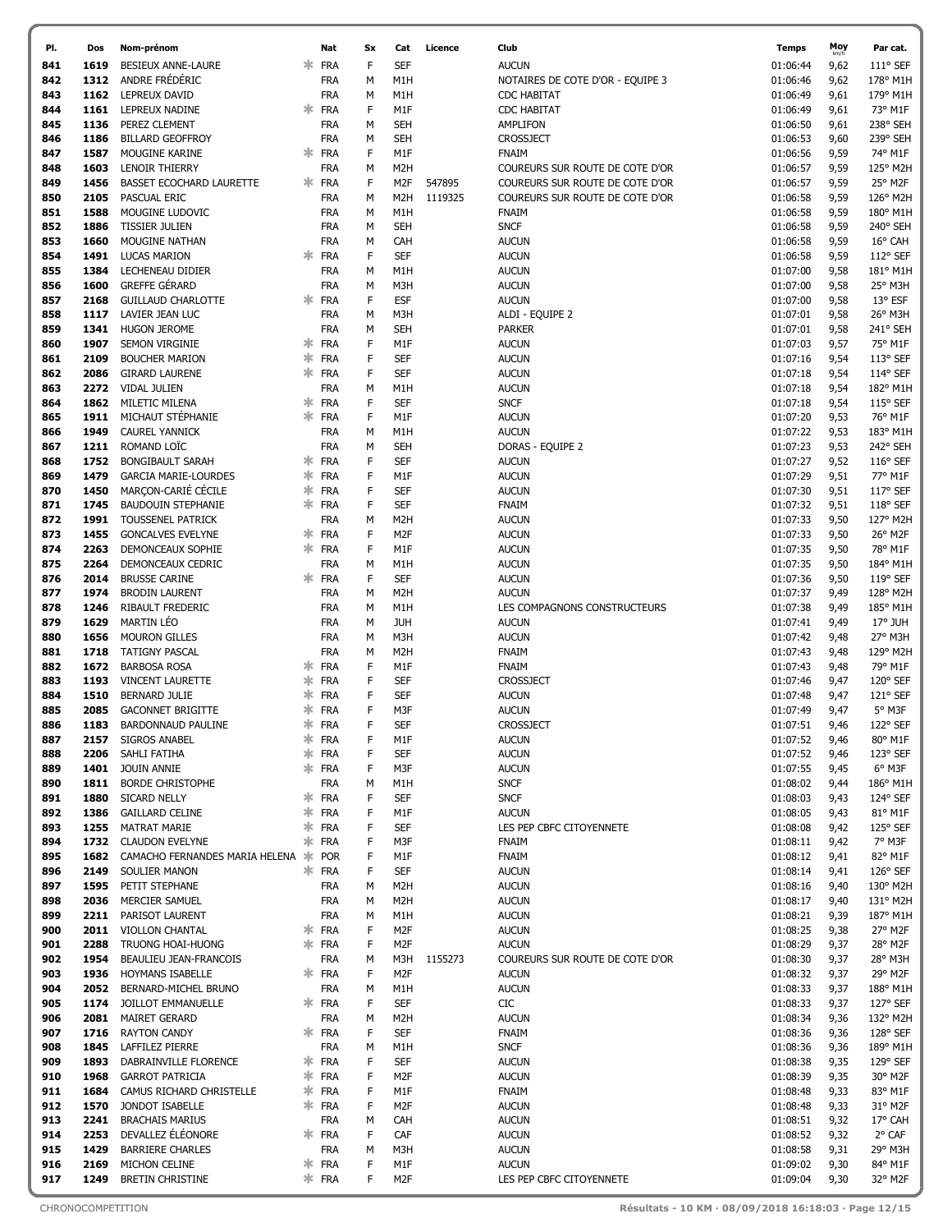| PI.        | Dos          | Nom-prénom                                             |          | Nat                      | Sx     | Cat                                  | Licence           | Club                                                               | <b>Temps</b>         | Moy          | Par cat.             |
|------------|--------------|--------------------------------------------------------|----------|--------------------------|--------|--------------------------------------|-------------------|--------------------------------------------------------------------|----------------------|--------------|----------------------|
| 841        | 1619         | <b>BESIEUX ANNE-LAURE</b>                              | ж.       | <b>FRA</b>               | F      | <b>SEF</b>                           |                   | <b>AUCUN</b>                                                       | 01:06:44             | 9,62         | 111° SEF             |
| 842        | 1312         | ANDRE FRÉDÉRIC                                         |          | <b>FRA</b>               | М      | M <sub>1</sub> H                     |                   | NOTAIRES DE COTE D'OR - EQUIPE 3                                   | 01:06:46             | 9,62         | 178° M1H             |
| 843        | 1162         | LEPREUX DAVID                                          |          | <b>FRA</b>               | M      | M <sub>1</sub> H                     |                   | <b>CDC HABITAT</b>                                                 | 01:06:49             | 9,61         | 179° M1H             |
| 844        | 1161         | LEPREUX NADINE                                         |          | <b>FRA</b>               | F      | M1F                                  |                   | <b>CDC HABITAT</b>                                                 | 01:06:49             | 9,61         | 73° M1F              |
| 845        | 1136         | PEREZ CLEMENT                                          |          | <b>FRA</b>               | M      | <b>SEH</b>                           |                   | AMPLIFON                                                           | 01:06:50             | 9,61         | 238° SEH             |
| 846        | 1186         | <b>BILLARD GEOFFROY</b>                                |          | <b>FRA</b>               | M      | <b>SEH</b>                           |                   | CROSSJECT                                                          | 01:06:53             | 9,60         | 239° SEH             |
| 847        | 1587         | MOUGINE KARINE                                         |          | $*$ FRA                  | F      | M1F                                  |                   | <b>FNAIM</b>                                                       | 01:06:56             | 9,59         | 74° M1F              |
| 848        | 1603         | LENOIR THIERRY                                         |          | <b>FRA</b>               | M<br>F | M2H                                  |                   | COUREURS SUR ROUTE DE COTE D'OR                                    | 01:06:57             | 9,59         | 125° M2H             |
| 849<br>850 | 1456<br>2105 | <b>BASSET ECOCHARD LAURETTE</b><br>PASCUAL ERIC        |          | $*$ FRA<br><b>FRA</b>    | M      | M <sub>2</sub> F<br>M <sub>2</sub> H | 547895<br>1119325 | COUREURS SUR ROUTE DE COTE D'OR<br>COUREURS SUR ROUTE DE COTE D'OR | 01:06:57<br>01:06:58 | 9,59<br>9,59 | 25° M2F<br>126° M2H  |
| 851        | 1588         | MOUGINE LUDOVIC                                        |          | <b>FRA</b>               | M      | M1H                                  |                   | <b>FNAIM</b>                                                       | 01:06:58             | 9,59         | 180° M1H             |
| 852        | 1886         | <b>TISSIER JULIEN</b>                                  |          | <b>FRA</b>               | M      | <b>SEH</b>                           |                   | <b>SNCF</b>                                                        | 01:06:58             | 9,59         | 240° SEH             |
| 853        | 1660         | MOUGINE NATHAN                                         |          | <b>FRA</b>               | M      | CAH                                  |                   | <b>AUCUN</b>                                                       | 01:06:58             | 9,59         | 16° CAH              |
| 854        | 1491         | <b>LUCAS MARION</b>                                    |          | <b>FRA</b>               | F      | <b>SEF</b>                           |                   | <b>AUCUN</b>                                                       | 01:06:58             | 9,59         | 112° SEF             |
| 855        | 1384         | LECHENEAU DIDIER                                       |          | <b>FRA</b>               | M      | M1H                                  |                   | <b>AUCUN</b>                                                       | 01:07:00             | 9,58         | 181° M1H             |
| 856        | 1600         | <b>GREFFE GÉRARD</b>                                   |          | <b>FRA</b>               | M      | M3H                                  |                   | <b>AUCUN</b>                                                       | 01:07:00             | 9,58         | 25° M3H              |
| 857        | 2168         | <b>GUILLAUD CHARLOTTE</b>                              | ж.       | <b>FRA</b>               | F      | <b>ESF</b>                           |                   | <b>AUCUN</b>                                                       | 01:07:00             | 9,58         | 13° ESF              |
| 858        | 1117         | LAVIER JEAN LUC                                        |          | <b>FRA</b>               | M      | M3H                                  |                   | ALDI - EQUIPE 2                                                    | 01:07:01             | 9,58         | 26° M3H              |
| 859        | 1341         | <b>HUGON JEROME</b>                                    |          | <b>FRA</b>               | M      | <b>SEH</b>                           |                   | <b>PARKER</b>                                                      | 01:07:01             | 9,58         | 241° SEH             |
| 860        | 1907         | SEMON VIRGINIE                                         | ∗.       | <b>FRA</b>               | F      | M1F                                  |                   | <b>AUCUN</b>                                                       | 01:07:03             | 9,57         | 75° M1F              |
| 861        | 2109         | <b>BOUCHER MARION</b>                                  | ж.       | <b>FRA</b>               | F      | <b>SEF</b>                           |                   | <b>AUCUN</b>                                                       | 01:07:16             | 9,54         | 113° SEF             |
| 862        | 2086         | <b>GIRARD LAURENE</b>                                  | ж.       | <b>FRA</b>               | F      | <b>SEF</b>                           |                   | <b>AUCUN</b>                                                       | 01:07:18             | 9,54         | 114° SEF             |
| 863        | 2272         | <b>VIDAL JULIEN</b>                                    |          | <b>FRA</b>               | М      | M1H                                  |                   | <b>AUCUN</b>                                                       | 01:07:18             | 9,54         | 182° M1H             |
| 864        | 1862         | MILETIC MILENA                                         | ж.       | <b>FRA</b>               | F      | <b>SEF</b>                           |                   | <b>SNCF</b>                                                        | 01:07:18             | 9,54         | 115° SEF             |
| 865        | 1911         | MICHAUT STÉPHANIE                                      | ж.       | <b>FRA</b>               | F      | M1F                                  |                   | <b>AUCUN</b>                                                       | 01:07:20             | 9,53         | 76° M1F              |
| 866        | 1949         | <b>CAUREL YANNICK</b>                                  |          | <b>FRA</b>               | М      | M <sub>1</sub> H                     |                   | <b>AUCUN</b>                                                       | 01:07:22             | 9,53         | 183° M1H             |
| 867        | 1211         | ROMAND LOIC                                            |          | <b>FRA</b>               | M      | <b>SEH</b>                           |                   | DORAS - EQUIPE 2                                                   | 01:07:23             | 9,53         | 242° SEH             |
| 868<br>869 | 1752<br>1479 | <b>BONGIBAULT SARAH</b><br><b>GARCIA MARIE-LOURDES</b> | ж.       | $*$ FRA<br><b>FRA</b>    | F<br>F | <b>SEF</b><br>M1F                    |                   | <b>AUCUN</b><br><b>AUCUN</b>                                       | 01:07:27<br>01:07:29 | 9,52<br>9,51 | 116° SEF<br>77° M1F  |
| 870        | 1450         | MARÇON-CARIÉ CÉCILE                                    | ж.       | <b>FRA</b>               | F      | <b>SEF</b>                           |                   | <b>AUCUN</b>                                                       | 01:07:30             | 9,51         | 117° SEF             |
| 871        | 1745         | <b>BAUDOUIN STEPHANIE</b>                              | ж.       | <b>FRA</b>               | F      | <b>SEF</b>                           |                   | <b>FNAIM</b>                                                       | 01:07:32             | 9,51         | 118° SEF             |
| 872        | 1991         | <b>TOUSSENEL PATRICK</b>                               |          | <b>FRA</b>               | M      | M <sub>2</sub> H                     |                   | <b>AUCUN</b>                                                       | 01:07:33             | 9,50         | 127° M2H             |
| 873        | 1455         | <b>GONCALVES EVELYNE</b>                               | ж.       | <b>FRA</b>               | F      | M <sub>2F</sub>                      |                   | <b>AUCUN</b>                                                       | 01:07:33             | 9,50         | 26° M2F              |
| 874        | 2263         | DEMONCEAUX SOPHIE                                      | ж.       | <b>FRA</b>               | F      | M1F                                  |                   | <b>AUCUN</b>                                                       | 01:07:35             | 9,50         | 78° M1F              |
| 875        | 2264         | DEMONCEAUX CEDRIC                                      |          | <b>FRA</b>               | M      | M <sub>1</sub> H                     |                   | <b>AUCUN</b>                                                       | 01:07:35             | 9,50         | 184° M1H             |
| 876        | 2014         | <b>BRUSSE CARINE</b>                                   |          | $*$ FRA                  | F      | <b>SEF</b>                           |                   | <b>AUCUN</b>                                                       | 01:07:36             | 9,50         | 119° SEF             |
| 877        | 1974         | <b>BRODIN LAURENT</b>                                  |          | <b>FRA</b>               | M      | M <sub>2</sub> H                     |                   | <b>AUCUN</b>                                                       | 01:07:37             | 9,49         | 128° M2H             |
| 878        | 1246         | RIBAULT FREDERIC                                       |          | <b>FRA</b>               | M      | M <sub>1</sub> H                     |                   | LES COMPAGNONS CONSTRUCTEURS                                       | 01:07:38             | 9,49         | 185° M1H             |
| 879        | 1629         | <b>MARTIN LÉO</b>                                      |          | <b>FRA</b>               | M      | <b>JUH</b>                           |                   | <b>AUCUN</b>                                                       | 01:07:41             | 9,49         | 17° JUH              |
| 880        | 1656         | <b>MOURON GILLES</b>                                   |          | <b>FRA</b>               | M      | M3H                                  |                   | <b>AUCUN</b>                                                       | 01:07:42             | 9,48         | 27° M3H              |
| 881        | 1718         | <b>TATIGNY PASCAL</b>                                  |          | <b>FRA</b>               | M      | M2H                                  |                   | <b>FNAIM</b>                                                       | 01:07:43             | 9,48         | 129° M2H             |
| 882        | 1672         | <b>BARBOSA ROSA</b>                                    |          | $*$ FRA                  | F      | M1F                                  |                   | <b>FNAIM</b>                                                       | 01:07:43             | 9,48         | 79° M1F              |
| 883        | 1193<br>1510 | <b>VINCENT LAURETTE</b>                                | ж.       | <b>FRA</b><br><b>FRA</b> | F<br>F | <b>SEF</b><br><b>SEF</b>             |                   | <b>CROSSJECT</b>                                                   | 01:07:46<br>01:07:48 | 9,47         | 120° SEF             |
| 884<br>885 | 2085         | <b>BERNARD JULIE</b><br><b>GACONNET BRIGITTE</b>       | ж.<br>∗. | FRA                      | F      | M3F                                  |                   | <b>AUCUN</b><br><b>AUCUN</b>                                       | 01:07:49             | 9,47<br>9,47 | 121° SEF<br>5° M3F   |
| 886        | 1183         | <b>BARDONNAUD PAULINE</b>                              |          | $*$ FRA                  | F      | <b>SEF</b>                           |                   | <b>CROSSJECT</b>                                                   | 01:07:51             | 9,46         | 122° SEF             |
| 887        | 2157         | SIGROS ANABEL                                          |          | * FRA                    | F      | M1F                                  |                   | <b>AUCUN</b>                                                       | 01:07:52             | 9,46         | $80^\circ$ M1F       |
| 888        | 2206         | SAHLI FATIHA                                           |          | <b>≭ FRA</b>             | F      | <b>SEF</b>                           |                   | <b>AUCUN</b>                                                       | 01:07:52             | 9,46         | 123° SEF             |
| 889        |              | 1401 JOUIN ANNIE                                       |          | * FRA                    | F      | M3F                                  |                   | <b>AUCUN</b>                                                       | 01:07:55             | 9,45         | 6° M3F               |
| 890        | 1811         | <b>BORDE CHRISTOPHE</b>                                |          | <b>FRA</b>               | M      | M1H                                  |                   | <b>SNCF</b>                                                        | 01:08:02             | 9,44         | 186° M1H             |
| 891        | 1880         | <b>SICARD NELLY</b>                                    |          | $*$ FRA                  | F      | <b>SEF</b>                           |                   | <b>SNCF</b>                                                        | 01:08:03             | 9,43         | 124° SEF             |
| 892        | 1386         | <b>GAILLARD CELINE</b>                                 |          | $*$ FRA                  | F      | M1F                                  |                   | <b>AUCUN</b>                                                       | 01:08:05             | 9,43         | 81° M1F              |
| 893        | 1255         | MATRAT MARIE                                           |          | $*$ FRA                  | F      | <b>SEF</b>                           |                   | LES PEP CBFC CITOYENNETE                                           | 01:08:08             | 9,42         | 125° SEF             |
| 894        |              | 1732 CLAUDON EVELYNE                                   |          | $*$ FRA                  | F      | M3F                                  |                   | <b>FNAIM</b>                                                       | 01:08:11             | 9,42         | 7° M3F               |
| 895        |              | 1682 CAMACHO FERNANDES MARIA HELENA * POR              |          |                          | F      | M1F                                  |                   | <b>FNAIM</b>                                                       | 01:08:12             | 9,41         | 82° M1F              |
| 896        | 2149         | SOULIER MANON                                          |          | $*$ FRA                  | F      | SEF                                  |                   | <b>AUCUN</b>                                                       | 01:08:14             | 9,41         | $126^{\circ}$ SEF    |
| 897        | 1595         | PETIT STEPHANE                                         |          | <b>FRA</b>               | M      | M <sub>2</sub> H                     |                   | <b>AUCUN</b>                                                       | 01:08:16             | 9,40         | 130° M2H             |
| 898<br>899 | 2036         | MERCIER SAMUEL<br>2211 PARISOT LAURENT                 |          | <b>FRA</b><br><b>FRA</b> | М<br>М | M <sub>2</sub> H<br>M1H              |                   | <b>AUCUN</b><br><b>AUCUN</b>                                       | 01:08:17<br>01:08:21 | 9,40<br>9,39 | 131° M2H<br>187° M1H |
| 900        |              | 2011 VIOLLON CHANTAL                                   |          | $*$ FRA                  | F      | M <sub>2</sub> F                     |                   | <b>AUCUN</b>                                                       | 01:08:25             | 9,38         | 27° M2F              |
| 901        | 2288         | TRUONG HOAI-HUONG                                      |          | $*$ FRA                  | F      | M <sub>2</sub> F                     |                   | <b>AUCUN</b>                                                       | 01:08:29             | 9,37         | 28° M2F              |
| 902        | 1954         | <b>BEAULIEU JEAN-FRANCOIS</b>                          |          | <b>FRA</b>               | М      | M3H                                  | 1155273           | COUREURS SUR ROUTE DE COTE D'OR                                    | 01:08:30             | 9,37         | 28° M3H              |
| 903        | 1936         | HOYMANS ISABELLE                                       |          | ≭ FRA                    | F      | M2F                                  |                   | <b>AUCUN</b>                                                       | 01:08:32             | 9,37         | 29° M2F              |
| 904        | 2052         | BERNARD-MICHEL BRUNO                                   |          | <b>FRA</b>               | М      | M1H                                  |                   | <b>AUCUN</b>                                                       | 01:08:33             | 9,37         | 188° M1H             |
| 905        | 1174         | JOILLOT EMMANUELLE                                     |          | * FRA                    | F      | <b>SEF</b>                           |                   | CIC                                                                | 01:08:33             | 9,37         | 127° SEF             |
| 906        | 2081         | <b>MAIRET GERARD</b>                                   |          | <b>FRA</b>               | М      | M2H                                  |                   | <b>AUCUN</b>                                                       | 01:08:34             | 9,36         | 132° M2H             |
| 907        | 1716         | <b>RAYTON CANDY</b>                                    |          | $\ast$ FRA               | F      | <b>SEF</b>                           |                   | <b>FNAIM</b>                                                       | 01:08:36             | 9,36         | 128° SEF             |
| 908        | 1845         | LAFFILEZ PIERRE                                        |          | <b>FRA</b>               | М      | M <sub>1</sub> H                     |                   | <b>SNCF</b>                                                        | 01:08:36             | 9,36         | 189° M1H             |
| 909        | 1893         | DABRAINVILLE FLORENCE                                  |          | * FRA                    | F      | <b>SEF</b>                           |                   | <b>AUCUN</b>                                                       | 01:08:38             | 9,35         | 129° SEF             |
| 910        | 1968         | <b>GARROT PATRICIA</b>                                 |          | * FRA                    | F      | M2F                                  |                   | <b>AUCUN</b>                                                       | 01:08:39             | 9,35         | 30° M2F              |
| 911        | 1684         | CAMUS RICHARD CHRISTELLE                               |          | $*$ FRA                  | F      | M1F                                  |                   | <b>FNAIM</b>                                                       | 01:08:48             | 9,33         | 83° M1F              |
| 912<br>913 | 1570<br>2241 | JONDOT ISABELLE<br><b>BRACHAIS MARIUS</b>              |          | * FRA<br><b>FRA</b>      | F<br>М | M2F                                  |                   | <b>AUCUN</b><br><b>AUCUN</b>                                       | 01:08:48<br>01:08:51 | 9,33<br>9,32 | 31° M2F<br>17° CAH   |
| 914        | 2253         | DEVALLEZ ÉLÉONORE                                      |          | * FRA                    | F      | CAH<br>CAF                           |                   | <b>AUCUN</b>                                                       | 01:08:52             | 9,32         | 2° CAF               |
| 915        | 1429         | <b>BARRIERE CHARLES</b>                                |          | <b>FRA</b>               | М      | M3H                                  |                   | <b>AUCUN</b>                                                       | 01:08:58             | 9,31         | 29° M3H              |
| 916        | 2169         | MICHON CELINE                                          |          | * FRA                    | F      | M1F                                  |                   | <b>AUCUN</b>                                                       | 01:09:02             | 9,30         | 84° M1F              |
|            | 1249         | <b>BRETIN CHRISTINE</b>                                |          | * FRA                    | F      | M <sub>2</sub> F                     |                   | LES PEP CBFC CITOYENNETE                                           | 01:09:04             | 9,30         | 32° M2F              |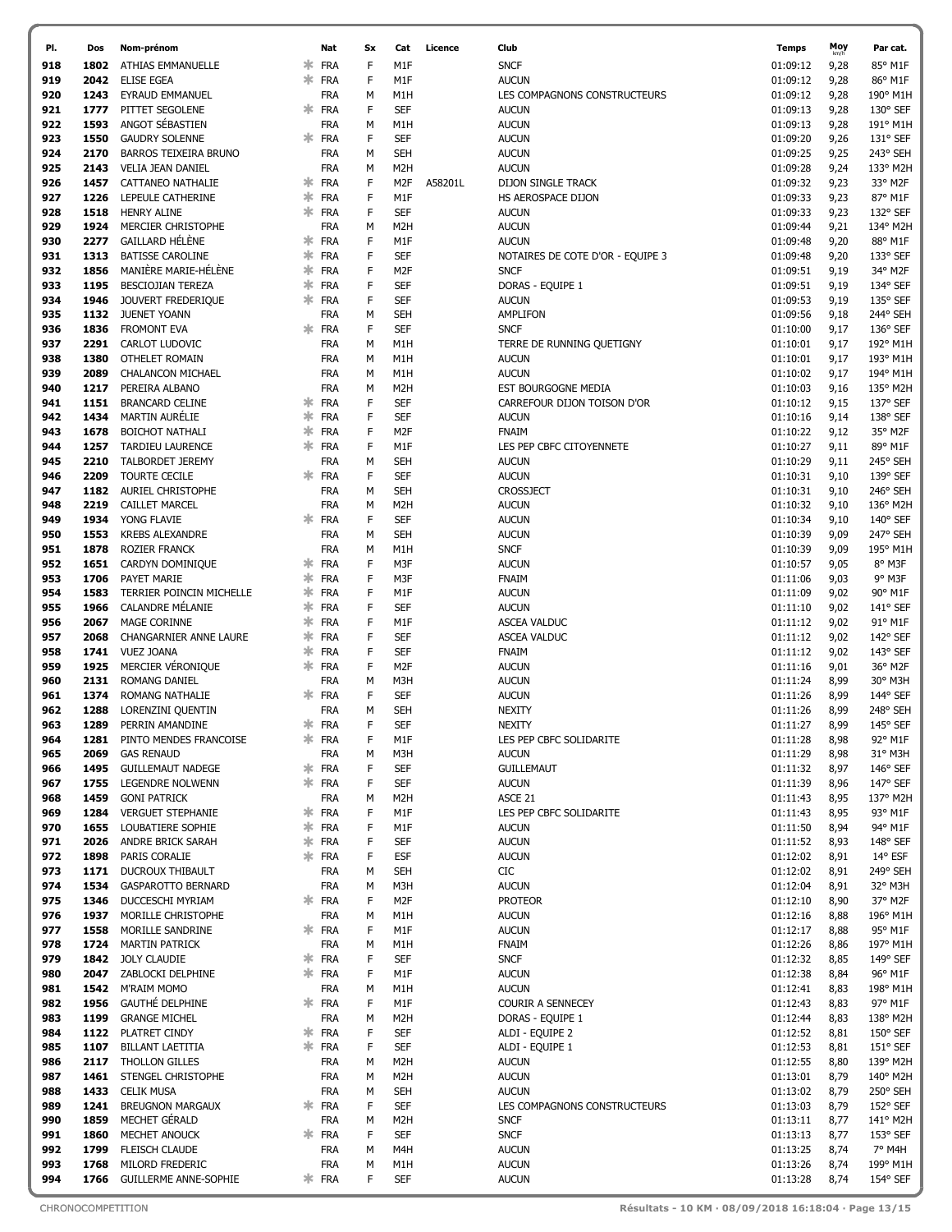| PI.        | Dos          | Nom-prénom                                      |         | Nat                      | Sx          | Cat                      | Licence | Club                                               | <b>Temps</b>         | Moy          | Par cat.             |
|------------|--------------|-------------------------------------------------|---------|--------------------------|-------------|--------------------------|---------|----------------------------------------------------|----------------------|--------------|----------------------|
| 918        | 1802         | ATHIAS EMMANUELLE                               | ∗       | FRA                      | F           | M1F                      |         | <b>SNCF</b>                                        | 01:09:12             | 9,28         | 85° M1F              |
| 919        | 2042         | <b>ELISE EGEA</b>                               | ∗       | <b>FRA</b>               | F           | M1F                      |         | <b>AUCUN</b>                                       | 01:09:12             | 9,28         | 86° M1F              |
| 920        | 1243         | <b>EYRAUD EMMANUEL</b>                          |         | FRA                      | М           | M1H                      |         | LES COMPAGNONS CONSTRUCTEURS                       | 01:09:12             | 9,28         | 190° M1H             |
| 921        | 1777         | PITTET SEGOLENE                                 | ж.      | <b>FRA</b>               | F           | SEF                      |         | <b>AUCUN</b>                                       | 01:09:13             | 9,28         | 130° SEF             |
| 922<br>923 | 1593<br>1550 | ANGOT SÉBASTIEN<br><b>GAUDRY SOLENNE</b>        | ж.      | <b>FRA</b><br><b>FRA</b> | M<br>F      | M1H<br>SEF               |         | <b>AUCUN</b><br><b>AUCUN</b>                       | 01:09:13<br>01:09:20 | 9,28<br>9,26 | 191° M1H<br>131° SEF |
| 924        | 2170         | <b>BARROS TEIXEIRA BRUNO</b>                    |         | <b>FRA</b>               | M           | <b>SEH</b>               |         | <b>AUCUN</b>                                       | 01:09:25             | 9,25         | 243° SEH             |
| 925        | 2143         | <b>VELIA JEAN DANIEL</b>                        |         | <b>FRA</b>               | М           | M2H                      |         | <b>AUCUN</b>                                       | 01:09:28             | 9,24         | 133° M2H             |
| 926        | 1457         | CATTANEO NATHALIE                               | ж.      | <b>FRA</b>               | F           | M <sub>2F</sub>          | A58201L | DIJON SINGLE TRACK                                 | 01:09:32             | 9,23         | 33° M2F              |
| 927        | 1226         | LEPEULE CATHERINE                               | 氺       | <b>FRA</b>               | F           | M <sub>1</sub> F         |         | HS AEROSPACE DIJON                                 | 01:09:33             | 9,23         | 87° M1F              |
| 928        | 1518         | <b>HENRY ALINE</b>                              | ∗       | <b>FRA</b>               | F           | SEF                      |         | <b>AUCUN</b>                                       | 01:09:33             | 9,23         | 132° SEF             |
| 929        | 1924         | MERCIER CHRISTOPHE                              |         | <b>FRA</b>               | M           | M <sub>2</sub> H         |         | <b>AUCUN</b>                                       | 01:09:44             | 9,21         | 134° M2H             |
| 930        | 2277         | <b>GAILLARD HÉLÈNE</b>                          | ∗.      | <b>FRA</b>               | F           | M1F                      |         | <b>AUCUN</b>                                       | 01:09:48             | 9,20         | 88° M1F              |
| 931<br>932 | 1313<br>1856 | <b>BATISSE CAROLINE</b><br>MANIÈRE MARIE-HÉLÈNE | *<br>ж. | <b>FRA</b><br><b>FRA</b> | F<br>F      | SEF<br>M2F               |         | NOTAIRES DE COTE D'OR - EQUIPE 3<br><b>SNCF</b>    | 01:09:48<br>01:09:51 | 9,20<br>9,19 | 133° SEF<br>34° M2F  |
| 933        | 1195         | BESCIOJIAN TEREZA                               | ж.      | <b>FRA</b>               | F           | SEF                      |         | DORAS - EQUIPE 1                                   | 01:09:51             | 9,19         | 134° SEF             |
| 934        | 1946         | JOUVERT FREDERIQUE                              | ж.      | <b>FRA</b>               | F           | SEF                      |         | <b>AUCUN</b>                                       | 01:09:53             | 9,19         | 135° SEF             |
| 935        | 1132         | JUENET YOANN                                    |         | <b>FRA</b>               | M           | <b>SEH</b>               |         | <b>AMPLIFON</b>                                    | 01:09:56             | 9,18         | 244° SEH             |
| 936        | 1836         | <b>FROMONT EVA</b>                              |         | <b>FRA</b>               | F           | SEF                      |         | <b>SNCF</b>                                        | 01:10:00             | 9,17         | 136° SEF             |
| 937        | 2291         | CARLOT LUDOVIC                                  |         | <b>FRA</b>               | M           | M <sub>1</sub> H         |         | TERRE DE RUNNING QUETIGNY                          | 01:10:01             | 9,17         | 192° M1H             |
| 938        | 1380         | OTHELET ROMAIN                                  |         | <b>FRA</b>               | M           | M1H                      |         | <b>AUCUN</b>                                       | 01:10:01             | 9,17         | 193° M1H             |
| 939        | 2089         | <b>CHALANCON MICHAEL</b>                        |         | <b>FRA</b>               | М           | M1H                      |         | <b>AUCUN</b>                                       | 01:10:02             | 9,17         | 194° M1H             |
| 940<br>941 | 1217<br>1151 | PEREIRA ALBANO<br><b>BRANCARD CELINE</b>        | ж.      | <b>FRA</b><br><b>FRA</b> | M<br>F      | M <sub>2</sub> H<br>SEF  |         | EST BOURGOGNE MEDIA<br>CARREFOUR DIJON TOISON D'OR | 01:10:03<br>01:10:12 | 9,16<br>9,15 | 135° M2H<br>137° SEF |
| 942        | 1434         | <b>MARTIN AURÉLIE</b>                           | 氺       | <b>FRA</b>               | F           | <b>SEF</b>               |         | <b>AUCUN</b>                                       | 01:10:16             | 9,14         | 138° SEF             |
| 943        | 1678         | <b>BOICHOT NATHALI</b>                          | 氺       | <b>FRA</b>               | F           | M <sub>2F</sub>          |         | <b>FNAIM</b>                                       | 01:10:22             | 9,12         | 35° M2F              |
| 944        | 1257         | <b>TARDIEU LAURENCE</b>                         | ж.      | <b>FRA</b>               | F           | M1F                      |         | LES PEP CBFC CITOYENNETE                           | 01:10:27             | 9,11         | 89° M1F              |
| 945        | 2210         | TALBORDET JEREMY                                |         | <b>FRA</b>               | M           | <b>SEH</b>               |         | <b>AUCUN</b>                                       | 01:10:29             | 9,11         | 245° SEH             |
| 946        | 2209         | <b>TOURTE CECILE</b>                            | ж.      | <b>FRA</b>               | F           | <b>SEF</b>               |         | <b>AUCUN</b>                                       | 01:10:31             | 9,10         | 139° SEF             |
| 947        | 1182         | AURIEL CHRISTOPHE                               |         | <b>FRA</b>               | M           | <b>SEH</b>               |         | <b>CROSSJECT</b>                                   | 01:10:31             | 9,10         | 246° SEH             |
| 948        | 2219         | <b>CAILLET MARCEL</b>                           |         | <b>FRA</b>               | M           | M <sub>2</sub> H         |         | <b>AUCUN</b>                                       | 01:10:32             | 9,10         | 136° M2H             |
| 949<br>950 | 1934<br>1553 | YONG FLAVIE<br><b>KREBS ALEXANDRE</b>           | ж.      | <b>FRA</b><br><b>FRA</b> | F<br>M      | <b>SEF</b><br><b>SEH</b> |         | <b>AUCUN</b><br><b>AUCUN</b>                       | 01:10:34<br>01:10:39 | 9,10<br>9,09 | 140° SEF<br>247° SEH |
| 951        | 1878         | <b>ROZIER FRANCK</b>                            |         | <b>FRA</b>               | M           | M <sub>1</sub> H         |         | <b>SNCF</b>                                        | 01:10:39             | 9,09         | 195° M1H             |
| 952        | 1651         | CARDYN DOMINIQUE                                | ж.      | <b>FRA</b>               | F           | M3F                      |         | <b>AUCUN</b>                                       | 01:10:57             | 9,05         | 8° M3F               |
| 953        | 1706         | PAYET MARIE                                     | 氺       | <b>FRA</b>               | F           | M3F                      |         | <b>FNAIM</b>                                       | 01:11:06             | 9,03         | 9° M3F               |
| 954        | 1583         | TERRIER POINCIN MICHELLE                        |         | * FRA                    | F           | M1F                      |         | <b>AUCUN</b>                                       | 01:11:09             | 9,02         | 90° M1F              |
| 955        | 1966         | <b>CALANDRE MÉLANIE</b>                         | ж.      | <b>FRA</b>               | F           | SEF                      |         | <b>AUCUN</b>                                       | 01:11:10             | 9,02         | 141° SEF             |
| 956        | 2067         | <b>MAGE CORINNE</b>                             | 氺       | <b>FRA</b>               | F           | M1F                      |         | <b>ASCEA VALDUC</b>                                | 01:11:12             | 9,02         | 91° M1F              |
| 957<br>958 | 2068<br>1741 | CHANGARNIER ANNE LAURE<br><b>VUEZ JOANA</b>     | ∗<br>∗  | <b>FRA</b><br><b>FRA</b> | F<br>F      | SEF<br>SEF               |         | ASCEA VALDUC<br><b>FNAIM</b>                       | 01:11:12<br>01:11:12 | 9,02<br>9,02 | 142° SEF<br>143° SEF |
| 959        | 1925         | MERCIER VÉRONIQUE                               | ж.      | <b>FRA</b>               | F           | M <sub>2F</sub>          |         | <b>AUCUN</b>                                       | 01:11:16             | 9,01         | 36° M2F              |
| 960        | 2131         | <b>ROMANG DANIEL</b>                            |         | <b>FRA</b>               | M           | M3H                      |         | <b>AUCUN</b>                                       | 01:11:24             | 8,99         | 30° M3H              |
| 961        | 1374         | ROMANG NATHALIE                                 |         | <b>FRA</b>               | F           | SEF                      |         | <b>AUCUN</b>                                       | 01:11:26             | 8,99         | 144° SEF             |
| 962        | 1288         | LORENZINI QUENTIN                               |         | FRA                      | М           | <b>SEH</b>               |         | <b>NEXITY</b>                                      | 01:11:26             | 8,99         | 248° SEH             |
| 963        | 1289         | PERRIN AMANDINE                                 |         | * FRA                    | F           | <b>SEF</b>               |         | <b>NEXITY</b>                                      | 01:11:27             | 8,99         | 145° SEF             |
| 964        | 1281         | PINTO MENDES FRANCOISE                          |         | $*$ FRA                  | F           | M1F                      |         | LES PEP CBFC SOLIDARITE                            | 01:11:28             | 8,98         | 92° M1F              |
| 965        | 2069<br>1495 | <b>GAS RENAUD</b><br><b>GUILLEMAUT NADEGE</b>   | ∗.      | <b>FRA</b><br><b>FRA</b> | м<br>F      | M3H<br><b>SEF</b>        |         | <b>AUCUN</b><br><b>GUILLEMAUT</b>                  | 01:11:29<br>01:11:32 | 8,98         | 31° M3H<br>146° SEF  |
| 966<br>967 | 1755         | LEGENDRE NOLWENN                                | ж.      | <b>FRA</b>               | F           | <b>SEF</b>               |         | <b>AUCUN</b>                                       | 01:11:39             | 8,97<br>8,96 | 147° SEF             |
| 968        | 1459         | <b>GONI PATRICK</b>                             |         | <b>FRA</b>               | м           | M2H                      |         | ASCE 21                                            | 01:11:43             | 8,95         | 137° M2H             |
| 969        | 1284         | <b>VERGUET STEPHANIE</b>                        | ж.      | <b>FRA</b>               | F           | M1F                      |         | LES PEP CBFC SOLIDARITE                            | 01:11:43             | 8,95         | 93° M1F              |
| 970        | 1655         | LOUBATIERE SOPHIE                               | ж.      | <b>FRA</b>               | F           | M1F                      |         | <b>AUCUN</b>                                       | 01:11:50             | 8,94         | 94° M1F              |
| 971        | 2026         | ANDRE BRICK SARAH                               | ∗       | <b>FRA</b>               | F           | <b>SEF</b>               |         | <b>AUCUN</b>                                       | 01:11:52             | 8,93         | 148° SEF             |
| 972        | 1898         | PARIS CORALIE<br>1171 DUCROUX THIBAULT          | ∗.      | <b>FRA</b>               | F           | ESF                      |         | <b>AUCUN</b>                                       | 01:12:02             | 8,91         | 14° ESF<br>249° SEH  |
| 973<br>974 | 1534         | GASPAROTTO BERNARD                              |         | FRA<br><b>FRA</b>        | М<br>M      | <b>SEH</b><br>M3H        |         | CIC<br><b>AUCUN</b>                                | 01:12:02<br>01:12:04 | 8,91<br>8,91 | 32° M3H              |
| 975        | 1346         | DUCCESCHI MYRIAM                                |         | * FRA                    | F           | M2F                      |         | <b>PROTEOR</b>                                     | 01:12:10             | 8,90         | 37° M2F              |
| 976        | 1937         | MORILLE CHRISTOPHE                              |         | <b>FRA</b>               | М           | M <sub>1</sub> H         |         | <b>AUCUN</b>                                       | 01:12:16             | 8,88         | 196° M1H             |
| 977        | 1558         | MORILLE SANDRINE                                |         | * FRA                    | F           | M1F                      |         | <b>AUCUN</b>                                       | 01:12:17             | 8,88         | 95° M1F              |
| 978        | 1724         | <b>MARTIN PATRICK</b>                           |         | <b>FRA</b>               | M           | M <sub>1</sub> H         |         | <b>FNAIM</b>                                       | 01:12:26             | 8,86         | 197° M1H             |
| 979        | 1842         | JOLY CLAUDIE                                    | ж.      | FRA                      | F           | <b>SEF</b>               |         | <b>SNCF</b>                                        | 01:12:32             | 8,85         | 149° SEF             |
| 980        | 2047         | ZABLOCKI DELPHINE                               |         | * FRA                    | F           | M1F                      |         | <b>AUCUN</b>                                       | 01:12:38             | 8,84         | 96° M1F              |
| 981<br>982 | 1956         | 1542 M'RAIM MOMO<br>GAUTHÉ DELPHINE             |         | <b>FRA</b><br>* FRA      | М<br>F      | M <sub>1</sub> H<br>M1F  |         | <b>AUCUN</b><br>COURIR A SENNECEY                  | 01:12:41<br>01:12:43 | 8,83<br>8,83 | 198° M1H<br>97° M1F  |
| 983        | 1199         | <b>GRANGE MICHEL</b>                            |         | <b>FRA</b>               | M           | M <sub>2</sub> H         |         | DORAS - EQUIPE 1                                   | 01:12:44             | 8,83         | 138° M2H             |
| 984        |              | 1122 PLATRET CINDY                              | ж.      | FRA                      | F           | <b>SEF</b>               |         | ALDI - EQUIPE 2                                    | 01:12:52             | 8,81         | $150^{\circ}$ SEF    |
| 985        | 1107         | <b>BILLANT LAETITIA</b>                         | $\ast$  | FRA                      | F           | <b>SEF</b>               |         | ALDI - EQUIPE 1                                    | 01:12:53             | 8,81         | $151^{\circ}$ SEF    |
| 986        |              | 2117 THOLLON GILLES                             |         | FRA                      | М           | M2H                      |         | <b>AUCUN</b>                                       | 01:12:55             | 8,80         | 139° M2H             |
| 987        | 1461         | STENGEL CHRISTOPHE                              |         | <b>FRA</b>               | М           | M <sub>2</sub> H         |         | <b>AUCUN</b>                                       | 01:13:01             | 8,79         | 140° M2H             |
| 988        | 1433         | <b>CELIK MUSA</b>                               |         | <b>FRA</b>               | М           | <b>SEH</b>               |         | <b>AUCUN</b>                                       | 01:13:02             | 8,79         | 250° SEH             |
| 989<br>990 | 1241<br>1859 | <b>BREUGNON MARGAUX</b><br>MECHET GÉRALD        | ∗.      | FRA<br>FRA               | F<br>м      | <b>SEF</b><br>M2H        |         | LES COMPAGNONS CONSTRUCTEURS<br><b>SNCF</b>        | 01:13:03<br>01:13:11 | 8,79<br>8,77 | 152° SEF<br>141° M2H |
| 991        | 1860         | MECHET ANOUCK                                   |         | * FRA                    | F           | <b>SEF</b>               |         | <b>SNCF</b>                                        | 01:13:13             | 8,77         | 153° SEF             |
| 992        | 1799         | FLEISCH CLAUDE                                  |         | <b>FRA</b>               | М           | M4H                      |         | <b>AUCUN</b>                                       | 01:13:25             | 8,74         | 7° M4H               |
| 993        | 1768         | MILORD FREDERIC                                 |         | <b>FRA</b>               | М           | M1H                      |         | <b>AUCUN</b>                                       | 01:13:26             | 8,74         | 199° M1H             |
| 994        | 1766         | <b>GUILLERME ANNE-SOPHIE</b>                    |         | *FRA                     | $\mathsf F$ | <b>SEF</b>               |         | <b>AUCUN</b>                                       | 01:13:28             | 8,74         | 154° SEF             |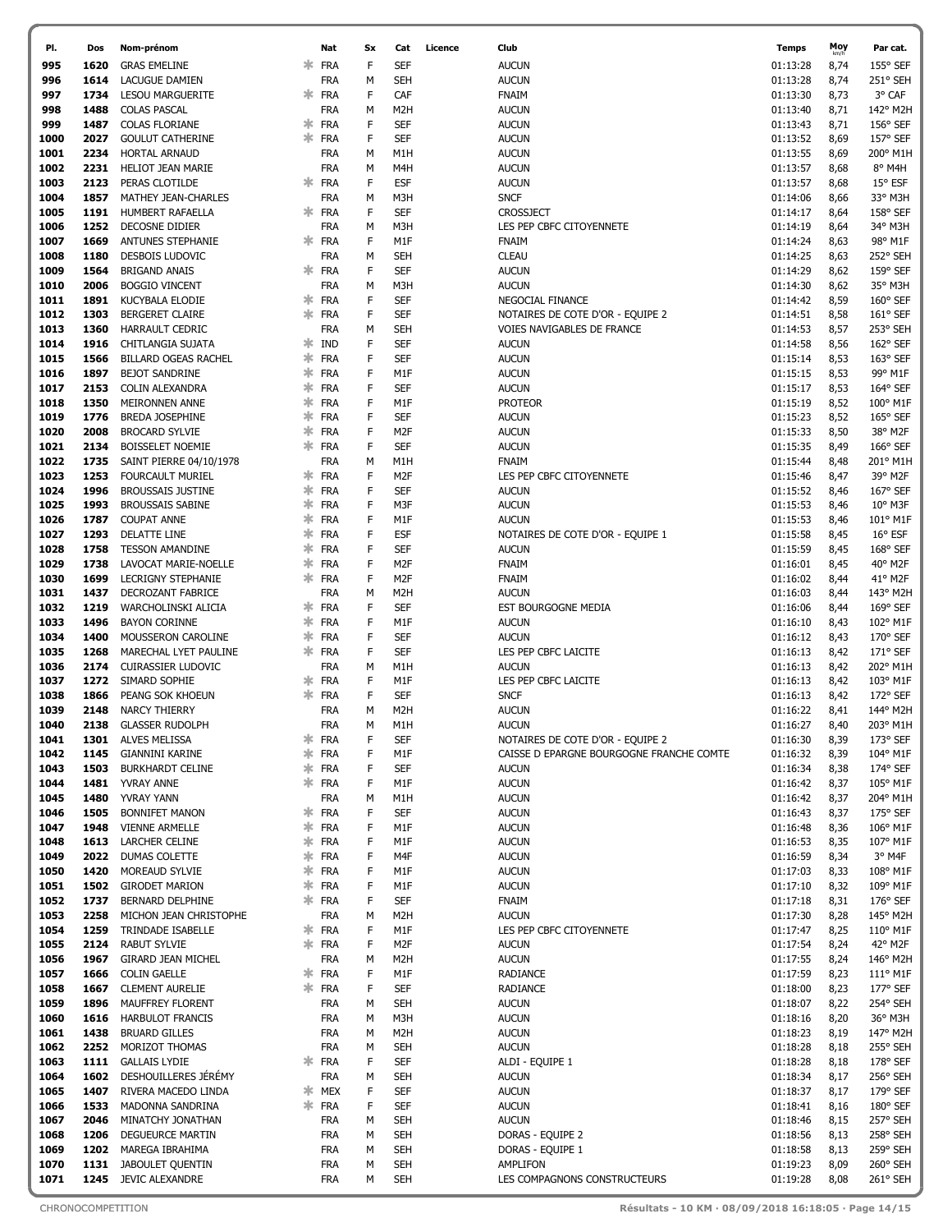| PI.          | Dos          | Nom-prénom                                      |    | Nat                      | Sx     | Cat                      | Licence | Club                                             | <b>Temps</b>         | Moy          | Par cat.             |
|--------------|--------------|-------------------------------------------------|----|--------------------------|--------|--------------------------|---------|--------------------------------------------------|----------------------|--------------|----------------------|
| 995          | 1620         | <b>GRAS EMELINE</b>                             | ж  | FRA                      | F      | <b>SEF</b>               |         | <b>AUCUN</b>                                     | 01:13:28             | 8,74         | 155° SEF             |
| 996          | 1614         | LACUGUE DAMIEN                                  |    | <b>FRA</b>               | М      | <b>SEH</b>               |         | <b>AUCUN</b>                                     | 01:13:28             | 8,74         | 251° SEH             |
| 997          | 1734         | <b>LESOU MARGUERITE</b>                         | ж  | <b>FRA</b>               | F      | CAF                      |         | <b>FNAIM</b>                                     | 01:13:30             | 8,73         | 3° CAF               |
| 998          | 1488         | <b>COLAS PASCAL</b>                             |    | <b>FRA</b>               | М      | M <sub>2</sub> H         |         | <b>AUCUN</b>                                     | 01:13:40             | 8,71         | 142° M2H             |
| 999          | 1487         | <b>COLAS FLORIANE</b>                           | Ж. | <b>FRA</b>               | F      | <b>SEF</b>               |         | <b>AUCUN</b>                                     | 01:13:43             | 8,71         | 156° SEF             |
| 1000<br>1001 | 2027<br>2234 | <b>GOULUT CATHERINE</b><br><b>HORTAL ARNAUD</b> | Ж. | <b>FRA</b><br><b>FRA</b> | F<br>М | <b>SEF</b><br>M1H        |         | <b>AUCUN</b><br><b>AUCUN</b>                     | 01:13:52<br>01:13:55 | 8,69<br>8,69 | 157° SEF<br>200° M1H |
| 1002         | 2231         | <b>HELIOT JEAN MARIE</b>                        |    | <b>FRA</b>               | м      | M4H                      |         | <b>AUCUN</b>                                     | 01:13:57             | 8,68         | 8° M4H               |
| 1003         | 2123         | PERAS CLOTILDE                                  |    | ≭ FRA                    | F      | <b>ESF</b>               |         | <b>AUCUN</b>                                     | 01:13:57             | 8,68         | 15° ESF              |
| 1004         | 1857         | MATHEY JEAN-CHARLES                             |    | <b>FRA</b>               | М      | M3H                      |         | <b>SNCF</b>                                      | 01:14:06             | 8,66         | 33° M3H              |
| 1005         | 1191         | HUMBERT RAFAELLA                                | ж  | <b>FRA</b>               | F      | <b>SEF</b>               |         | <b>CROSSJECT</b>                                 | 01:14:17             | 8,64         | 158° SEF             |
| 1006         | 1252         | DECOSNE DIDIER                                  |    | <b>FRA</b>               | М      | M3H                      |         | LES PEP CBFC CITOYENNETE                         | 01:14:19             | 8,64         | 34° M3H              |
| 1007         | 1669         | ANTUNES STEPHANIE                               |    | * FRA                    | F      | M1F                      |         | <b>FNAIM</b>                                     | 01:14:24             | 8,63         | 98° M1F              |
| 1008         | 1180         | <b>DESBOIS LUDOVIC</b>                          |    | <b>FRA</b>               | М      | <b>SEH</b>               |         | <b>CLEAU</b>                                     | 01:14:25             | 8,63         | 252° SEH             |
| 1009         | 1564         | <b>BRIGAND ANAIS</b>                            | ж. | <b>FRA</b>               | F      | <b>SEF</b>               |         | <b>AUCUN</b>                                     | 01:14:29             | 8,62         | 159° SEF             |
| 1010         | 2006         | <b>BOGGIO VINCENT</b>                           |    | <b>FRA</b>               | М      | M3H                      |         | <b>AUCUN</b>                                     | 01:14:30             | 8,62         | 35° M3H              |
| 1011         | 1891         | KUCYBALA ELODIE                                 | Ж. | <b>FRA</b>               | F      | <b>SEF</b>               |         | NEGOCIAL FINANCE                                 | 01:14:42             | 8,59         | 160° SEF             |
| 1012         | 1303         | <b>BERGERET CLAIRE</b>                          | ж  | <b>FRA</b>               | F      | <b>SEF</b>               |         | NOTAIRES DE COTE D'OR - EQUIPE 2                 | 01:14:51             | 8,58         | 161° SEF             |
| 1013<br>1014 | 1360<br>1916 | <b>HARRAULT CEDRIC</b><br>CHITLANGIA SUJATA     |    | <b>FRA</b><br>$*$ IND    | М<br>F | <b>SEH</b><br><b>SEF</b> |         | VOIES NAVIGABLES DE FRANCE<br><b>AUCUN</b>       | 01:14:53<br>01:14:58 | 8,57<br>8,56 | 253° SEH<br>162° SEF |
| 1015         | 1566         | BILLARD OGEAS RACHEL                            |    | $*$ FRA                  | F      | <b>SEF</b>               |         | <b>AUCUN</b>                                     | 01:15:14             | 8,53         | 163° SEF             |
| 1016         | 1897         | <b>BEJOT SANDRINE</b>                           | ж. | <b>FRA</b>               | F      | M1F                      |         | <b>AUCUN</b>                                     | 01:15:15             | 8,53         | 99° M1F              |
| 1017         | 2153         | <b>COLIN ALEXANDRA</b>                          |    | * FRA                    | F      | <b>SEF</b>               |         | <b>AUCUN</b>                                     | 01:15:17             | 8,53         | 164° SEF             |
| 1018         | 1350         | MEIRONNEN ANNE                                  |    | $*$ FRA                  | F      | M1F                      |         | <b>PROTEOR</b>                                   | 01:15:19             | 8,52         | 100° M1F             |
| 1019         | 1776         | BREDA JOSEPHINE                                 |    | $*$ FRA                  | F      | <b>SEF</b>               |         | <b>AUCUN</b>                                     | 01:15:23             | 8,52         | 165° SEF             |
| 1020         | 2008         | <b>BROCARD SYLVIE</b>                           | ж  | <b>FRA</b>               | F      | M <sub>2F</sub>          |         | <b>AUCUN</b>                                     | 01:15:33             | 8,50         | 38° M2F              |
| 1021         | 2134         | <b>BOISSELET NOEMIE</b>                         |    | $*$ FRA                  | F      | <b>SEF</b>               |         | <b>AUCUN</b>                                     | 01:15:35             | 8,49         | 166° SEF             |
| 1022         | 1735         | SAINT PIERRE 04/10/1978                         |    | <b>FRA</b>               | М      | M1H                      |         | <b>FNAIM</b>                                     | 01:15:44             | 8,48         | 201° M1H             |
| 1023         | 1253         | <b>FOURCAULT MURIEL</b>                         |    | $*$ FRA                  | F      | M <sub>2F</sub>          |         | LES PEP CBFC CITOYENNETE                         | 01:15:46             | 8,47         | 39° M2F              |
| 1024         | 1996         | <b>BROUSSAIS JUSTINE</b>                        | ж. | <b>FRA</b>               | F      | <b>SEF</b>               |         | <b>AUCUN</b>                                     | 01:15:52             | 8,46         | 167° SEF             |
| 1025         | 1993         | <b>BROUSSAIS SABINE</b>                         |    | * FRA                    | F      | M3F                      |         | <b>AUCUN</b>                                     | 01:15:53             | 8,46         | 10° M3F              |
| 1026<br>1027 | 1787<br>1293 | <b>COUPAT ANNE</b><br><b>DELATTE LINE</b>       | ж. | $*$ FRA<br><b>FRA</b>    | F<br>F | M1F<br><b>ESF</b>        |         | <b>AUCUN</b><br>NOTAIRES DE COTE D'OR - EQUIPE 1 | 01:15:53<br>01:15:58 | 8,46<br>8,45 | 101° M1F<br>16° ESF  |
| 1028         | 1758         | <b>TESSON AMANDINE</b>                          |    | $*$ FRA                  | F      | <b>SEF</b>               |         | <b>AUCUN</b>                                     | 01:15:59             | 8,45         | 168° SEF             |
| 1029         | 1738         | LAVOCAT MARIE-NOELLE                            |    | $*$ FRA                  | F      | M <sub>2F</sub>          |         | <b>FNAIM</b>                                     | 01:16:01             | 8,45         | 40° M2F              |
| 1030         | 1699         | <b>LECRIGNY STEPHANIE</b>                       |    | $*$ FRA                  | F      | M <sub>2F</sub>          |         | <b>FNAIM</b>                                     | 01:16:02             | 8,44         | 41° M2F              |
| 1031         | 1437         | DECROZANT FABRICE                               |    | <b>FRA</b>               | М      | M <sub>2</sub> H         |         | <b>AUCUN</b>                                     | 01:16:03             | 8,44         | 143° M2H             |
| 1032         | 1219         | WARCHOLINSKI ALICIA                             |    | * FRA                    | F      | <b>SEF</b>               |         | EST BOURGOGNE MEDIA                              | 01:16:06             | 8,44         | 169° SEF             |
| 1033         | 1496         | <b>BAYON CORINNE</b>                            | ∗  | <b>FRA</b>               | F      | M1F                      |         | <b>AUCUN</b>                                     | 01:16:10             | 8,43         | 102° M1F             |
| 1034         | 1400         | MOUSSERON CAROLINE                              | Ж. | <b>FRA</b>               | F      | <b>SEF</b>               |         | <b>AUCUN</b>                                     | 01:16:12             | 8,43         | 170° SEF             |
| 1035         | 1268         | MARECHAL LYET PAULINE                           |    | * FRA                    | F      | <b>SEF</b>               |         | LES PEP CBFC LAICITE                             | 01:16:13             | 8,42         | 171° SEF             |
| 1036         | 2174         | <b>CUIRASSIER LUDOVIC</b>                       |    | <b>FRA</b>               | М      | M1H                      |         | <b>AUCUN</b>                                     | 01:16:13             | 8,42         | 202° M1H             |
| 1037         | 1272         | SIMARD SOPHIE<br>PEANG SOK KHOEUN               |    | $*$ FRA<br><b>FRA</b>    | F<br>F | M1F<br><b>SEF</b>        |         | LES PEP CBFC LAICITE<br><b>SNCF</b>              | 01:16:13<br>01:16:13 | 8,42         | 103° M1F             |
| 1038<br>1039 | 1866<br>2148 | NARCY THIERRY                                   |    | <b>FRA</b>               | М      | M <sub>2</sub> H         |         | <b>AUCUN</b>                                     | 01:16:22             | 8,42<br>8,41 | 172° SEF<br>144° M2H |
| 1040         | 2138         | <b>GLASSER RUDOLPH</b>                          |    | <b>FRA</b>               | М      | M1H                      |         | <b>AUCUN</b>                                     | 01:16:27             | 8,40         | 203° M1H             |
| 1041         | 1301         | ALVES MELISSA                                   |    | <b>‡</b> FRA             | F      | <b>SEF</b>               |         | NOTAIRES DE COTE D'OR - EQUIPE 2                 | 01:16:30             | 8,39         | $173^{\circ}$ SEF    |
| 1042         | 1145         | <b>GIANNINI KARINE</b>                          |    | <b>≭ FRA</b>             | F      | M1F                      |         | CAISSE D EPARGNE BOURGOGNE FRANCHE COMTE         | 01:16:32             | 8,39         | 104° M1F             |
| 1043         | 1503         | <b>BURKHARDT CELINE</b>                         |    | <b>≭ FRA</b>             | F      | <b>SEF</b>               |         | <b>AUCUN</b>                                     | 01:16:34             | 8,38         | 174° SEF             |
| 1044         |              | 1481 YVRAY ANNE                                 |    | * FRA                    | F      | M1F                      |         | <b>AUCUN</b>                                     | 01:16:42             | 8,37         | 105° M1F             |
| 1045         | 1480         | YVRAY YANN                                      |    | <b>FRA</b>               | М      | M1H                      |         | <b>AUCUN</b>                                     | 01:16:42             | 8,37         | 204° M1H             |
| 1046         | 1505         | <b>BONNIFET MANON</b>                           |    | * FRA                    | F      | <b>SEF</b>               |         | <b>AUCUN</b>                                     | 01:16:43             | 8,37         | 175° SEF             |
| 1047         | 1948         | <b>VIENNE ARMELLE</b>                           |    | * FRA                    | F      | M1F                      |         | <b>AUCUN</b>                                     | 01:16:48             | 8,36         | 106° M1F             |
| 1048<br>1049 | 1613<br>2022 | LARCHER CELINE<br><b>DUMAS COLETTE</b>          |    | * FRA<br>* FRA           | F<br>F | M1F<br>M4F               |         | <b>AUCUN</b><br><b>AUCUN</b>                     | 01:16:53<br>01:16:59 | 8,35<br>8,34 | 107° M1F<br>3° M4F   |
| 1050         | 1420         | MOREAUD SYLVIE                                  |    | $*$ FRA                  | F      | M1F                      |         | <b>AUCUN</b>                                     | 01:17:03             | 8,33         | 108° M1F             |
| 1051         | 1502         | <b>GIRODET MARION</b>                           |    | * FRA                    | F      | M1F                      |         | <b>AUCUN</b>                                     | 01:17:10             | 8,32         | 109° M1F             |
| 1052         | 1737         | BERNARD DELPHINE                                |    | * FRA                    | F      | <b>SEF</b>               |         | <b>FNAIM</b>                                     | 01:17:18             | 8,31         | 176° SEF             |
| 1053         | 2258         | MICHON JEAN CHRISTOPHE                          |    | <b>FRA</b>               | М      | M <sub>2</sub> H         |         | <b>AUCUN</b>                                     | 01:17:30             | 8,28         | 145° M2H             |
| 1054         | 1259         | TRINDADE ISABELLE                               |    | * FRA                    | F      | M1F                      |         | LES PEP CBFC CITOYENNETE                         | 01:17:47             | 8,25         | 110° M1F             |
| 1055         | 2124         | <b>RABUT SYLVIE</b>                             |    | * FRA                    | F      | M2F                      |         | <b>AUCUN</b>                                     | 01:17:54             | 8,24         | 42° M2F              |
| 1056         | 1967         | <b>GIRARD JEAN MICHEL</b>                       |    | <b>FRA</b>               | М      | M <sub>2</sub> H         |         | <b>AUCUN</b>                                     | 01:17:55             | 8,24         | 146° M2H             |
| 1057         | 1666         | <b>COLIN GAELLE</b>                             |    | ≭ FRA                    | F      | M1F                      |         | RADIANCE                                         | 01:17:59             | 8,23         | $111^{\circ}$ M1F    |
| 1058         | 1667         | <b>CLEMENT AURELIE</b>                          | ж. | <b>FRA</b>               | F      | <b>SEF</b>               |         | RADIANCE                                         | 01:18:00             | 8,23         | 177° SEF             |
| 1059         | 1896         | MAUFFREY FLORENT                                |    | <b>FRA</b>               | М      | <b>SEH</b>               |         | <b>AUCUN</b>                                     | 01:18:07             | 8,22         | 254° SEH             |
| 1060<br>1061 | 1438         | 1616 HARBULOT FRANCIS<br><b>BRUARD GILLES</b>   |    | <b>FRA</b><br><b>FRA</b> | М<br>М | M3H<br>M <sub>2</sub> H  |         | <b>AUCUN</b><br><b>AUCUN</b>                     | 01:18:16<br>01:18:23 | 8,20<br>8,19 | 36° M3H<br>147° M2H  |
| 1062         |              | 2252 MORIZOT THOMAS                             |    | <b>FRA</b>               | М      | <b>SEH</b>               |         | <b>AUCUN</b>                                     | 01:18:28             | 8,18         | 255° SEH             |
| 1063         | 1111         | <b>GALLAIS LYDIE</b>                            |    | * FRA                    | F      | <b>SEF</b>               |         | ALDI - EQUIPE 1                                  | 01:18:28             | 8,18         | 178° SEF             |
| 1064         | 1602         | DESHOUILLERES JÉRÉMY                            |    | FRA                      | м      | <b>SEH</b>               |         | <b>AUCUN</b>                                     | 01:18:34             | 8,17         | 256° SEH             |
| 1065         | 1407         | RIVERA MACEDO LINDA                             |    | $*$ MEX                  | F      | <b>SEF</b>               |         | <b>AUCUN</b>                                     | 01:18:37             | 8,17         | 179° SEF             |
| 1066         | 1533         | MADONNA SANDRINA                                |    | $*$ FRA                  | F      | <b>SEF</b>               |         | <b>AUCUN</b>                                     | 01:18:41             | 8,16         | 180° SEF             |
| 1067         | 2046         | MINATCHY JONATHAN                               |    | <b>FRA</b>               | М      | <b>SEH</b>               |         | <b>AUCUN</b>                                     | 01:18:46             | 8,15         | 257° SEH             |
| 1068         | 1206         | DEGUEURCE MARTIN                                |    | <b>FRA</b>               | М      | <b>SEH</b>               |         | DORAS - EQUIPE 2                                 | 01:18:56             | 8,13         | 258° SEH             |
| 1069         | 1202         | MAREGA IBRAHIMA                                 |    | <b>FRA</b>               | М      | <b>SEH</b>               |         | DORAS - EQUIPE 1                                 | 01:18:58             | 8,13         | 259° SEH             |
| 1070         | 1131         | JABOULET QUENTIN                                |    | <b>FRA</b>               | М      | <b>SEH</b>               |         | AMPLIFON                                         | 01:19:23             | 8,09         | 260° SEH             |
| 1071         |              | 1245 JEVIC ALEXANDRE                            |    | FRA                      | М      | <b>SEH</b>               |         | LES COMPAGNONS CONSTRUCTEURS                     | 01:19:28             | 8,08         | 261° SEH             |